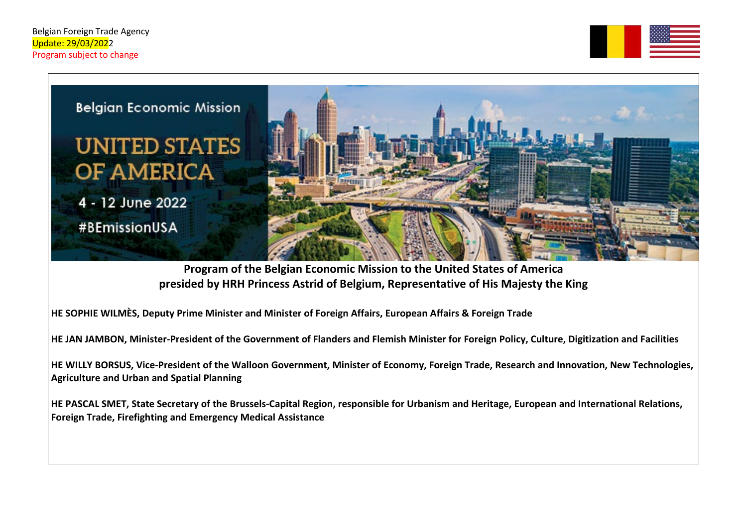



**Program of the Belgian Economic Mission to the United States of America presided by HRH Princess Astrid of Belgium, Representative of His Majesty the King**

**HE SOPHIE WILMÈS, Deputy Prime Minister and Minister of Foreign Affairs, European Affairs & Foreign Trade**

**HE JAN JAMBON, Minister-President of the Government of Flanders and Flemish Minister for Foreign Policy, Culture, Digitization and Facilities**

**HE WILLY BORSUS, Vice-President of the Walloon Government, Minister of Economy, Foreign Trade, Research and Innovation, New Technologies, Agriculture and Urban and Spatial Planning** 

**HE PASCAL SMET, State Secretary of the Brussels-Capital Region, responsible for Urbanism and Heritage, European and International Relations, Foreign Trade, Firefighting and Emergency Medical Assistance**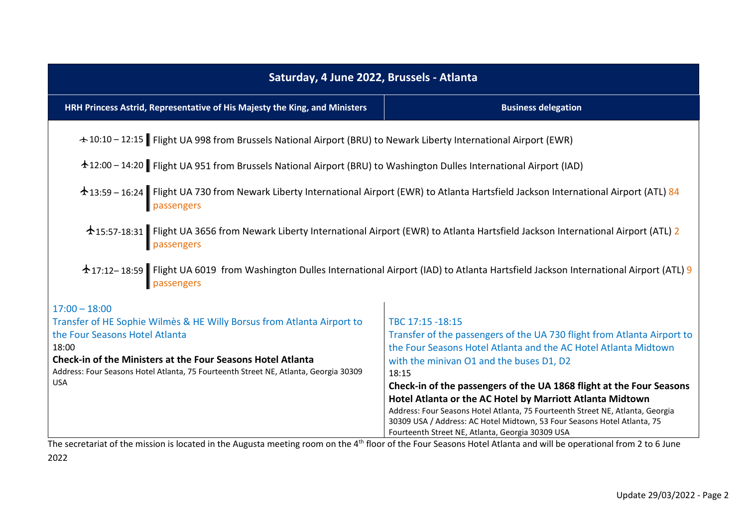| Saturday, 4 June 2022, Brussels - Atlanta                                                                                                                           |                                                                                |  |
|---------------------------------------------------------------------------------------------------------------------------------------------------------------------|--------------------------------------------------------------------------------|--|
| HRH Princess Astrid, Representative of His Majesty the King, and Ministers                                                                                          | <b>Business delegation</b>                                                     |  |
| + 10:10 - 12:15 Flight UA 998 from Brussels National Airport (BRU) to Newark Liberty International Airport (EWR)                                                    |                                                                                |  |
| 12:00 - 14:20 Flight UA 951 from Brussels National Airport (BRU) to Washington Dulles International Airport (IAD)                                                   |                                                                                |  |
| $\triangle$ 13:59 – 16:24 Flight UA 730 from Newark Liberty International Airport (EWR) to Atlanta Hartsfield Jackson International Airport (ATL) 84                |                                                                                |  |
| ★15:57-18:31 Flight UA 3656 from Newark Liberty International Airport (EWR) to Atlanta Hartsfield Jackson International Airport (ATL) 2                             |                                                                                |  |
| ★17:12–18:59 Flight UA 6019 from Washington Dulles International Airport (IAD) to Atlanta Hartsfield Jackson International Airport (ATL) 9                          |                                                                                |  |
| $17:00 - 18:00$                                                                                                                                                     |                                                                                |  |
| Transfer of HE Sophie Wilmès & HE Willy Borsus from Atlanta Airport to                                                                                              | TBC 17:15 -18:15                                                               |  |
| the Four Seasons Hotel Atlanta                                                                                                                                      | Transfer of the passengers of the UA 730 flight from Atlanta Airport to        |  |
| 18:00                                                                                                                                                               | the Four Seasons Hotel Atlanta and the AC Hotel Atlanta Midtown                |  |
| Check-in of the Ministers at the Four Seasons Hotel Atlanta<br>Address: Four Seasons Hotel Atlanta, 75 Fourteenth Street NE, Atlanta, Georgia 30309                 | with the minivan O1 and the buses D1, D2<br>18:15                              |  |
| <b>USA</b>                                                                                                                                                          | Check-in of the passengers of the UA 1868 flight at the Four Seasons           |  |
|                                                                                                                                                                     | Hotel Atlanta or the AC Hotel by Marriott Atlanta Midtown                      |  |
|                                                                                                                                                                     | Address: Four Seasons Hotel Atlanta, 75 Fourteenth Street NE, Atlanta, Georgia |  |
|                                                                                                                                                                     | 30309 USA / Address: AC Hotel Midtown, 53 Four Seasons Hotel Atlanta, 75       |  |
| The secretariat of the mission is located in the Augusta meeting room on the $4th$ floor of the Four Seasons Hotel Atlanta and will be operational from 2 to 6 lune | Fourteenth Street NE, Atlanta, Georgia 30309 USA                               |  |

The secretariat of the mission is located in the Augusta meeting room on the 4th floor of the Four Seasons Hotel Atlanta and will be operational from 2 to 6 June 2022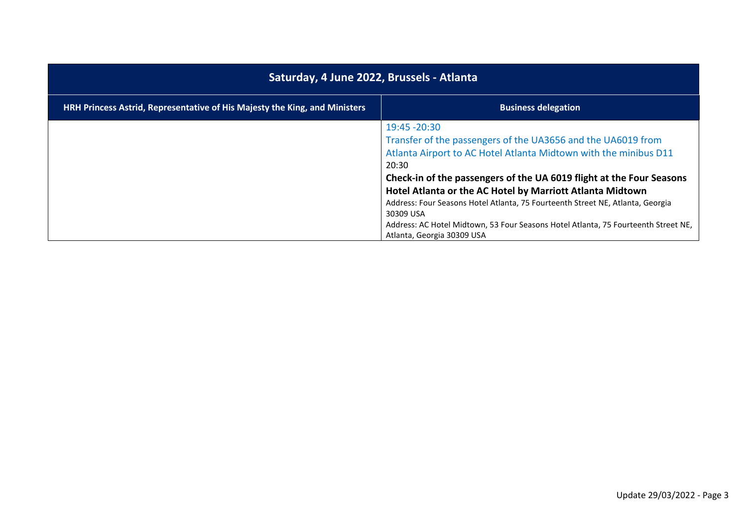| Saturday, 4 June 2022, Brussels - Atlanta                                         |                                                                                                                                                                                                                                                                                                                                                                                                                                                                                                                    |
|-----------------------------------------------------------------------------------|--------------------------------------------------------------------------------------------------------------------------------------------------------------------------------------------------------------------------------------------------------------------------------------------------------------------------------------------------------------------------------------------------------------------------------------------------------------------------------------------------------------------|
| <b>HRH Princess Astrid, Representative of His Majesty the King, and Ministers</b> | <b>Business delegation</b>                                                                                                                                                                                                                                                                                                                                                                                                                                                                                         |
|                                                                                   | 19:45 - 20:30<br>Transfer of the passengers of the UA3656 and the UA6019 from<br>Atlanta Airport to AC Hotel Atlanta Midtown with the minibus D11<br>20:30<br>Check-in of the passengers of the UA 6019 flight at the Four Seasons<br>Hotel Atlanta or the AC Hotel by Marriott Atlanta Midtown<br>Address: Four Seasons Hotel Atlanta, 75 Fourteenth Street NE, Atlanta, Georgia<br>30309 USA<br>Address: AC Hotel Midtown, 53 Four Seasons Hotel Atlanta, 75 Fourteenth Street NE,<br>Atlanta, Georgia 30309 USA |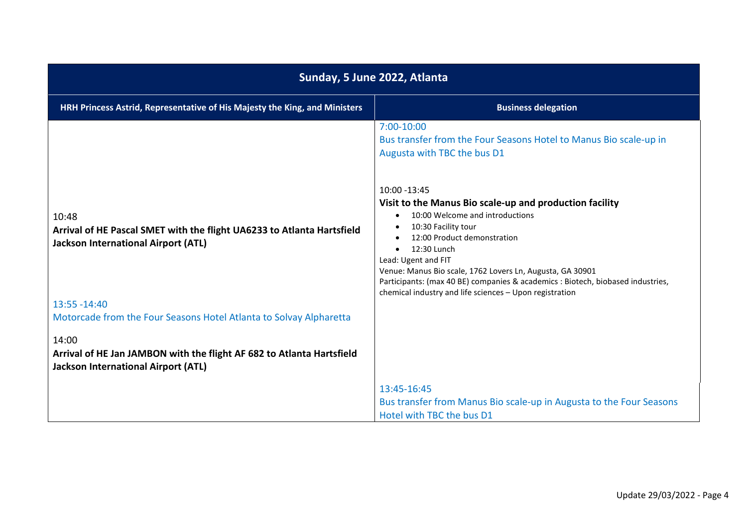| Sunday, 5 June 2022, Atlanta                                                                                                  |                                                                                                                                                                                                                                                                                                                             |
|-------------------------------------------------------------------------------------------------------------------------------|-----------------------------------------------------------------------------------------------------------------------------------------------------------------------------------------------------------------------------------------------------------------------------------------------------------------------------|
| HRH Princess Astrid, Representative of His Majesty the King, and Ministers                                                    | <b>Business delegation</b>                                                                                                                                                                                                                                                                                                  |
| 10:48<br>Arrival of HE Pascal SMET with the flight UA6233 to Atlanta Hartsfield<br><b>Jackson International Airport (ATL)</b> | 7:00-10:00<br>Bus transfer from the Four Seasons Hotel to Manus Bio scale-up in<br>Augusta with TBC the bus D1<br>10:00 -13:45<br>Visit to the Manus Bio scale-up and production facility<br>10:00 Welcome and introductions<br>$\bullet$<br>10:30 Facility tour<br>$\bullet$<br>12:00 Product demonstration<br>12:30 Lunch |
|                                                                                                                               | Lead: Ugent and FIT<br>Venue: Manus Bio scale, 1762 Lovers Ln, Augusta, GA 30901<br>Participants: (max 40 BE) companies & academics : Biotech, biobased industries,<br>chemical industry and life sciences - Upon registration                                                                                              |
| $13:55 - 14:40$<br>Motorcade from the Four Seasons Hotel Atlanta to Solvay Alpharetta                                         |                                                                                                                                                                                                                                                                                                                             |
| 14:00<br>Arrival of HE Jan JAMBON with the flight AF 682 to Atlanta Hartsfield<br><b>Jackson International Airport (ATL)</b>  |                                                                                                                                                                                                                                                                                                                             |
|                                                                                                                               | 13:45-16:45<br>Bus transfer from Manus Bio scale-up in Augusta to the Four Seasons<br>Hotel with TBC the bus D1                                                                                                                                                                                                             |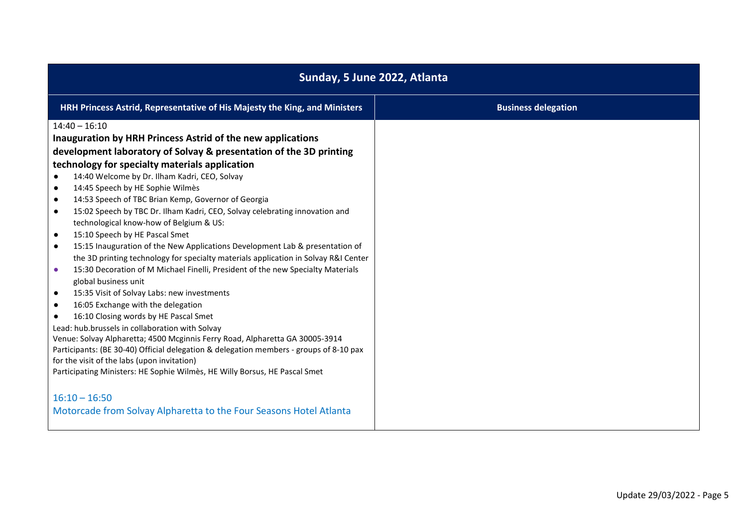| Sunday, 5 June 2022, Atlanta                                                                                                                                                                                                                                                                                                                                                                                                                                                                                                                                                                                                                                                                                                                                                                                                                                                                                                                                                                                                                                                                                                                                                                                                                                                                                                                                                                     |                            |
|--------------------------------------------------------------------------------------------------------------------------------------------------------------------------------------------------------------------------------------------------------------------------------------------------------------------------------------------------------------------------------------------------------------------------------------------------------------------------------------------------------------------------------------------------------------------------------------------------------------------------------------------------------------------------------------------------------------------------------------------------------------------------------------------------------------------------------------------------------------------------------------------------------------------------------------------------------------------------------------------------------------------------------------------------------------------------------------------------------------------------------------------------------------------------------------------------------------------------------------------------------------------------------------------------------------------------------------------------------------------------------------------------|----------------------------|
| HRH Princess Astrid, Representative of His Majesty the King, and Ministers                                                                                                                                                                                                                                                                                                                                                                                                                                                                                                                                                                                                                                                                                                                                                                                                                                                                                                                                                                                                                                                                                                                                                                                                                                                                                                                       | <b>Business delegation</b> |
| $14:40 - 16:10$<br>Inauguration by HRH Princess Astrid of the new applications<br>development laboratory of Solvay & presentation of the 3D printing<br>technology for specialty materials application<br>14:40 Welcome by Dr. Ilham Kadri, CEO, Solvay<br>14:45 Speech by HE Sophie Wilmès<br>$\bullet$<br>14:53 Speech of TBC Brian Kemp, Governor of Georgia<br>$\bullet$<br>15:02 Speech by TBC Dr. Ilham Kadri, CEO, Solvay celebrating innovation and<br>$\bullet$<br>technological know-how of Belgium & US:<br>15:10 Speech by HE Pascal Smet<br>$\bullet$<br>15:15 Inauguration of the New Applications Development Lab & presentation of<br>$\bullet$<br>the 3D printing technology for specialty materials application in Solvay R&I Center<br>15:30 Decoration of M Michael Finelli, President of the new Specialty Materials<br>$\bullet$<br>global business unit<br>15:35 Visit of Solvay Labs: new investments<br>$\bullet$<br>16:05 Exchange with the delegation<br>$\bullet$<br>16:10 Closing words by HE Pascal Smet<br>Lead: hub.brussels in collaboration with Solvay<br>Venue: Solvay Alpharetta; 4500 Mcginnis Ferry Road, Alpharetta GA 30005-3914<br>Participants: (BE 30-40) Official delegation & delegation members - groups of 8-10 pax<br>for the visit of the labs (upon invitation)<br>Participating Ministers: HE Sophie Wilmès, HE Willy Borsus, HE Pascal Smet |                            |
| $16:10 - 16:50$<br>Motorcade from Solvay Alpharetta to the Four Seasons Hotel Atlanta                                                                                                                                                                                                                                                                                                                                                                                                                                                                                                                                                                                                                                                                                                                                                                                                                                                                                                                                                                                                                                                                                                                                                                                                                                                                                                            |                            |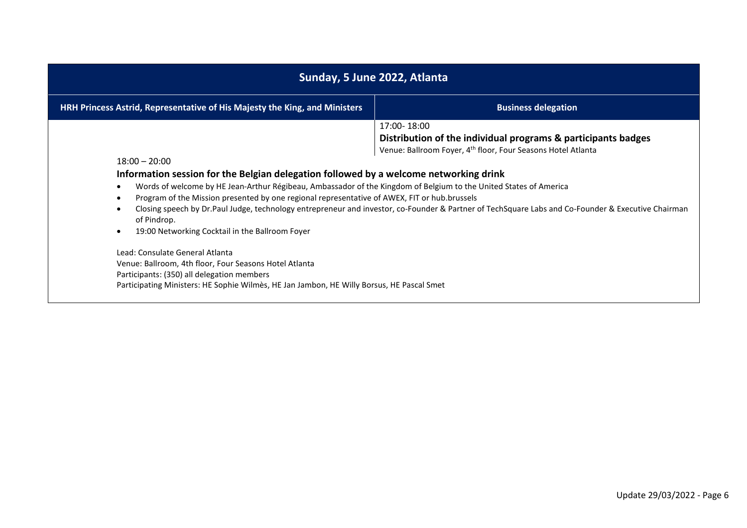| Sunday, 5 June 2022, Atlanta                                                                                                                                                                                                                                                                                                                                                                                                                                                                                                                                                                                                                                                                                      |                            |
|-------------------------------------------------------------------------------------------------------------------------------------------------------------------------------------------------------------------------------------------------------------------------------------------------------------------------------------------------------------------------------------------------------------------------------------------------------------------------------------------------------------------------------------------------------------------------------------------------------------------------------------------------------------------------------------------------------------------|----------------------------|
| HRH Princess Astrid, Representative of His Majesty the King, and Ministers                                                                                                                                                                                                                                                                                                                                                                                                                                                                                                                                                                                                                                        | <b>Business delegation</b> |
| 17:00-18:00<br>Distribution of the individual programs & participants badges<br>Venue: Ballroom Foyer, 4 <sup>th</sup> floor, Four Seasons Hotel Atlanta<br>$18:00 - 20:00$<br>Information session for the Belgian delegation followed by a welcome networking drink<br>Words of welcome by HE Jean-Arthur Régibeau, Ambassador of the Kingdom of Belgium to the United States of America<br>Program of the Mission presented by one regional representative of AWEX, FIT or hub.brussels<br>Closing speech by Dr.Paul Judge, technology entrepreneur and investor, co-Founder & Partner of TechSquare Labs and Co-Founder & Executive Chairman<br>of Pindrop.<br>19:00 Networking Cocktail in the Ballroom Foyer |                            |
| Lead: Consulate General Atlanta<br>Venue: Ballroom, 4th floor, Four Seasons Hotel Atlanta<br>Participants: (350) all delegation members<br>Participating Ministers: HE Sophie Wilmès, HE Jan Jambon, HE Willy Borsus, HE Pascal Smet                                                                                                                                                                                                                                                                                                                                                                                                                                                                              |                            |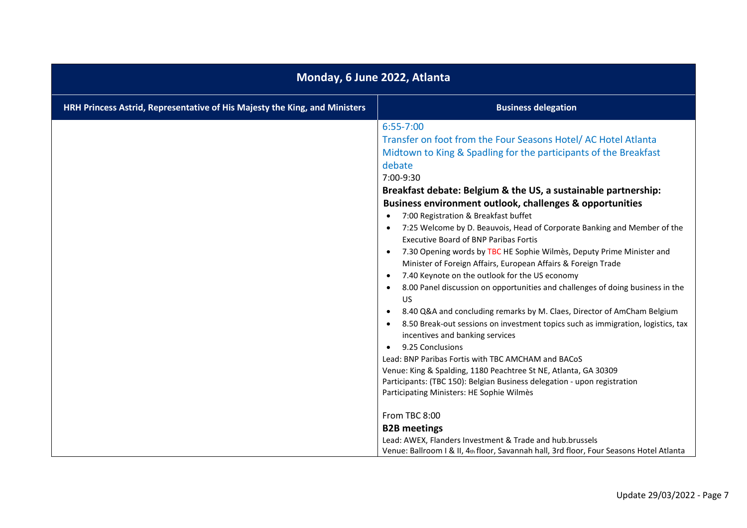| Monday, 6 June 2022, Atlanta                                                                                                                                                                                                                                                                                                                                                                                                                                                                                                                                                                                                                                                                                                                                                                                                                                                                                                                                                                                                                                                                                                                                                                                                                                                                                                                                                                                                                  |  |
|-----------------------------------------------------------------------------------------------------------------------------------------------------------------------------------------------------------------------------------------------------------------------------------------------------------------------------------------------------------------------------------------------------------------------------------------------------------------------------------------------------------------------------------------------------------------------------------------------------------------------------------------------------------------------------------------------------------------------------------------------------------------------------------------------------------------------------------------------------------------------------------------------------------------------------------------------------------------------------------------------------------------------------------------------------------------------------------------------------------------------------------------------------------------------------------------------------------------------------------------------------------------------------------------------------------------------------------------------------------------------------------------------------------------------------------------------|--|
| <b>Business delegation</b>                                                                                                                                                                                                                                                                                                                                                                                                                                                                                                                                                                                                                                                                                                                                                                                                                                                                                                                                                                                                                                                                                                                                                                                                                                                                                                                                                                                                                    |  |
| $6:55 - 7:00$<br>Transfer on foot from the Four Seasons Hotel/AC Hotel Atlanta<br>Midtown to King & Spadling for the participants of the Breakfast<br>debate<br>7:00-9:30<br>Breakfast debate: Belgium & the US, a sustainable partnership:<br>Business environment outlook, challenges & opportunities<br>7:00 Registration & Breakfast buffet<br>7:25 Welcome by D. Beauvois, Head of Corporate Banking and Member of the<br><b>Executive Board of BNP Paribas Fortis</b><br>7.30 Opening words by TBC HE Sophie Wilmès, Deputy Prime Minister and<br>Minister of Foreign Affairs, European Affairs & Foreign Trade<br>7.40 Keynote on the outlook for the US economy<br>8.00 Panel discussion on opportunities and challenges of doing business in the<br><b>US</b><br>8.40 Q&A and concluding remarks by M. Claes, Director of AmCham Belgium<br>8.50 Break-out sessions on investment topics such as immigration, logistics, tax<br>incentives and banking services<br>9.25 Conclusions<br>Lead: BNP Paribas Fortis with TBC AMCHAM and BACoS<br>Venue: King & Spalding, 1180 Peachtree St NE, Atlanta, GA 30309<br>Participants: (TBC 150): Belgian Business delegation - upon registration<br>Participating Ministers: HE Sophie Wilmès<br>From TBC 8:00<br><b>B2B</b> meetings<br>Lead: AWEX, Flanders Investment & Trade and hub.brussels<br>Venue: Ballroom I & II, 4th floor, Savannah hall, 3rd floor, Four Seasons Hotel Atlanta |  |
|                                                                                                                                                                                                                                                                                                                                                                                                                                                                                                                                                                                                                                                                                                                                                                                                                                                                                                                                                                                                                                                                                                                                                                                                                                                                                                                                                                                                                                               |  |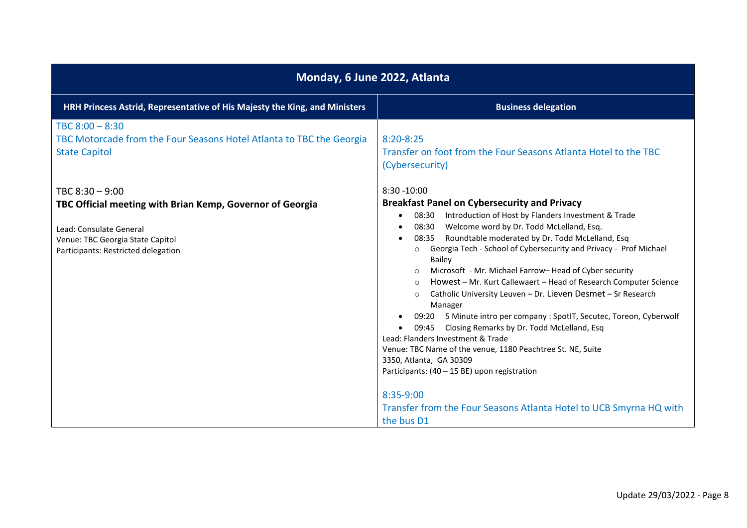| Monday, 6 June 2022, Atlanta                                                                                                                                    |                                                                                                                                                                                                                                                                                                                                                                                                                                                                                                                                                                                                                                                                                                                                                                                                                                                                                                     |
|-----------------------------------------------------------------------------------------------------------------------------------------------------------------|-----------------------------------------------------------------------------------------------------------------------------------------------------------------------------------------------------------------------------------------------------------------------------------------------------------------------------------------------------------------------------------------------------------------------------------------------------------------------------------------------------------------------------------------------------------------------------------------------------------------------------------------------------------------------------------------------------------------------------------------------------------------------------------------------------------------------------------------------------------------------------------------------------|
| HRH Princess Astrid, Representative of His Majesty the King, and Ministers                                                                                      | <b>Business delegation</b>                                                                                                                                                                                                                                                                                                                                                                                                                                                                                                                                                                                                                                                                                                                                                                                                                                                                          |
| TBC $8:00 - 8:30$<br>TBC Motorcade from the Four Seasons Hotel Atlanta to TBC the Georgia<br><b>State Capitol</b>                                               | $8:20 - 8:25$<br>Transfer on foot from the Four Seasons Atlanta Hotel to the TBC<br>(Cybersecurity)                                                                                                                                                                                                                                                                                                                                                                                                                                                                                                                                                                                                                                                                                                                                                                                                 |
| TBC $8:30 - 9:00$                                                                                                                                               | $8:30 - 10:00$                                                                                                                                                                                                                                                                                                                                                                                                                                                                                                                                                                                                                                                                                                                                                                                                                                                                                      |
| TBC Official meeting with Brian Kemp, Governor of Georgia<br>Lead: Consulate General<br>Venue: TBC Georgia State Capitol<br>Participants: Restricted delegation | <b>Breakfast Panel on Cybersecurity and Privacy</b><br>Introduction of Host by Flanders Investment & Trade<br>08:30<br>$\bullet$<br>Welcome word by Dr. Todd McLelland, Esq.<br>08:30<br>٠<br>Roundtable moderated by Dr. Todd McLelland, Esq<br>08:35<br>$\bullet$<br>Georgia Tech - School of Cybersecurity and Privacy - Prof Michael<br>Bailey<br>Microsoft - Mr. Michael Farrow-Head of Cyber security<br>Howest - Mr. Kurt Callewaert - Head of Research Computer Science<br>$\circ$<br>Catholic University Leuven - Dr. Lieven Desmet - Sr Research<br>$\circ$<br>Manager<br>09:20 5 Minute intro per company : SpotIT, Secutec, Toreon, Cyberwolf<br>Closing Remarks by Dr. Todd McLelland, Esq<br>09:45<br>٠<br>Lead: Flanders Investment & Trade<br>Venue: TBC Name of the venue, 1180 Peachtree St. NE, Suite<br>3350, Atlanta, GA 30309<br>Participants: (40 - 15 BE) upon registration |
|                                                                                                                                                                 | 8:35-9:00<br>Transfer from the Four Seasons Atlanta Hotel to UCB Smyrna HQ with<br>the bus D1                                                                                                                                                                                                                                                                                                                                                                                                                                                                                                                                                                                                                                                                                                                                                                                                       |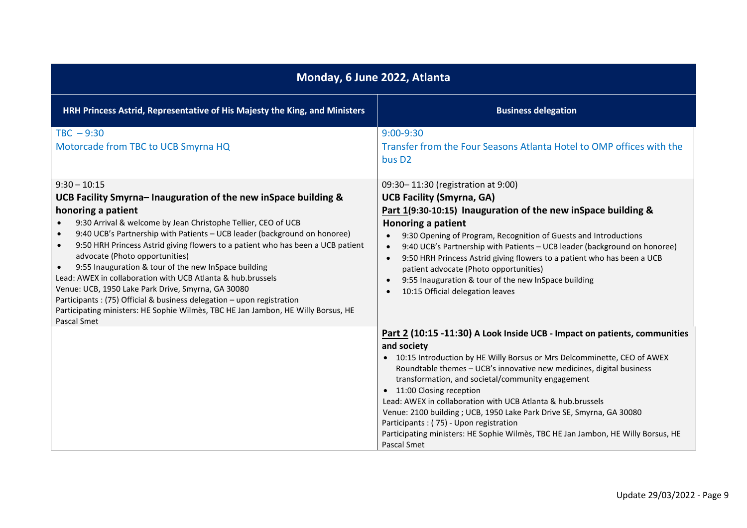| Monday, 6 June 2022, Atlanta                                                                                                                                                                                                                                                                                                                                                                                                                                                                                                                                                                                                                                                                                                         |                                                                                                                                                                                                                                                                                                                                                                                                                                                                                                                                                                                                                        |
|--------------------------------------------------------------------------------------------------------------------------------------------------------------------------------------------------------------------------------------------------------------------------------------------------------------------------------------------------------------------------------------------------------------------------------------------------------------------------------------------------------------------------------------------------------------------------------------------------------------------------------------------------------------------------------------------------------------------------------------|------------------------------------------------------------------------------------------------------------------------------------------------------------------------------------------------------------------------------------------------------------------------------------------------------------------------------------------------------------------------------------------------------------------------------------------------------------------------------------------------------------------------------------------------------------------------------------------------------------------------|
| HRH Princess Astrid, Representative of His Majesty the King, and Ministers                                                                                                                                                                                                                                                                                                                                                                                                                                                                                                                                                                                                                                                           | <b>Business delegation</b>                                                                                                                                                                                                                                                                                                                                                                                                                                                                                                                                                                                             |
| $TBC - 9:30$<br>Motorcade from TBC to UCB Smyrna HQ                                                                                                                                                                                                                                                                                                                                                                                                                                                                                                                                                                                                                                                                                  | $9:00 - 9:30$<br>Transfer from the Four Seasons Atlanta Hotel to OMP offices with the<br>bus D <sub>2</sub>                                                                                                                                                                                                                                                                                                                                                                                                                                                                                                            |
| $9:30 - 10:15$<br>UCB Facility Smyrna- Inauguration of the new inSpace building &<br>honoring a patient<br>9:30 Arrival & welcome by Jean Christophe Tellier, CEO of UCB<br>9:40 UCB's Partnership with Patients - UCB leader (background on honoree)<br>9:50 HRH Princess Astrid giving flowers to a patient who has been a UCB patient<br>advocate (Photo opportunities)<br>9:55 Inauguration & tour of the new InSpace building<br>Lead: AWEX in collaboration with UCB Atlanta & hub.brussels<br>Venue: UCB, 1950 Lake Park Drive, Smyrna, GA 30080<br>Participants: (75) Official & business delegation - upon registration<br>Participating ministers: HE Sophie Wilmès, TBC HE Jan Jambon, HE Willy Borsus, HE<br>Pascal Smet | 09:30-11:30 (registration at 9:00)<br><b>UCB Facility (Smyrna, GA)</b><br>Part 1(9:30-10:15) Inauguration of the new inSpace building &<br><b>Honoring a patient</b><br>9:30 Opening of Program, Recognition of Guests and Introductions<br>9:40 UCB's Partnership with Patients - UCB leader (background on honoree)<br>9:50 HRH Princess Astrid giving flowers to a patient who has been a UCB<br>$\bullet$<br>patient advocate (Photo opportunities)<br>9:55 Inauguration & tour of the new InSpace building<br>10:15 Official delegation leaves                                                                    |
|                                                                                                                                                                                                                                                                                                                                                                                                                                                                                                                                                                                                                                                                                                                                      | Part 2 (10:15 -11:30) A Look Inside UCB - Impact on patients, communities<br>and society<br>• 10:15 Introduction by HE Willy Borsus or Mrs Delcomminette, CEO of AWEX<br>Roundtable themes - UCB's innovative new medicines, digital business<br>transformation, and societal/community engagement<br>• 11:00 Closing reception<br>Lead: AWEX in collaboration with UCB Atlanta & hub.brussels<br>Venue: 2100 building ; UCB, 1950 Lake Park Drive SE, Smyrna, GA 30080<br>Participants : (75) - Upon registration<br>Participating ministers: HE Sophie Wilmès, TBC HE Jan Jambon, HE Willy Borsus, HE<br>Pascal Smet |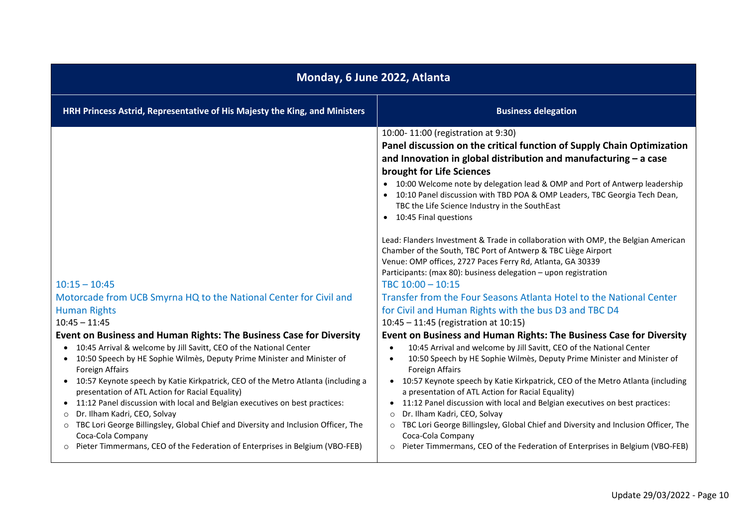| Monday, 6 June 2022, Atlanta                                                                                                                                                                                                                                                                                                                                                                                                                                                                                                                                                                                                                                                                                                                          |                                                                                                                                                                                                                                                                                                                                                                                                                                                                                                                                                                                                                                                                                                                                                                                                                                                                                                                                                                                                                                                                                                                                                                                                                                                                                                                                                                                                                                                                                                                                                                                                                      |
|-------------------------------------------------------------------------------------------------------------------------------------------------------------------------------------------------------------------------------------------------------------------------------------------------------------------------------------------------------------------------------------------------------------------------------------------------------------------------------------------------------------------------------------------------------------------------------------------------------------------------------------------------------------------------------------------------------------------------------------------------------|----------------------------------------------------------------------------------------------------------------------------------------------------------------------------------------------------------------------------------------------------------------------------------------------------------------------------------------------------------------------------------------------------------------------------------------------------------------------------------------------------------------------------------------------------------------------------------------------------------------------------------------------------------------------------------------------------------------------------------------------------------------------------------------------------------------------------------------------------------------------------------------------------------------------------------------------------------------------------------------------------------------------------------------------------------------------------------------------------------------------------------------------------------------------------------------------------------------------------------------------------------------------------------------------------------------------------------------------------------------------------------------------------------------------------------------------------------------------------------------------------------------------------------------------------------------------------------------------------------------------|
| HRH Princess Astrid, Representative of His Majesty the King, and Ministers                                                                                                                                                                                                                                                                                                                                                                                                                                                                                                                                                                                                                                                                            | <b>Business delegation</b>                                                                                                                                                                                                                                                                                                                                                                                                                                                                                                                                                                                                                                                                                                                                                                                                                                                                                                                                                                                                                                                                                                                                                                                                                                                                                                                                                                                                                                                                                                                                                                                           |
| $10:15 - 10:45$<br>Motorcade from UCB Smyrna HQ to the National Center for Civil and<br><b>Human Rights</b><br>$10:45 - 11:45$<br>Event on Business and Human Rights: The Business Case for Diversity<br>10:45 Arrival & welcome by Jill Savitt, CEO of the National Center<br>10:50 Speech by HE Sophie Wilmès, Deputy Prime Minister and Minister of<br>Foreign Affairs<br>10:57 Keynote speech by Katie Kirkpatrick, CEO of the Metro Atlanta (including a<br>presentation of ATL Action for Racial Equality)<br>11:12 Panel discussion with local and Belgian executives on best practices:<br>Dr. Ilham Kadri, CEO, Solvay<br>$\circ$<br>TBC Lori George Billingsley, Global Chief and Diversity and Inclusion Officer, The<br>Coca-Cola Company | 10:00-11:00 (registration at 9:30)<br>Panel discussion on the critical function of Supply Chain Optimization<br>and Innovation in global distribution and manufacturing $-$ a case<br>brought for Life Sciences<br>• 10:00 Welcome note by delegation lead & OMP and Port of Antwerp leadership<br>10:10 Panel discussion with TBD POA & OMP Leaders, TBC Georgia Tech Dean,<br>TBC the Life Science Industry in the SouthEast<br>• 10:45 Final questions<br>Lead: Flanders Investment & Trade in collaboration with OMP, the Belgian American<br>Chamber of the South, TBC Port of Antwerp & TBC Liège Airport<br>Venue: OMP offices, 2727 Paces Ferry Rd, Atlanta, GA 30339<br>Participants: (max 80): business delegation - upon registration<br>TBC 10:00 - 10:15<br>Transfer from the Four Seasons Atlanta Hotel to the National Center<br>for Civil and Human Rights with the bus D3 and TBC D4<br>10:45 - 11:45 (registration at 10:15)<br>Event on Business and Human Rights: The Business Case for Diversity<br>10:45 Arrival and welcome by Jill Savitt, CEO of the National Center<br>$\bullet$<br>10:50 Speech by HE Sophie Wilmès, Deputy Prime Minister and Minister of<br>$\bullet$<br><b>Foreign Affairs</b><br>10:57 Keynote speech by Katie Kirkpatrick, CEO of the Metro Atlanta (including<br>a presentation of ATL Action for Racial Equality)<br>11:12 Panel discussion with local and Belgian executives on best practices:<br>Dr. Ilham Kadri, CEO, Solvay<br>$\Omega$<br>TBC Lori George Billingsley, Global Chief and Diversity and Inclusion Officer, The<br>$\circ$<br>Coca-Cola Company |
| Pieter Timmermans, CEO of the Federation of Enterprises in Belgium (VBO-FEB)                                                                                                                                                                                                                                                                                                                                                                                                                                                                                                                                                                                                                                                                          | Pieter Timmermans, CEO of the Federation of Enterprises in Belgium (VBO-FEB)                                                                                                                                                                                                                                                                                                                                                                                                                                                                                                                                                                                                                                                                                                                                                                                                                                                                                                                                                                                                                                                                                                                                                                                                                                                                                                                                                                                                                                                                                                                                         |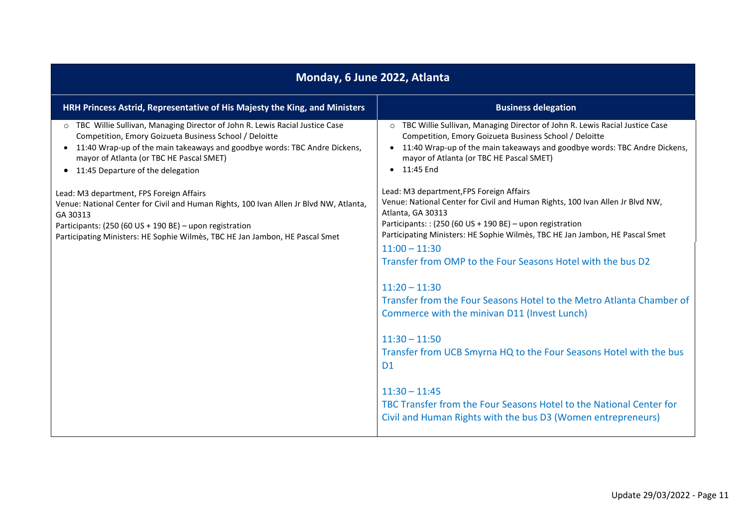| Monday, 6 June 2022, Atlanta                                                                                                                                                                                                                                                                                                |                                                                                                                                                                                                                                                                                            |
|-----------------------------------------------------------------------------------------------------------------------------------------------------------------------------------------------------------------------------------------------------------------------------------------------------------------------------|--------------------------------------------------------------------------------------------------------------------------------------------------------------------------------------------------------------------------------------------------------------------------------------------|
| HRH Princess Astrid, Representative of His Majesty the King, and Ministers                                                                                                                                                                                                                                                  | <b>Business delegation</b>                                                                                                                                                                                                                                                                 |
| TBC Willie Sullivan, Managing Director of John R. Lewis Racial Justice Case<br>$\circ$<br>Competition, Emory Goizueta Business School / Deloitte<br>11:40 Wrap-up of the main takeaways and goodbye words: TBC Andre Dickens,<br>$\bullet$<br>mayor of Atlanta (or TBC HE Pascal SMET)<br>11:45 Departure of the delegation | TBC Willie Sullivan, Managing Director of John R. Lewis Racial Justice Case<br>Competition, Emory Goizueta Business School / Deloitte<br>• 11:40 Wrap-up of the main takeaways and goodbye words: TBC Andre Dickens,<br>mayor of Atlanta (or TBC HE Pascal SMET)<br>$\bullet$ 11:45 End    |
| Lead: M3 department, FPS Foreign Affairs<br>Venue: National Center for Civil and Human Rights, 100 Ivan Allen Jr Blvd NW, Atlanta,<br>GA 30313<br>Participants: (250 (60 US + 190 BE) - upon registration<br>Participating Ministers: HE Sophie Wilmès, TBC HE Jan Jambon, HE Pascal Smet                                   | Lead: M3 department, FPS Foreign Affairs<br>Venue: National Center for Civil and Human Rights, 100 Ivan Allen Jr Blvd NW,<br>Atlanta, GA 30313<br>Participants:: (250 (60 US + 190 BE) - upon registration<br>Participating Ministers: HE Sophie Wilmès, TBC HE Jan Jambon, HE Pascal Smet |
|                                                                                                                                                                                                                                                                                                                             | $11:00 - 11:30$<br>Transfer from OMP to the Four Seasons Hotel with the bus D2                                                                                                                                                                                                             |
|                                                                                                                                                                                                                                                                                                                             | $11:20 - 11:30$<br>Transfer from the Four Seasons Hotel to the Metro Atlanta Chamber of<br>Commerce with the minivan D11 (Invest Lunch)                                                                                                                                                    |
|                                                                                                                                                                                                                                                                                                                             | $11:30 - 11:50$<br>Transfer from UCB Smyrna HQ to the Four Seasons Hotel with the bus<br>D <sub>1</sub>                                                                                                                                                                                    |
|                                                                                                                                                                                                                                                                                                                             | $11:30 - 11:45$<br>TBC Transfer from the Four Seasons Hotel to the National Center for<br>Civil and Human Rights with the bus D3 (Women entrepreneurs)                                                                                                                                     |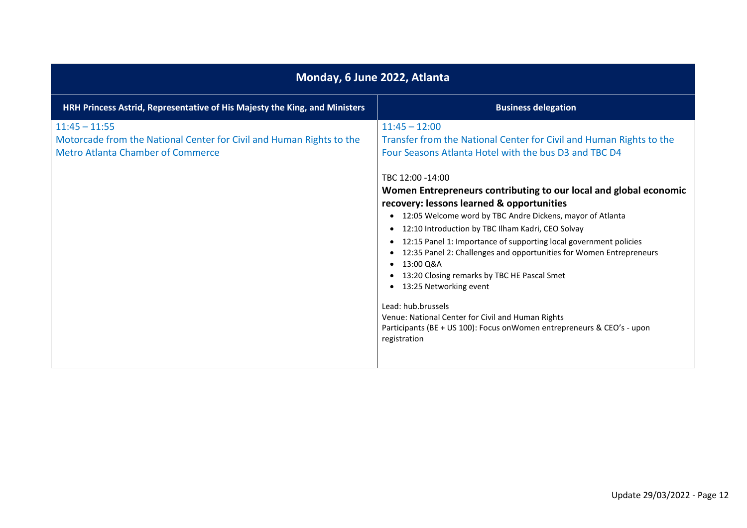| Monday, 6 June 2022, Atlanta                                                                                                        |                                                                                                                                                                                                                                                                                                                                                                                                                                                                                                                                                                                                                                                                                                                                                                                                                                                                                                            |
|-------------------------------------------------------------------------------------------------------------------------------------|------------------------------------------------------------------------------------------------------------------------------------------------------------------------------------------------------------------------------------------------------------------------------------------------------------------------------------------------------------------------------------------------------------------------------------------------------------------------------------------------------------------------------------------------------------------------------------------------------------------------------------------------------------------------------------------------------------------------------------------------------------------------------------------------------------------------------------------------------------------------------------------------------------|
| HRH Princess Astrid, Representative of His Majesty the King, and Ministers                                                          | <b>Business delegation</b>                                                                                                                                                                                                                                                                                                                                                                                                                                                                                                                                                                                                                                                                                                                                                                                                                                                                                 |
| $11:45 - 11:55$<br>Motorcade from the National Center for Civil and Human Rights to the<br><b>Metro Atlanta Chamber of Commerce</b> | $11:45 - 12:00$<br>Transfer from the National Center for Civil and Human Rights to the<br>Four Seasons Atlanta Hotel with the bus D3 and TBC D4<br>TBC 12:00 -14:00<br>Women Entrepreneurs contributing to our local and global economic<br>recovery: lessons learned & opportunities<br>12:05 Welcome word by TBC Andre Dickens, mayor of Atlanta<br>$\bullet$<br>12:10 Introduction by TBC Ilham Kadri, CEO Solvay<br>$\bullet$<br>12:15 Panel 1: Importance of supporting local government policies<br>$\bullet$<br>12:35 Panel 2: Challenges and opportunities for Women Entrepreneurs<br>$\bullet$<br>13:00 Q&A<br>$\bullet$<br>13:20 Closing remarks by TBC HE Pascal Smet<br>$\bullet$<br>13:25 Networking event<br>$\bullet$<br>Lead: hub.brussels<br>Venue: National Center for Civil and Human Rights<br>Participants (BE + US 100): Focus on Women entrepreneurs & CEO's - upon<br>registration |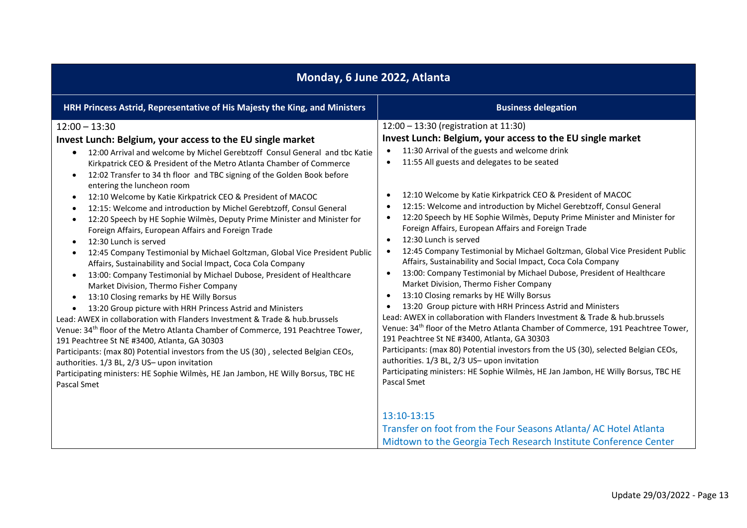| Monday, 6 June 2022, Atlanta                                                                                                                                                                                                                                                                                                                                                                                                                                                                                                                                                                                                                                                                                                                                                                                                                                                                                                                                                                                                                                                                                                                                                                                                                                                                                                                                                                                                                                                                                                                                                                                                             |                                                                                                                                                                                                                                                                                                                                                                                                                                                                                                                                                                                                                                                                                                                                                                                                                                                                                                                                                                                                                                                                                                                                                                                                                                                                                                                                                                                                                  |
|------------------------------------------------------------------------------------------------------------------------------------------------------------------------------------------------------------------------------------------------------------------------------------------------------------------------------------------------------------------------------------------------------------------------------------------------------------------------------------------------------------------------------------------------------------------------------------------------------------------------------------------------------------------------------------------------------------------------------------------------------------------------------------------------------------------------------------------------------------------------------------------------------------------------------------------------------------------------------------------------------------------------------------------------------------------------------------------------------------------------------------------------------------------------------------------------------------------------------------------------------------------------------------------------------------------------------------------------------------------------------------------------------------------------------------------------------------------------------------------------------------------------------------------------------------------------------------------------------------------------------------------|------------------------------------------------------------------------------------------------------------------------------------------------------------------------------------------------------------------------------------------------------------------------------------------------------------------------------------------------------------------------------------------------------------------------------------------------------------------------------------------------------------------------------------------------------------------------------------------------------------------------------------------------------------------------------------------------------------------------------------------------------------------------------------------------------------------------------------------------------------------------------------------------------------------------------------------------------------------------------------------------------------------------------------------------------------------------------------------------------------------------------------------------------------------------------------------------------------------------------------------------------------------------------------------------------------------------------------------------------------------------------------------------------------------|
| HRH Princess Astrid, Representative of His Majesty the King, and Ministers                                                                                                                                                                                                                                                                                                                                                                                                                                                                                                                                                                                                                                                                                                                                                                                                                                                                                                                                                                                                                                                                                                                                                                                                                                                                                                                                                                                                                                                                                                                                                               | <b>Business delegation</b>                                                                                                                                                                                                                                                                                                                                                                                                                                                                                                                                                                                                                                                                                                                                                                                                                                                                                                                                                                                                                                                                                                                                                                                                                                                                                                                                                                                       |
| $12:00 - 13:30$<br>Invest Lunch: Belgium, your access to the EU single market<br>12:00 Arrival and welcome by Michel Gerebtzoff Consul General and tbc Katie<br>$\bullet$<br>Kirkpatrick CEO & President of the Metro Atlanta Chamber of Commerce<br>12:02 Transfer to 34 th floor and TBC signing of the Golden Book before<br>$\bullet$<br>entering the luncheon room<br>12:10 Welcome by Katie Kirkpatrick CEO & President of MACOC<br>$\bullet$<br>12:15: Welcome and introduction by Michel Gerebtzoff, Consul General<br>$\bullet$<br>12:20 Speech by HE Sophie Wilmès, Deputy Prime Minister and Minister for<br>$\bullet$<br>Foreign Affairs, European Affairs and Foreign Trade<br>12:30 Lunch is served<br>$\bullet$<br>12:45 Company Testimonial by Michael Goltzman, Global Vice President Public<br>$\bullet$<br>Affairs, Sustainability and Social Impact, Coca Cola Company<br>13:00: Company Testimonial by Michael Dubose, President of Healthcare<br>$\bullet$<br>Market Division, Thermo Fisher Company<br>13:10 Closing remarks by HE Willy Borsus<br>$\bullet$<br>13:20 Group picture with HRH Princess Astrid and Ministers<br>$\bullet$<br>Lead: AWEX in collaboration with Flanders Investment & Trade & hub.brussels<br>Venue: 34 <sup>th</sup> floor of the Metro Atlanta Chamber of Commerce, 191 Peachtree Tower,<br>191 Peachtree St NE #3400, Atlanta, GA 30303<br>Participants: (max 80) Potential investors from the US (30), selected Belgian CEOs,<br>authorities. 1/3 BL, 2/3 US- upon invitation<br>Participating ministers: HE Sophie Wilmès, HE Jan Jambon, HE Willy Borsus, TBC HE<br>Pascal Smet | 12:00 - 13:30 (registration at 11:30)<br>Invest Lunch: Belgium, your access to the EU single market<br>11:30 Arrival of the guests and welcome drink<br>11:55 All guests and delegates to be seated<br>$\bullet$<br>12:10 Welcome by Katie Kirkpatrick CEO & President of MACOC<br>12:15: Welcome and introduction by Michel Gerebtzoff, Consul General<br>12:20 Speech by HE Sophie Wilmès, Deputy Prime Minister and Minister for<br>Foreign Affairs, European Affairs and Foreign Trade<br>12:30 Lunch is served<br>$\bullet$<br>12:45 Company Testimonial by Michael Goltzman, Global Vice President Public<br>Affairs, Sustainability and Social Impact, Coca Cola Company<br>13:00: Company Testimonial by Michael Dubose, President of Healthcare<br>$\bullet$<br>Market Division, Thermo Fisher Company<br>13:10 Closing remarks by HE Willy Borsus<br>$\bullet$<br>13:20 Group picture with HRH Princess Astrid and Ministers<br>Lead: AWEX in collaboration with Flanders Investment & Trade & hub.brussels<br>Venue: 34 <sup>th</sup> floor of the Metro Atlanta Chamber of Commerce, 191 Peachtree Tower,<br>191 Peachtree St NE #3400, Atlanta, GA 30303<br>Participants: (max 80) Potential investors from the US (30), selected Belgian CEOs,<br>authorities. 1/3 BL, 2/3 US- upon invitation<br>Participating ministers: HE Sophie Wilmès, HE Jan Jambon, HE Willy Borsus, TBC HE<br>Pascal Smet |
|                                                                                                                                                                                                                                                                                                                                                                                                                                                                                                                                                                                                                                                                                                                                                                                                                                                                                                                                                                                                                                                                                                                                                                                                                                                                                                                                                                                                                                                                                                                                                                                                                                          | 13:10-13:15<br>Transfer on foot from the Four Seasons Atlanta/ AC Hotel Atlanta<br>Midtown to the Georgia Tech Research Institute Conference Center                                                                                                                                                                                                                                                                                                                                                                                                                                                                                                                                                                                                                                                                                                                                                                                                                                                                                                                                                                                                                                                                                                                                                                                                                                                              |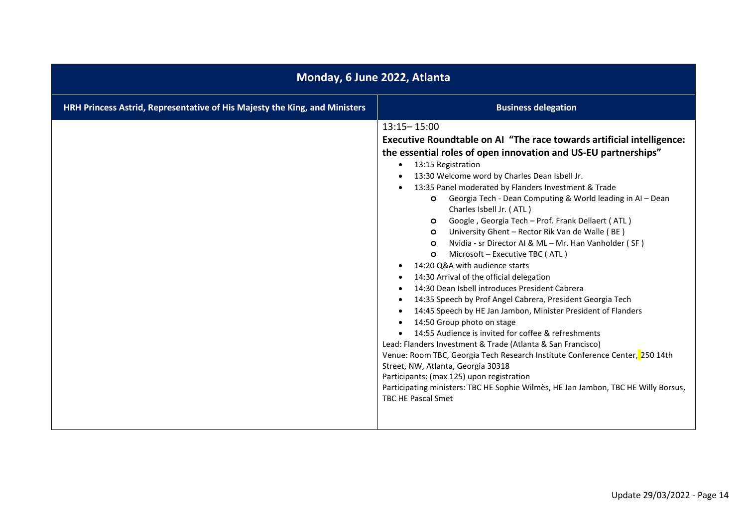| Monday, 6 June 2022, Atlanta                                               |                                                                                                                                                                                                                                                                                                                                                                                                                                                                                                                                                                                                                                                                                                                                                                                                                                                                                                                                                                                                                                                                                                                                                                                                                                                                                                                                                               |
|----------------------------------------------------------------------------|---------------------------------------------------------------------------------------------------------------------------------------------------------------------------------------------------------------------------------------------------------------------------------------------------------------------------------------------------------------------------------------------------------------------------------------------------------------------------------------------------------------------------------------------------------------------------------------------------------------------------------------------------------------------------------------------------------------------------------------------------------------------------------------------------------------------------------------------------------------------------------------------------------------------------------------------------------------------------------------------------------------------------------------------------------------------------------------------------------------------------------------------------------------------------------------------------------------------------------------------------------------------------------------------------------------------------------------------------------------|
| HRH Princess Astrid, Representative of His Majesty the King, and Ministers | <b>Business delegation</b>                                                                                                                                                                                                                                                                                                                                                                                                                                                                                                                                                                                                                                                                                                                                                                                                                                                                                                                                                                                                                                                                                                                                                                                                                                                                                                                                    |
|                                                                            | $13:15 - 15:00$<br>Executive Roundtable on AI "The race towards artificial intelligence:<br>the essential roles of open innovation and US-EU partnerships"<br>13:15 Registration<br>$\bullet$<br>13:30 Welcome word by Charles Dean Isbell Jr.<br>13:35 Panel moderated by Flanders Investment & Trade<br>Georgia Tech - Dean Computing & World leading in AI - Dean<br>$\circ$<br>Charles Isbell Jr. (ATL)<br>Google, Georgia Tech - Prof. Frank Dellaert (ATL)<br>$\circ$<br>University Ghent - Rector Rik Van de Walle (BE)<br>$\circ$<br>Nvidia - sr Director AI & ML - Mr. Han Vanholder (SF)<br>$\circ$<br>Microsoft - Executive TBC (ATL)<br>$\circ$<br>14:20 Q&A with audience starts<br>14:30 Arrival of the official delegation<br>14:30 Dean Isbell introduces President Cabrera<br>14:35 Speech by Prof Angel Cabrera, President Georgia Tech<br>14:45 Speech by HE Jan Jambon, Minister President of Flanders<br>14:50 Group photo on stage<br>14:55 Audience is invited for coffee & refreshments<br>Lead: Flanders Investment & Trade (Atlanta & San Francisco)<br>Venue: Room TBC, Georgia Tech Research Institute Conference Center, 250 14th<br>Street, NW, Atlanta, Georgia 30318<br>Participants: (max 125) upon registration<br>Participating ministers: TBC HE Sophie Wilmes, HE Jan Jambon, TBC HE Willy Borsus,<br>TBC HE Pascal Smet |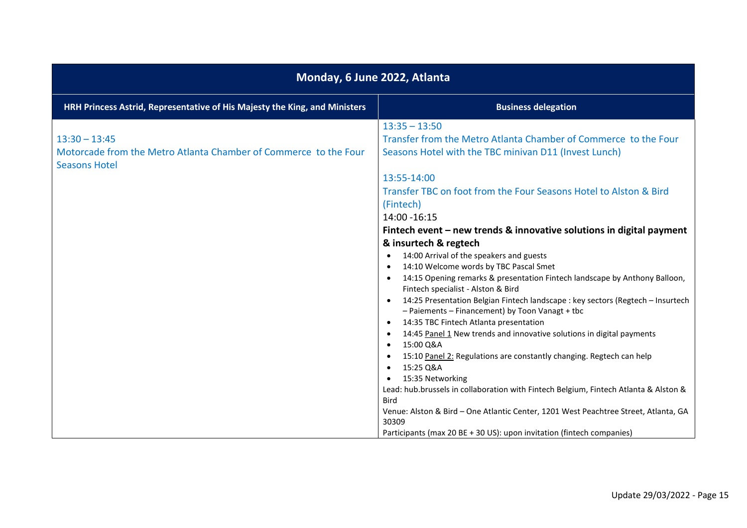| Monday, 6 June 2022, Atlanta                                                                                |                                                                                                                                                                                                                                                                                                                                                                                                                                                                                                                                                                                                                                                                                                                                                                                                                                                                                                                                                                                     |
|-------------------------------------------------------------------------------------------------------------|-------------------------------------------------------------------------------------------------------------------------------------------------------------------------------------------------------------------------------------------------------------------------------------------------------------------------------------------------------------------------------------------------------------------------------------------------------------------------------------------------------------------------------------------------------------------------------------------------------------------------------------------------------------------------------------------------------------------------------------------------------------------------------------------------------------------------------------------------------------------------------------------------------------------------------------------------------------------------------------|
| HRH Princess Astrid, Representative of His Majesty the King, and Ministers                                  | <b>Business delegation</b>                                                                                                                                                                                                                                                                                                                                                                                                                                                                                                                                                                                                                                                                                                                                                                                                                                                                                                                                                          |
| $13:30 - 13:45$<br>Motorcade from the Metro Atlanta Chamber of Commerce to the Four<br><b>Seasons Hotel</b> | $13:35 - 13:50$<br>Transfer from the Metro Atlanta Chamber of Commerce to the Four<br>Seasons Hotel with the TBC minivan D11 (Invest Lunch)<br>13:55-14:00                                                                                                                                                                                                                                                                                                                                                                                                                                                                                                                                                                                                                                                                                                                                                                                                                          |
|                                                                                                             | Transfer TBC on foot from the Four Seasons Hotel to Alston & Bird<br>(Fintech)<br>14:00 - 16:15                                                                                                                                                                                                                                                                                                                                                                                                                                                                                                                                                                                                                                                                                                                                                                                                                                                                                     |
|                                                                                                             | Fintech event – new trends & innovative solutions in digital payment<br>& insurtech & regtech<br>14:00 Arrival of the speakers and guests<br>$\bullet$<br>14:10 Welcome words by TBC Pascal Smet<br>14:15 Opening remarks & presentation Fintech landscape by Anthony Balloon,<br>Fintech specialist - Alston & Bird<br>14:25 Presentation Belgian Fintech landscape : key sectors (Regtech - Insurtech<br>- Paiements - Financement) by Toon Vanagt + tbc<br>14:35 TBC Fintech Atlanta presentation<br>14:45 Panel 1 New trends and innovative solutions in digital payments<br>15:00 Q&A<br>15:10 Panel 2: Regulations are constantly changing. Regtech can help<br>15:25 Q&A<br>15:35 Networking<br>Lead: hub.brussels in collaboration with Fintech Belgium, Fintech Atlanta & Alston &<br><b>Bird</b><br>Venue: Alston & Bird - One Atlantic Center, 1201 West Peachtree Street, Atlanta, GA<br>30309<br>Participants (max 20 BE + 30 US): upon invitation (fintech companies) |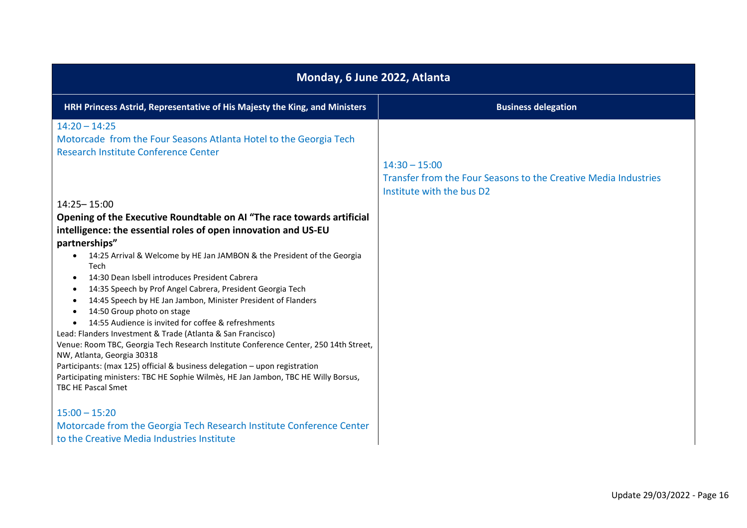| Monday, 6 June 2022, Atlanta                                                                                                                                                                                                                                                                                                                                                                                                                                                                                                                                                                                                                                                                                                                                                                                                                                                                                                                                                        |                                                                                                                 |
|-------------------------------------------------------------------------------------------------------------------------------------------------------------------------------------------------------------------------------------------------------------------------------------------------------------------------------------------------------------------------------------------------------------------------------------------------------------------------------------------------------------------------------------------------------------------------------------------------------------------------------------------------------------------------------------------------------------------------------------------------------------------------------------------------------------------------------------------------------------------------------------------------------------------------------------------------------------------------------------|-----------------------------------------------------------------------------------------------------------------|
| HRH Princess Astrid, Representative of His Majesty the King, and Ministers                                                                                                                                                                                                                                                                                                                                                                                                                                                                                                                                                                                                                                                                                                                                                                                                                                                                                                          | <b>Business delegation</b>                                                                                      |
| $14:20 - 14:25$<br>Motorcade from the Four Seasons Atlanta Hotel to the Georgia Tech<br>Research Institute Conference Center                                                                                                                                                                                                                                                                                                                                                                                                                                                                                                                                                                                                                                                                                                                                                                                                                                                        | $14:30 - 15:00$<br>Transfer from the Four Seasons to the Creative Media Industries<br>Institute with the bus D2 |
| 14:25 - 15:00<br>Opening of the Executive Roundtable on AI "The race towards artificial<br>intelligence: the essential roles of open innovation and US-EU<br>partnerships"<br>14:25 Arrival & Welcome by HE Jan JAMBON & the President of the Georgia<br>Tech<br>14:30 Dean Isbell introduces President Cabrera<br>$\bullet$<br>14:35 Speech by Prof Angel Cabrera, President Georgia Tech<br>$\bullet$<br>14:45 Speech by HE Jan Jambon, Minister President of Flanders<br>$\bullet$<br>14:50 Group photo on stage<br>$\bullet$<br>14:55 Audience is invited for coffee & refreshments<br>$\bullet$<br>Lead: Flanders Investment & Trade (Atlanta & San Francisco)<br>Venue: Room TBC, Georgia Tech Research Institute Conference Center, 250 14th Street,<br>NW, Atlanta, Georgia 30318<br>Participants: (max 125) official & business delegation - upon registration<br>Participating ministers: TBC HE Sophie Wilmès, HE Jan Jambon, TBC HE Willy Borsus,<br>TBC HE Pascal Smet |                                                                                                                 |
| $15:00 - 15:20$<br>Motorcade from the Georgia Tech Research Institute Conference Center<br>to the Creative Media Industries Institute                                                                                                                                                                                                                                                                                                                                                                                                                                                                                                                                                                                                                                                                                                                                                                                                                                               |                                                                                                                 |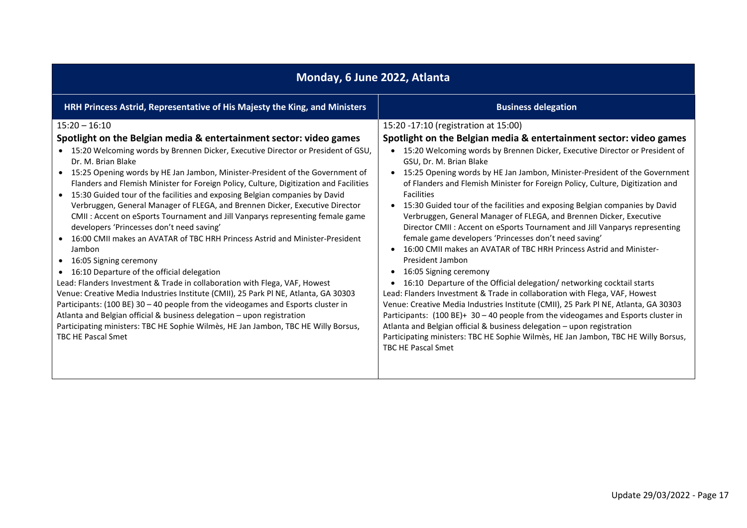| Monday, 6 June 2022, Atlanta                                                                                                                                                                                                                                                                                                                                                                                                                                                                                                                                                                                                                                                                                                                                                                                                                                                                                                                                                                                                                                                                                                                                                                                                                                                                        |                                                                                                                                                                                                                                                                                                                                                                                                                                                                                                                                                                                                                                                                                                                                                                                                                                                                                                                                                                                                                                                                                                                                                                                                                                                                                                                                                                                                                                 |
|-----------------------------------------------------------------------------------------------------------------------------------------------------------------------------------------------------------------------------------------------------------------------------------------------------------------------------------------------------------------------------------------------------------------------------------------------------------------------------------------------------------------------------------------------------------------------------------------------------------------------------------------------------------------------------------------------------------------------------------------------------------------------------------------------------------------------------------------------------------------------------------------------------------------------------------------------------------------------------------------------------------------------------------------------------------------------------------------------------------------------------------------------------------------------------------------------------------------------------------------------------------------------------------------------------|---------------------------------------------------------------------------------------------------------------------------------------------------------------------------------------------------------------------------------------------------------------------------------------------------------------------------------------------------------------------------------------------------------------------------------------------------------------------------------------------------------------------------------------------------------------------------------------------------------------------------------------------------------------------------------------------------------------------------------------------------------------------------------------------------------------------------------------------------------------------------------------------------------------------------------------------------------------------------------------------------------------------------------------------------------------------------------------------------------------------------------------------------------------------------------------------------------------------------------------------------------------------------------------------------------------------------------------------------------------------------------------------------------------------------------|
| HRH Princess Astrid, Representative of His Majesty the King, and Ministers                                                                                                                                                                                                                                                                                                                                                                                                                                                                                                                                                                                                                                                                                                                                                                                                                                                                                                                                                                                                                                                                                                                                                                                                                          | <b>Business delegation</b>                                                                                                                                                                                                                                                                                                                                                                                                                                                                                                                                                                                                                                                                                                                                                                                                                                                                                                                                                                                                                                                                                                                                                                                                                                                                                                                                                                                                      |
| $15:20 - 16:10$<br>Spotlight on the Belgian media & entertainment sector: video games<br>• 15:20 Welcoming words by Brennen Dicker, Executive Director or President of GSU,<br>Dr. M. Brian Blake<br>15:25 Opening words by HE Jan Jambon, Minister-President of the Government of<br>Flanders and Flemish Minister for Foreign Policy, Culture, Digitization and Facilities<br>15:30 Guided tour of the facilities and exposing Belgian companies by David<br>Verbruggen, General Manager of FLEGA, and Brennen Dicker, Executive Director<br>CMII: Accent on eSports Tournament and Jill Vanparys representing female game<br>developers 'Princesses don't need saving'<br>16:00 CMII makes an AVATAR of TBC HRH Princess Astrid and Minister-President<br>Jambon<br>16:05 Signing ceremony<br>• 16:10 Departure of the official delegation<br>Lead: Flanders Investment & Trade in collaboration with Flega, VAF, Howest<br>Venue: Creative Media Industries Institute (CMII), 25 Park Pl NE, Atlanta, GA 30303<br>Participants: (100 BE) 30 - 40 people from the videogames and Esports cluster in<br>Atlanta and Belgian official & business delegation - upon registration<br>Participating ministers: TBC HE Sophie Wilmès, HE Jan Jambon, TBC HE Willy Borsus,<br><b>TBC HE Pascal Smet</b> | 15:20 -17:10 (registration at 15:00)<br>Spotlight on the Belgian media & entertainment sector: video games<br>• 15:20 Welcoming words by Brennen Dicker, Executive Director or President of<br>GSU, Dr. M. Brian Blake<br>15:25 Opening words by HE Jan Jambon, Minister-President of the Government<br>$\bullet$<br>of Flanders and Flemish Minister for Foreign Policy, Culture, Digitization and<br><b>Facilities</b><br>15:30 Guided tour of the facilities and exposing Belgian companies by David<br>$\bullet$<br>Verbruggen, General Manager of FLEGA, and Brennen Dicker, Executive<br>Director CMII : Accent on eSports Tournament and Jill Vanparys representing<br>female game developers 'Princesses don't need saving'<br>16:00 CMII makes an AVATAR of TBC HRH Princess Astrid and Minister-<br>$\bullet$<br>President Jambon<br>16:05 Signing ceremony<br>$\bullet$<br>16:10 Departure of the Official delegation/ networking cocktail starts<br>$\bullet$<br>Lead: Flanders Investment & Trade in collaboration with Flega, VAF, Howest<br>Venue: Creative Media Industries Institute (CMII), 25 Park Pl NE, Atlanta, GA 30303<br>Participants: $(100 BE)+30-40$ people from the videogames and Esports cluster in<br>Atlanta and Belgian official & business delegation - upon registration<br>Participating ministers: TBC HE Sophie Wilmès, HE Jan Jambon, TBC HE Willy Borsus,<br><b>TBC HE Pascal Smet</b> |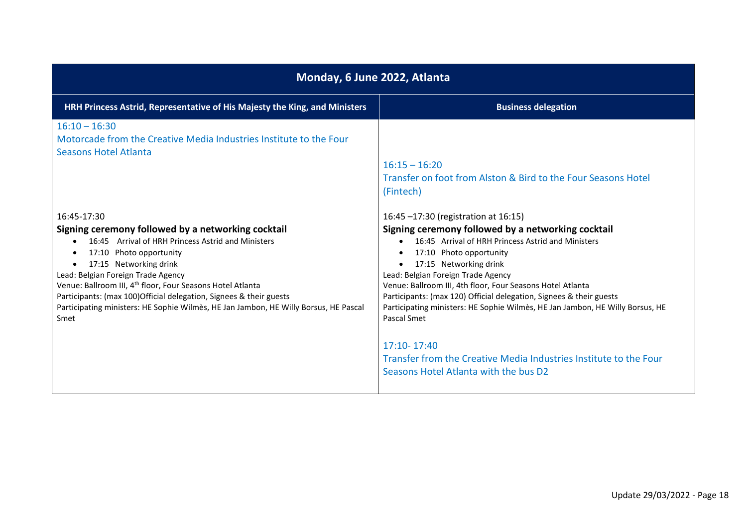| Monday, 6 June 2022, Atlanta                                                                                                                                                                                                                                                                                                                                                                                                                                        |                                                                                                                                                                                                                                                                                                                                                                                                                                                                                                                                                                                                               |
|---------------------------------------------------------------------------------------------------------------------------------------------------------------------------------------------------------------------------------------------------------------------------------------------------------------------------------------------------------------------------------------------------------------------------------------------------------------------|---------------------------------------------------------------------------------------------------------------------------------------------------------------------------------------------------------------------------------------------------------------------------------------------------------------------------------------------------------------------------------------------------------------------------------------------------------------------------------------------------------------------------------------------------------------------------------------------------------------|
| HRH Princess Astrid, Representative of His Majesty the King, and Ministers                                                                                                                                                                                                                                                                                                                                                                                          | <b>Business delegation</b>                                                                                                                                                                                                                                                                                                                                                                                                                                                                                                                                                                                    |
| $16:10 - 16:30$<br>Motorcade from the Creative Media Industries Institute to the Four<br><b>Seasons Hotel Atlanta</b>                                                                                                                                                                                                                                                                                                                                               | $16:15 - 16:20$<br>Transfer on foot from Alston & Bird to the Four Seasons Hotel<br>(Fintech)                                                                                                                                                                                                                                                                                                                                                                                                                                                                                                                 |
| 16:45-17:30<br>Signing ceremony followed by a networking cocktail<br>16:45 Arrival of HRH Princess Astrid and Ministers<br>17:10 Photo opportunity<br>17:15 Networking drink<br>Lead: Belgian Foreign Trade Agency<br>Venue: Ballroom III, 4 <sup>th</sup> floor, Four Seasons Hotel Atlanta<br>Participants: (max 100) Official delegation, Signees & their guests<br>Participating ministers: HE Sophie Wilmès, HE Jan Jambon, HE Willy Borsus, HE Pascal<br>Smet | 16:45 -17:30 (registration at 16:15)<br>Signing ceremony followed by a networking cocktail<br>16:45 Arrival of HRH Princess Astrid and Ministers<br>17:10 Photo opportunity<br>17:15 Networking drink<br>Lead: Belgian Foreign Trade Agency<br>Venue: Ballroom III, 4th floor, Four Seasons Hotel Atlanta<br>Participants: (max 120) Official delegation, Signees & their guests<br>Participating ministers: HE Sophie Wilmès, HE Jan Jambon, HE Willy Borsus, HE<br>Pascal Smet<br>17:10-17:40<br>Transfer from the Creative Media Industries Institute to the Four<br>Seasons Hotel Atlanta with the bus D2 |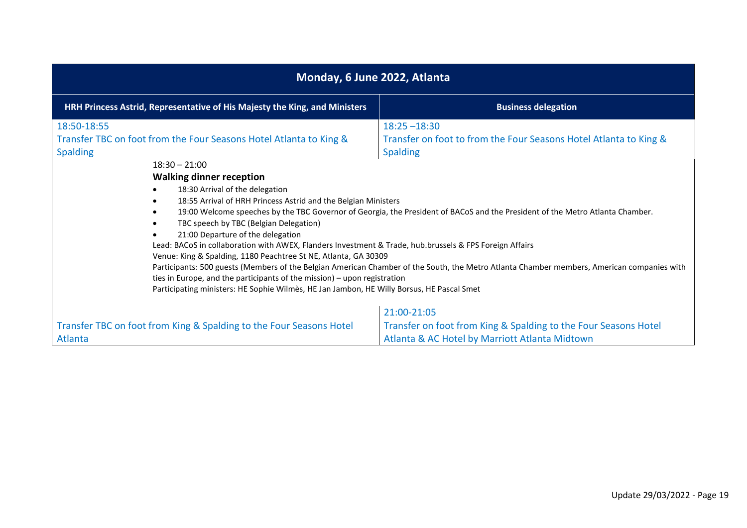| Monday, 6 June 2022, Atlanta                                                                                                                                                                                                                                                                                                                                                                                                                                                                                                                                                                                                                                                                          |                                                                                                                                                                                                                                                                                                                                                                                        |  |
|-------------------------------------------------------------------------------------------------------------------------------------------------------------------------------------------------------------------------------------------------------------------------------------------------------------------------------------------------------------------------------------------------------------------------------------------------------------------------------------------------------------------------------------------------------------------------------------------------------------------------------------------------------------------------------------------------------|----------------------------------------------------------------------------------------------------------------------------------------------------------------------------------------------------------------------------------------------------------------------------------------------------------------------------------------------------------------------------------------|--|
| HRH Princess Astrid, Representative of His Majesty the King, and Ministers                                                                                                                                                                                                                                                                                                                                                                                                                                                                                                                                                                                                                            | <b>Business delegation</b>                                                                                                                                                                                                                                                                                                                                                             |  |
| 18:50-18:55<br>Transfer TBC on foot from the Four Seasons Hotel Atlanta to King &<br><b>Spalding</b><br>$18:30 - 21:00$<br><b>Walking dinner reception</b><br>18:30 Arrival of the delegation<br>18:55 Arrival of HRH Princess Astrid and the Belgian Ministers<br>TBC speech by TBC (Belgian Delegation)<br>21:00 Departure of the delegation<br>Lead: BACoS in collaboration with AWEX, Flanders Investment & Trade, hub.brussels & FPS Foreign Affairs<br>Venue: King & Spalding, 1180 Peachtree St NE, Atlanta, GA 30309<br>ties in Europe, and the participants of the mission) - upon registration<br>Participating ministers: HE Sophie Wilmès, HE Jan Jambon, HE Willy Borsus, HE Pascal Smet | $18:25 - 18:30$<br>Transfer on foot to from the Four Seasons Hotel Atlanta to King &<br><b>Spalding</b><br>19:00 Welcome speeches by the TBC Governor of Georgia, the President of BACoS and the President of the Metro Atlanta Chamber.<br>Participants: 500 guests (Members of the Belgian American Chamber of the South, the Metro Atlanta Chamber members, American companies with |  |
| Transfer TBC on foot from King & Spalding to the Four Seasons Hotel<br>Atlanta                                                                                                                                                                                                                                                                                                                                                                                                                                                                                                                                                                                                                        | 21:00-21:05<br>Transfer on foot from King & Spalding to the Four Seasons Hotel<br>Atlanta & AC Hotel by Marriott Atlanta Midtown                                                                                                                                                                                                                                                       |  |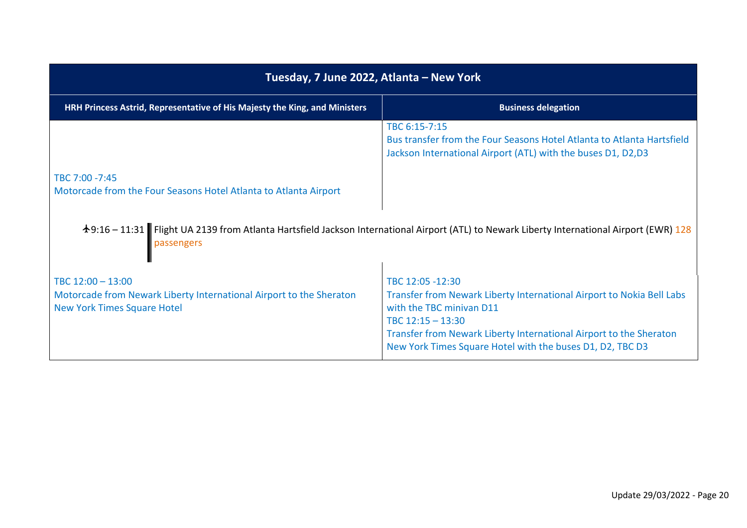| Tuesday, 7 June 2022, Atlanta – New York                                                                                       |                                                                                                                                                                                                                                                                                 |
|--------------------------------------------------------------------------------------------------------------------------------|---------------------------------------------------------------------------------------------------------------------------------------------------------------------------------------------------------------------------------------------------------------------------------|
| HRH Princess Astrid, Representative of His Majesty the King, and Ministers                                                     | <b>Business delegation</b>                                                                                                                                                                                                                                                      |
|                                                                                                                                | TBC 6:15-7:15<br>Bus transfer from the Four Seasons Hotel Atlanta to Atlanta Hartsfield<br>Jackson International Airport (ATL) with the buses D1, D2,D3                                                                                                                         |
| TBC 7:00 -7:45<br>Motorcade from the Four Seasons Hotel Atlanta to Atlanta Airport                                             |                                                                                                                                                                                                                                                                                 |
|                                                                                                                                | †9:16 – 11:31 Flight UA 2139 from Atlanta Hartsfield Jackson International Airport (ATL) to Newark Liberty International Airport (EWR) 128                                                                                                                                      |
| TBC 12:00 - 13:00<br>Motorcade from Newark Liberty International Airport to the Sheraton<br><b>New York Times Square Hotel</b> | TBC 12:05 -12:30<br>Transfer from Newark Liberty International Airport to Nokia Bell Labs<br>with the TBC minivan D11<br>TBC $12:15 - 13:30$<br>Transfer from Newark Liberty International Airport to the Sheraton<br>New York Times Square Hotel with the buses D1, D2, TBC D3 |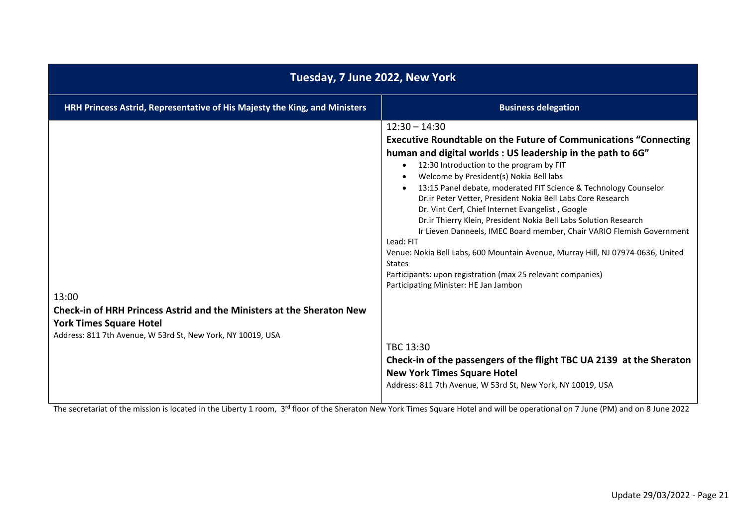| Tuesday, 7 June 2022, New York                                                                                                                                                         |                                                                                                                                                                                                                                                                                                                                                                                                                                                                                                                                                                                                                                                                                                                                                                                                                                                                                                                                                                                                                     |
|----------------------------------------------------------------------------------------------------------------------------------------------------------------------------------------|---------------------------------------------------------------------------------------------------------------------------------------------------------------------------------------------------------------------------------------------------------------------------------------------------------------------------------------------------------------------------------------------------------------------------------------------------------------------------------------------------------------------------------------------------------------------------------------------------------------------------------------------------------------------------------------------------------------------------------------------------------------------------------------------------------------------------------------------------------------------------------------------------------------------------------------------------------------------------------------------------------------------|
| HRH Princess Astrid, Representative of His Majesty the King, and Ministers                                                                                                             | <b>Business delegation</b>                                                                                                                                                                                                                                                                                                                                                                                                                                                                                                                                                                                                                                                                                                                                                                                                                                                                                                                                                                                          |
| 13:00<br><b>Check-in of HRH Princess Astrid and the Ministers at the Sheraton New</b><br><b>York Times Square Hotel</b><br>Address: 811 7th Avenue, W 53rd St, New York, NY 10019, USA | $12:30 - 14:30$<br><b>Executive Roundtable on the Future of Communications "Connecting</b><br>human and digital worlds: US leadership in the path to 6G"<br>12:30 Introduction to the program by FIT<br>$\bullet$<br>Welcome by President(s) Nokia Bell labs<br>13:15 Panel debate, moderated FIT Science & Technology Counselor<br>Dr.ir Peter Vetter, President Nokia Bell Labs Core Research<br>Dr. Vint Cerf, Chief Internet Evangelist, Google<br>Dr.ir Thierry Klein, President Nokia Bell Labs Solution Research<br>Ir Lieven Danneels, IMEC Board member, Chair VARIO Flemish Government<br>Lead: FIT<br>Venue: Nokia Bell Labs, 600 Mountain Avenue, Murray Hill, NJ 07974-0636, United<br><b>States</b><br>Participants: upon registration (max 25 relevant companies)<br>Participating Minister: HE Jan Jambon<br>TBC 13:30<br>Check-in of the passengers of the flight TBC UA 2139 at the Sheraton<br><b>New York Times Square Hotel</b><br>Address: 811 7th Avenue, W 53rd St, New York, NY 10019, USA |

The secretariat of the mission is located in the Liberty 1 room, 3<sup>rd</sup> floor of the Sheraton New York Times Square Hotel and will be operational on 7 June (PM) and on 8 June 2022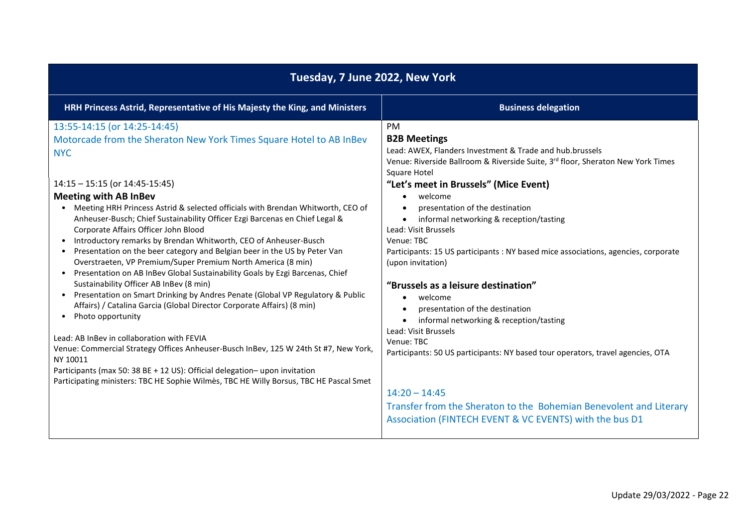| Tuesday, 7 June 2022, New York                                                                                                                                                                                                                                                                                                                                                                                                                                                                                                                                                                                                                                                                                                                                                                                                                                                                                                                                                                                                                                                                                                                                                                                                                                                                                       |                                                                                                                                                                                                                                                                                                                                                                                                                                                                                                                                                                                                                                                                                                                                                                                                                                                                                                                                        |  |
|----------------------------------------------------------------------------------------------------------------------------------------------------------------------------------------------------------------------------------------------------------------------------------------------------------------------------------------------------------------------------------------------------------------------------------------------------------------------------------------------------------------------------------------------------------------------------------------------------------------------------------------------------------------------------------------------------------------------------------------------------------------------------------------------------------------------------------------------------------------------------------------------------------------------------------------------------------------------------------------------------------------------------------------------------------------------------------------------------------------------------------------------------------------------------------------------------------------------------------------------------------------------------------------------------------------------|----------------------------------------------------------------------------------------------------------------------------------------------------------------------------------------------------------------------------------------------------------------------------------------------------------------------------------------------------------------------------------------------------------------------------------------------------------------------------------------------------------------------------------------------------------------------------------------------------------------------------------------------------------------------------------------------------------------------------------------------------------------------------------------------------------------------------------------------------------------------------------------------------------------------------------------|--|
| HRH Princess Astrid, Representative of His Majesty the King, and Ministers                                                                                                                                                                                                                                                                                                                                                                                                                                                                                                                                                                                                                                                                                                                                                                                                                                                                                                                                                                                                                                                                                                                                                                                                                                           | <b>Business delegation</b>                                                                                                                                                                                                                                                                                                                                                                                                                                                                                                                                                                                                                                                                                                                                                                                                                                                                                                             |  |
| 13:55-14:15 (or 14:25-14:45)<br>Motorcade from the Sheraton New York Times Square Hotel to AB InBev<br><b>NYC</b><br>14:15 - 15:15 (or 14:45-15:45)<br><b>Meeting with AB InBev</b><br>Meeting HRH Princess Astrid & selected officials with Brendan Whitworth, CEO of<br>Anheuser-Busch; Chief Sustainability Officer Ezgi Barcenas en Chief Legal &<br>Corporate Affairs Officer John Blood<br>Introductory remarks by Brendan Whitworth, CEO of Anheuser-Busch<br>$\bullet$<br>Presentation on the beer category and Belgian beer in the US by Peter Van<br>$\bullet$<br>Overstraeten, VP Premium/Super Premium North America (8 min)<br>Presentation on AB InBev Global Sustainability Goals by Ezgi Barcenas, Chief<br>$\bullet$<br>Sustainability Officer AB InBev (8 min)<br>Presentation on Smart Drinking by Andres Penate (Global VP Regulatory & Public<br>$\bullet$<br>Affairs) / Catalina Garcia (Global Director Corporate Affairs) (8 min)<br>Photo opportunity<br>$\bullet$<br>Lead: AB InBev in collaboration with FEVIA<br>Venue: Commercial Strategy Offices Anheuser-Busch InBev, 125 W 24th St #7, New York,<br>NY 10011<br>Participants (max 50: 38 BE + 12 US): Official delegation-upon invitation<br>Participating ministers: TBC HE Sophie Wilmès, TBC HE Willy Borsus, TBC HE Pascal Smet | <b>PM</b><br><b>B2B Meetings</b><br>Lead: AWEX, Flanders Investment & Trade and hub.brussels<br>Venue: Riverside Ballroom & Riverside Suite, 3rd floor, Sheraton New York Times<br>Square Hotel<br>"Let's meet in Brussels" (Mice Event)<br>welcome<br>$\bullet$<br>presentation of the destination<br>informal networking & reception/tasting<br>$\bullet$<br>Lead: Visit Brussels<br>Venue: TBC<br>Participants: 15 US participants : NY based mice associations, agencies, corporate<br>(upon invitation)<br>"Brussels as a leisure destination"<br>welcome<br>$\bullet$<br>presentation of the destination<br>informal networking & reception/tasting<br>Lead: Visit Brussels<br>Venue: TBC<br>Participants: 50 US participants: NY based tour operators, travel agencies, OTA<br>$14:20 - 14:45$<br>Transfer from the Sheraton to the Bohemian Benevolent and Literary<br>Association (FINTECH EVENT & VC EVENTS) with the bus D1 |  |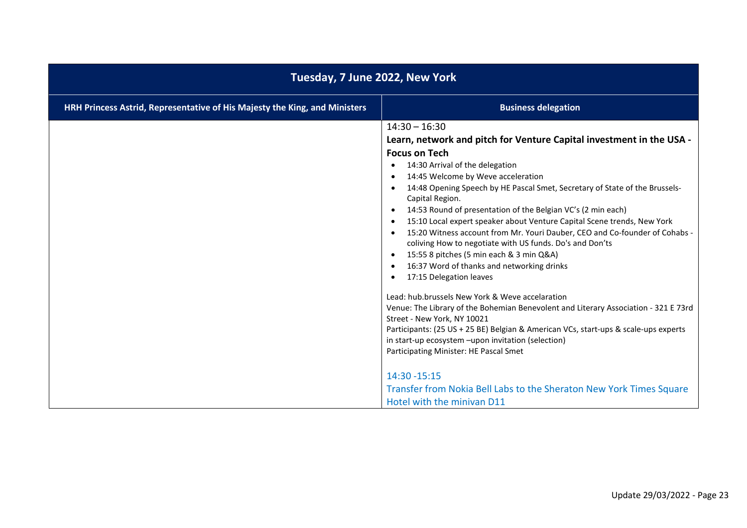| Tuesday, 7 June 2022, New York                                             |                                                                                                                                                                                                                                                                                                                                                                                                                                                                                                                                                                                                                                                                                                                                                                                                                                                                                                                                                                                                                                                                                                                                                                                                                                                    |
|----------------------------------------------------------------------------|----------------------------------------------------------------------------------------------------------------------------------------------------------------------------------------------------------------------------------------------------------------------------------------------------------------------------------------------------------------------------------------------------------------------------------------------------------------------------------------------------------------------------------------------------------------------------------------------------------------------------------------------------------------------------------------------------------------------------------------------------------------------------------------------------------------------------------------------------------------------------------------------------------------------------------------------------------------------------------------------------------------------------------------------------------------------------------------------------------------------------------------------------------------------------------------------------------------------------------------------------|
| HRH Princess Astrid, Representative of His Majesty the King, and Ministers | <b>Business delegation</b>                                                                                                                                                                                                                                                                                                                                                                                                                                                                                                                                                                                                                                                                                                                                                                                                                                                                                                                                                                                                                                                                                                                                                                                                                         |
|                                                                            | $14:30 - 16:30$<br>Learn, network and pitch for Venture Capital investment in the USA -<br><b>Focus on Tech</b><br>14:30 Arrival of the delegation<br>$\bullet$<br>14:45 Welcome by Weve acceleration<br>٠<br>14:48 Opening Speech by HE Pascal Smet, Secretary of State of the Brussels-<br>$\bullet$<br>Capital Region.<br>14:53 Round of presentation of the Belgian VC's (2 min each)<br>٠<br>15:10 Local expert speaker about Venture Capital Scene trends, New York<br>٠<br>15:20 Witness account from Mr. Youri Dauber, CEO and Co-founder of Cohabs -<br>$\bullet$<br>coliving How to negotiate with US funds. Do's and Don'ts<br>15:55 8 pitches (5 min each & 3 min Q&A)<br>$\bullet$<br>16:37 Word of thanks and networking drinks<br>$\bullet$<br>17:15 Delegation leaves<br>٠<br>Lead: hub.brussels New York & Weve accelaration<br>Venue: The Library of the Bohemian Benevolent and Literary Association - 321 E 73rd<br>Street - New York, NY 10021<br>Participants: (25 US + 25 BE) Belgian & American VCs, start-ups & scale-ups experts<br>in start-up ecosystem -upon invitation (selection)<br>Participating Minister: HE Pascal Smet<br>14:30 - 15:15<br>Transfer from Nokia Bell Labs to the Sheraton New York Times Square |
|                                                                            | Hotel with the minivan D11                                                                                                                                                                                                                                                                                                                                                                                                                                                                                                                                                                                                                                                                                                                                                                                                                                                                                                                                                                                                                                                                                                                                                                                                                         |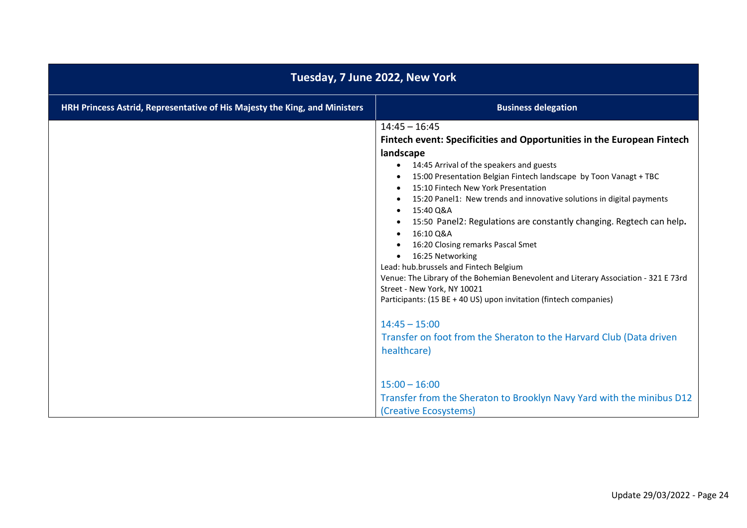| Tuesday, 7 June 2022, New York                                             |                                                                                                                                                                                                                                                                                                                                                                                                                                                                                                                                                                                                                                                                                                                                                                                                                                                               |
|----------------------------------------------------------------------------|---------------------------------------------------------------------------------------------------------------------------------------------------------------------------------------------------------------------------------------------------------------------------------------------------------------------------------------------------------------------------------------------------------------------------------------------------------------------------------------------------------------------------------------------------------------------------------------------------------------------------------------------------------------------------------------------------------------------------------------------------------------------------------------------------------------------------------------------------------------|
| HRH Princess Astrid, Representative of His Majesty the King, and Ministers | <b>Business delegation</b>                                                                                                                                                                                                                                                                                                                                                                                                                                                                                                                                                                                                                                                                                                                                                                                                                                    |
|                                                                            | $14:45 - 16:45$<br>Fintech event: Specificities and Opportunities in the European Fintech<br>landscape<br>14:45 Arrival of the speakers and guests<br>15:00 Presentation Belgian Fintech landscape by Toon Vanagt + TBC<br>15:10 Fintech New York Presentation<br>15:20 Panel1: New trends and innovative solutions in digital payments<br>15:40 Q&A<br>$\bullet$<br>15:50 Panel2: Regulations are constantly changing. Regtech can help.<br>16:10 Q&A<br>16:20 Closing remarks Pascal Smet<br>16:25 Networking<br>Lead: hub.brussels and Fintech Belgium<br>Venue: The Library of the Bohemian Benevolent and Literary Association - 321 E 73rd<br>Street - New York, NY 10021<br>Participants: (15 BE + 40 US) upon invitation (fintech companies)<br>$14:45 - 15:00$<br>Transfer on foot from the Sheraton to the Harvard Club (Data driven<br>healthcare) |
|                                                                            | $15:00 - 16:00$<br>Transfer from the Sheraton to Brooklyn Navy Yard with the minibus D12<br>(Creative Ecosystems)                                                                                                                                                                                                                                                                                                                                                                                                                                                                                                                                                                                                                                                                                                                                             |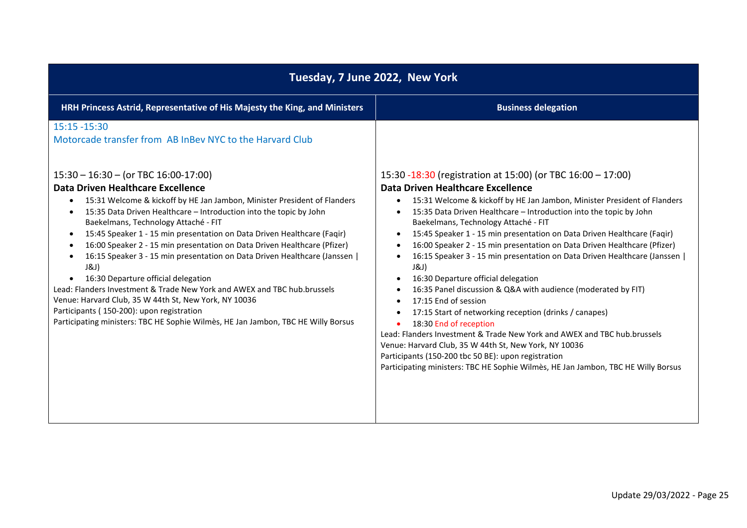| Tuesday, 7 June 2022, New York                                                                                                                                                                                                                                                                                                                                                                                                                                                                                                                                                                                                                                     |                                                                                                                                                                                                                                                                                                                                                                                                                                                                                                                                                                                                                       |
|--------------------------------------------------------------------------------------------------------------------------------------------------------------------------------------------------------------------------------------------------------------------------------------------------------------------------------------------------------------------------------------------------------------------------------------------------------------------------------------------------------------------------------------------------------------------------------------------------------------------------------------------------------------------|-----------------------------------------------------------------------------------------------------------------------------------------------------------------------------------------------------------------------------------------------------------------------------------------------------------------------------------------------------------------------------------------------------------------------------------------------------------------------------------------------------------------------------------------------------------------------------------------------------------------------|
| HRH Princess Astrid, Representative of His Majesty the King, and Ministers                                                                                                                                                                                                                                                                                                                                                                                                                                                                                                                                                                                         | <b>Business delegation</b>                                                                                                                                                                                                                                                                                                                                                                                                                                                                                                                                                                                            |
| $15:15 - 15:30$<br>Motorcade transfer from AB InBey NYC to the Harvard Club<br>$15:30 - 16:30 - (or TBC 16:00-17:00)$<br>Data Driven Healthcare Excellence<br>15:31 Welcome & kickoff by HE Jan Jambon, Minister President of Flanders<br>15:35 Data Driven Healthcare - Introduction into the topic by John<br>Baekelmans, Technology Attaché - FIT<br>15:45 Speaker 1 - 15 min presentation on Data Driven Healthcare (Faqir)<br>$\bullet$<br>16:00 Speaker 2 - 15 min presentation on Data Driven Healthcare (Pfizer)<br>$\bullet$<br>16:15 Speaker 3 - 15 min presentation on Data Driven Healthcare (Janssen  <br>J&J)<br>16:30 Departure official delegation | 15:30 -18:30 (registration at 15:00) (or TBC 16:00 - 17:00)<br>Data Driven Healthcare Excellence<br>15:31 Welcome & kickoff by HE Jan Jambon, Minister President of Flanders<br>$\bullet$<br>15:35 Data Driven Healthcare - Introduction into the topic by John<br>Baekelmans, Technology Attaché - FIT<br>15:45 Speaker 1 - 15 min presentation on Data Driven Healthcare (Faqir)<br>$\bullet$<br>16:00 Speaker 2 - 15 min presentation on Data Driven Healthcare (Pfizer)<br>16:15 Speaker 3 - 15 min presentation on Data Driven Healthcare (Janssen  <br>J&J)<br>16:30 Departure official delegation<br>$\bullet$ |
| Lead: Flanders Investment & Trade New York and AWEX and TBC hub.brussels<br>Venue: Harvard Club, 35 W 44th St, New York, NY 10036<br>Participants (150-200): upon registration<br>Participating ministers: TBC HE Sophie Wilmès, HE Jan Jambon, TBC HE Willy Borsus                                                                                                                                                                                                                                                                                                                                                                                                | 16:35 Panel discussion & Q&A with audience (moderated by FIT)<br>17:15 End of session<br>17:15 Start of networking reception (drinks / canapes)<br>18:30 End of reception<br>Lead: Flanders Investment & Trade New York and AWEX and TBC hub.brussels<br>Venue: Harvard Club, 35 W 44th St, New York, NY 10036<br>Participants (150-200 tbc 50 BE): upon registration<br>Participating ministers: TBC HE Sophie Wilmes, HE Jan Jambon, TBC HE Willy Borsus                                                                                                                                                            |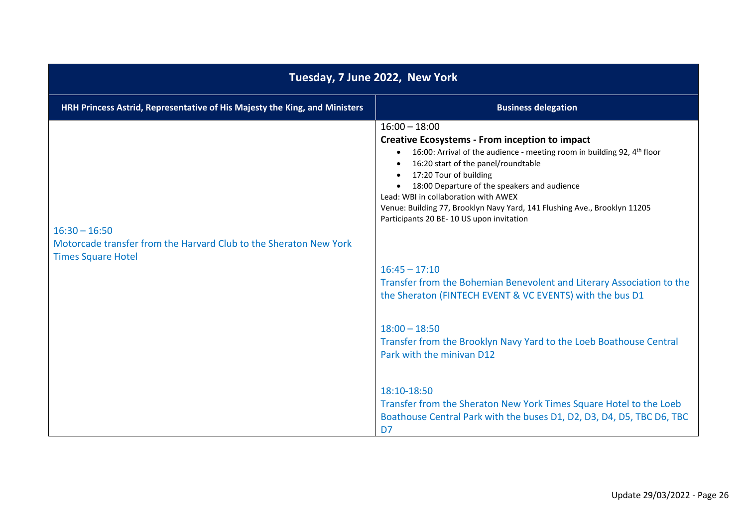| Tuesday, 7 June 2022, New York                                                                                    |                                                                                                                                                                                                                                                                                                                                                                                                                                                      |
|-------------------------------------------------------------------------------------------------------------------|------------------------------------------------------------------------------------------------------------------------------------------------------------------------------------------------------------------------------------------------------------------------------------------------------------------------------------------------------------------------------------------------------------------------------------------------------|
| HRH Princess Astrid, Representative of His Majesty the King, and Ministers                                        | <b>Business delegation</b>                                                                                                                                                                                                                                                                                                                                                                                                                           |
| $16:30 - 16:50$<br>Motorcade transfer from the Harvard Club to the Sheraton New York<br><b>Times Square Hotel</b> | $16:00 - 18:00$<br><b>Creative Ecosystems - From inception to impact</b><br>16:00: Arrival of the audience - meeting room in building 92, $4th$ floor<br>$\bullet$<br>16:20 start of the panel/roundtable<br>17:20 Tour of building<br>18:00 Departure of the speakers and audience<br>Lead: WBI in collaboration with AWEX<br>Venue: Building 77, Brooklyn Navy Yard, 141 Flushing Ave., Brooklyn 11205<br>Participants 20 BE-10 US upon invitation |
|                                                                                                                   | $16:45 - 17:10$<br>Transfer from the Bohemian Benevolent and Literary Association to the<br>the Sheraton (FINTECH EVENT & VC EVENTS) with the bus D1                                                                                                                                                                                                                                                                                                 |
|                                                                                                                   | $18:00 - 18:50$<br>Transfer from the Brooklyn Navy Yard to the Loeb Boathouse Central<br>Park with the minivan D12                                                                                                                                                                                                                                                                                                                                   |
|                                                                                                                   | 18:10-18:50<br>Transfer from the Sheraton New York Times Square Hotel to the Loeb<br>Boathouse Central Park with the buses D1, D2, D3, D4, D5, TBC D6, TBC<br>D7                                                                                                                                                                                                                                                                                     |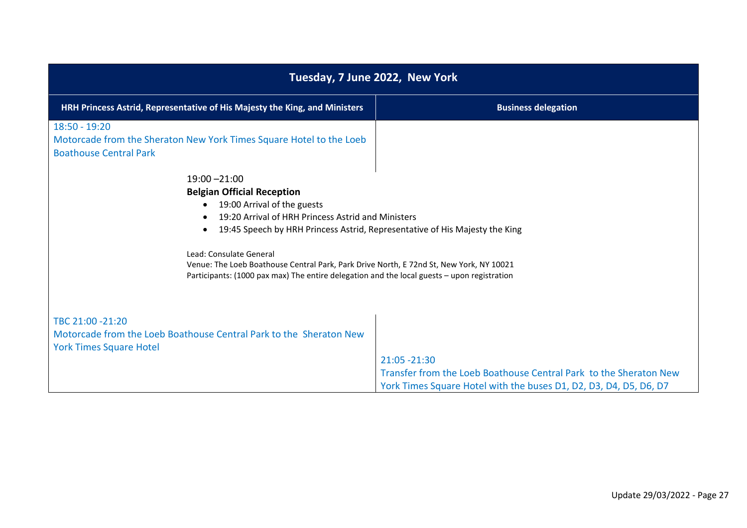| Tuesday, 7 June 2022, New York                                                                                                                                                                                                                                                                                                                                                                                                                             |                                                                                                                                                         |
|------------------------------------------------------------------------------------------------------------------------------------------------------------------------------------------------------------------------------------------------------------------------------------------------------------------------------------------------------------------------------------------------------------------------------------------------------------|---------------------------------------------------------------------------------------------------------------------------------------------------------|
| HRH Princess Astrid, Representative of His Majesty the King, and Ministers                                                                                                                                                                                                                                                                                                                                                                                 | <b>Business delegation</b>                                                                                                                              |
| 18:50 - 19:20<br>Motorcade from the Sheraton New York Times Square Hotel to the Loeb<br><b>Boathouse Central Park</b>                                                                                                                                                                                                                                                                                                                                      |                                                                                                                                                         |
| $19:00 - 21:00$<br><b>Belgian Official Reception</b><br>19:00 Arrival of the guests<br>19:20 Arrival of HRH Princess Astrid and Ministers<br>19:45 Speech by HRH Princess Astrid, Representative of His Majesty the King<br>$\bullet$<br>Lead: Consulate General<br>Venue: The Loeb Boathouse Central Park, Park Drive North, E 72nd St, New York, NY 10021<br>Participants: (1000 pax max) The entire delegation and the local guests - upon registration |                                                                                                                                                         |
| TBC 21:00 -21:20<br>Motorcade from the Loeb Boathouse Central Park to the Sheraton New<br><b>York Times Square Hotel</b>                                                                                                                                                                                                                                                                                                                                   | 21:05 - 21:30<br>Transfer from the Loeb Boathouse Central Park to the Sheraton New<br>York Times Square Hotel with the buses D1, D2, D3, D4, D5, D6, D7 |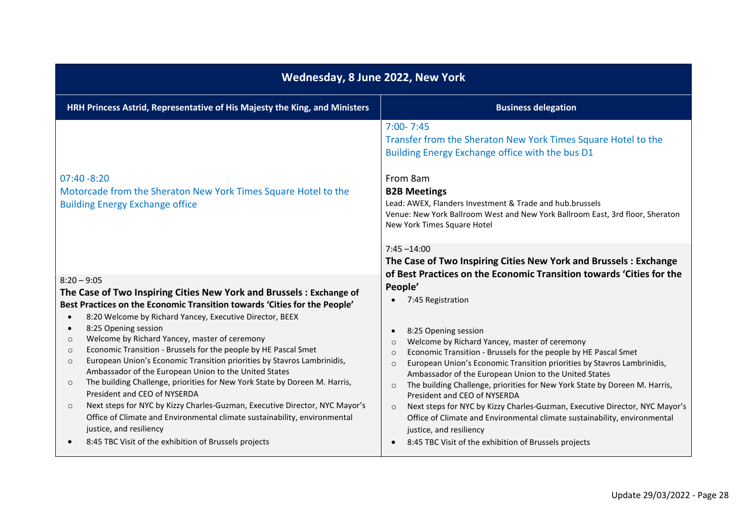| Wednesday, 8 June 2022, New York                                                                                           |                                                                                                                                                                                                                                                                                                                                                  |
|----------------------------------------------------------------------------------------------------------------------------|--------------------------------------------------------------------------------------------------------------------------------------------------------------------------------------------------------------------------------------------------------------------------------------------------------------------------------------------------|
| HRH Princess Astrid, Representative of His Majesty the King, and Ministers                                                 | <b>Business delegation</b>                                                                                                                                                                                                                                                                                                                       |
| $07:40 - 8:20$<br>Motorcade from the Sheraton New York Times Square Hotel to the<br><b>Building Energy Exchange office</b> | $7:00 - 7:45$<br>Transfer from the Sheraton New York Times Square Hotel to the<br>Building Energy Exchange office with the bus D1<br>From 8am<br><b>B2B Meetings</b><br>Lead: AWEX, Flanders Investment & Trade and hub.brussels<br>Venue: New York Ballroom West and New York Ballroom East, 3rd floor, Sheraton<br>New York Times Square Hotel |
|                                                                                                                            | $7:45 - 14:00$<br>The Case of Two Inspiring Cities New York and Brussels: Exchange                                                                                                                                                                                                                                                               |
| $8:20 - 9:05$                                                                                                              | of Best Practices on the Economic Transition towards 'Cities for the                                                                                                                                                                                                                                                                             |
| The Case of Two Inspiring Cities New York and Brussels: Exchange of                                                        | People'                                                                                                                                                                                                                                                                                                                                          |
| Best Practices on the Economic Transition towards 'Cities for the People'                                                  | 7:45 Registration                                                                                                                                                                                                                                                                                                                                |
| 8:20 Welcome by Richard Yancey, Executive Director, BEEX<br>$\bullet$                                                      |                                                                                                                                                                                                                                                                                                                                                  |
| 8:25 Opening session<br>$\bullet$<br>Welcome by Richard Yancey, master of ceremony<br>$\circ$                              | 8:25 Opening session                                                                                                                                                                                                                                                                                                                             |
| Economic Transition - Brussels for the people by HE Pascal Smet<br>$\circ$                                                 | Welcome by Richard Yancey, master of ceremony<br>$\circ$<br>Economic Transition - Brussels for the people by HE Pascal Smet<br>$\circ$                                                                                                                                                                                                           |
| European Union's Economic Transition priorities by Stavros Lambrinidis,<br>$\circ$                                         | European Union's Economic Transition priorities by Stavros Lambrinidis,<br>$\Omega$                                                                                                                                                                                                                                                              |
| Ambassador of the European Union to the United States                                                                      | Ambassador of the European Union to the United States                                                                                                                                                                                                                                                                                            |
| The building Challenge, priorities for New York State by Doreen M. Harris,<br>$\Omega$<br>President and CEO of NYSERDA     | The building Challenge, priorities for New York State by Doreen M. Harris,<br>$\circ$                                                                                                                                                                                                                                                            |
| Next steps for NYC by Kizzy Charles-Guzman, Executive Director, NYC Mayor's                                                | President and CEO of NYSERDA                                                                                                                                                                                                                                                                                                                     |
| $\circ$<br>Office of Climate and Environmental climate sustainability, environmental                                       | Next steps for NYC by Kizzy Charles-Guzman, Executive Director, NYC Mayor's<br>$\circ$<br>Office of Climate and Environmental climate sustainability, environmental                                                                                                                                                                              |
| justice, and resiliency                                                                                                    | justice, and resiliency                                                                                                                                                                                                                                                                                                                          |
| 8:45 TBC Visit of the exhibition of Brussels projects                                                                      | 8:45 TBC Visit of the exhibition of Brussels projects                                                                                                                                                                                                                                                                                            |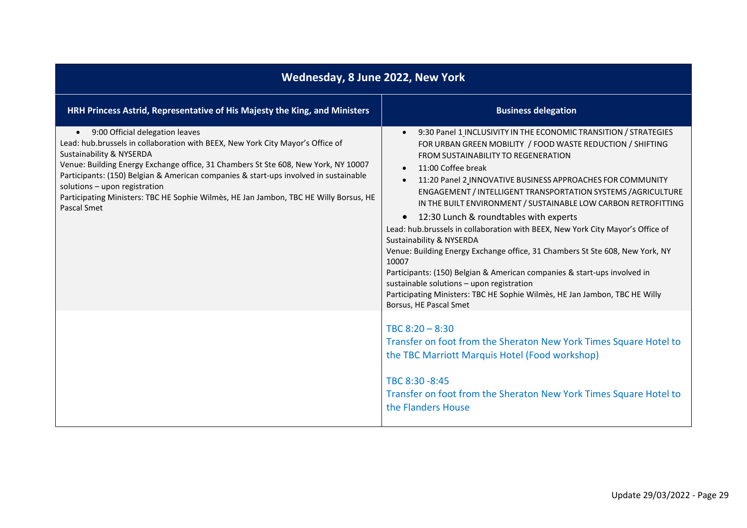| Wednesday, 8 June 2022, New York                                                                                                                                                                                                                                                                                                                                                                                                                                                  |                                                                                                                                                                                                                                                                                                                                                                                                                                                                                                                                                                                                                                                                                                                                                                                                                                                                                                                       |
|-----------------------------------------------------------------------------------------------------------------------------------------------------------------------------------------------------------------------------------------------------------------------------------------------------------------------------------------------------------------------------------------------------------------------------------------------------------------------------------|-----------------------------------------------------------------------------------------------------------------------------------------------------------------------------------------------------------------------------------------------------------------------------------------------------------------------------------------------------------------------------------------------------------------------------------------------------------------------------------------------------------------------------------------------------------------------------------------------------------------------------------------------------------------------------------------------------------------------------------------------------------------------------------------------------------------------------------------------------------------------------------------------------------------------|
| HRH Princess Astrid, Representative of His Majesty the King, and Ministers                                                                                                                                                                                                                                                                                                                                                                                                        | <b>Business delegation</b>                                                                                                                                                                                                                                                                                                                                                                                                                                                                                                                                                                                                                                                                                                                                                                                                                                                                                            |
| 9:00 Official delegation leaves<br>$\bullet$<br>Lead: hub.brussels in collaboration with BEEX, New York City Mayor's Office of<br>Sustainability & NYSERDA<br>Venue: Building Energy Exchange office, 31 Chambers St Ste 608, New York, NY 10007<br>Participants: (150) Belgian & American companies & start-ups involved in sustainable<br>solutions - upon registration<br>Participating Ministers: TBC HE Sophie Wilmes, HE Jan Jambon, TBC HE Willy Borsus, HE<br>Pascal Smet | 9:30 Panel 1 INCLUSIVITY IN THE ECONOMIC TRANSITION / STRATEGIES<br>$\bullet$<br>FOR URBAN GREEN MOBILITY / FOOD WASTE REDUCTION / SHIFTING<br>FROM SUSTAINABILITY TO REGENERATION<br>11:00 Coffee break<br>$\bullet$<br>11:20 Panel 2 INNOVATIVE BUSINESS APPROACHES FOR COMMUNITY<br>$\bullet$<br>ENGAGEMENT / INTELLIGENT TRANSPORTATION SYSTEMS / AGRICULTURE<br>IN THE BUILT ENVIRONMENT / SUSTAINABLE LOW CARBON RETROFITTING<br>12:30 Lunch & roundtables with experts<br>Lead: hub.brussels in collaboration with BEEX, New York City Mayor's Office of<br>Sustainability & NYSERDA<br>Venue: Building Energy Exchange office, 31 Chambers St Ste 608, New York, NY<br>10007<br>Participants: (150) Belgian & American companies & start-ups involved in<br>sustainable solutions - upon registration<br>Participating Ministers: TBC HE Sophie Wilmès, HE Jan Jambon, TBC HE Willy<br>Borsus, HE Pascal Smet |
|                                                                                                                                                                                                                                                                                                                                                                                                                                                                                   | TBC $8:20 - 8:30$<br>Transfer on foot from the Sheraton New York Times Square Hotel to<br>the TBC Marriott Marquis Hotel (Food workshop)<br>TBC 8:30 -8:45<br>Transfer on foot from the Sheraton New York Times Square Hotel to<br>the Flanders House                                                                                                                                                                                                                                                                                                                                                                                                                                                                                                                                                                                                                                                                 |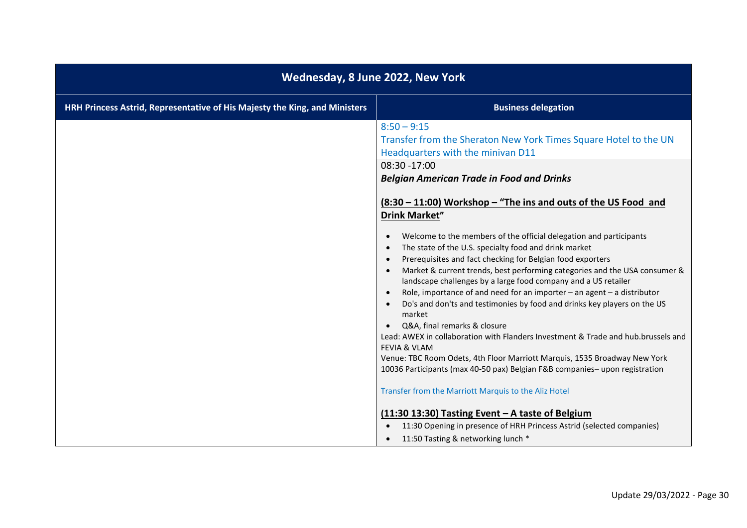| Wednesday, 8 June 2022, New York                                           |                                                                                                                                                                                                                                                                                                                                                                                                                                                                                                                                                                                                                                                                                                                                                                                                                                                                                                                                                                            |
|----------------------------------------------------------------------------|----------------------------------------------------------------------------------------------------------------------------------------------------------------------------------------------------------------------------------------------------------------------------------------------------------------------------------------------------------------------------------------------------------------------------------------------------------------------------------------------------------------------------------------------------------------------------------------------------------------------------------------------------------------------------------------------------------------------------------------------------------------------------------------------------------------------------------------------------------------------------------------------------------------------------------------------------------------------------|
| HRH Princess Astrid, Representative of His Majesty the King, and Ministers | <b>Business delegation</b>                                                                                                                                                                                                                                                                                                                                                                                                                                                                                                                                                                                                                                                                                                                                                                                                                                                                                                                                                 |
|                                                                            | $8:50 - 9:15$<br>Transfer from the Sheraton New York Times Square Hotel to the UN<br>Headquarters with the minivan D11<br>08:30 -17:00<br><b>Belgian American Trade in Food and Drinks</b><br><u>(8:30 – 11:00) Workshop – "The ins and outs of the US Food and</u><br><b>Drink Market"</b><br>Welcome to the members of the official delegation and participants<br>$\bullet$<br>The state of the U.S. specialty food and drink market<br>Prerequisites and fact checking for Belgian food exporters<br>Market & current trends, best performing categories and the USA consumer &<br>landscape challenges by a large food company and a US retailer<br>Role, importance of and need for an importer $-$ an agent $-$ a distributor<br>Do's and don'ts and testimonies by food and drinks key players on the US<br>market<br>Q&A, final remarks & closure<br>Lead: AWEX in collaboration with Flanders Investment & Trade and hub.brussels and<br><b>FEVIA &amp; VLAM</b> |
|                                                                            | Venue: TBC Room Odets, 4th Floor Marriott Marquis, 1535 Broadway New York<br>10036 Participants (max 40-50 pax) Belgian F&B companies-upon registration                                                                                                                                                                                                                                                                                                                                                                                                                                                                                                                                                                                                                                                                                                                                                                                                                    |
|                                                                            | Transfer from the Marriott Marquis to the Aliz Hotel                                                                                                                                                                                                                                                                                                                                                                                                                                                                                                                                                                                                                                                                                                                                                                                                                                                                                                                       |
|                                                                            | (11:30 13:30) Tasting Event - A taste of Belgium<br>11:30 Opening in presence of HRH Princess Astrid (selected companies)                                                                                                                                                                                                                                                                                                                                                                                                                                                                                                                                                                                                                                                                                                                                                                                                                                                  |
|                                                                            | 11:50 Tasting & networking lunch *                                                                                                                                                                                                                                                                                                                                                                                                                                                                                                                                                                                                                                                                                                                                                                                                                                                                                                                                         |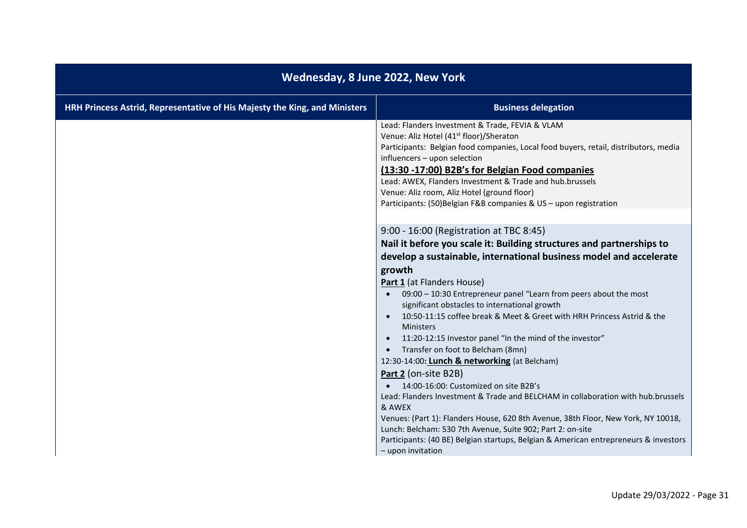| Wednesday, 8 June 2022, New York                                           |                                                                                                                                                                                                                                                                                                                                                                                                                                                                                                                                                                                                                                                                                                                                                         |
|----------------------------------------------------------------------------|---------------------------------------------------------------------------------------------------------------------------------------------------------------------------------------------------------------------------------------------------------------------------------------------------------------------------------------------------------------------------------------------------------------------------------------------------------------------------------------------------------------------------------------------------------------------------------------------------------------------------------------------------------------------------------------------------------------------------------------------------------|
| HRH Princess Astrid, Representative of His Majesty the King, and Ministers | <b>Business delegation</b>                                                                                                                                                                                                                                                                                                                                                                                                                                                                                                                                                                                                                                                                                                                              |
|                                                                            | Lead: Flanders Investment & Trade, FEVIA & VLAM<br>Venue: Aliz Hotel (41 <sup>st</sup> floor)/Sheraton<br>Participants: Belgian food companies, Local food buyers, retail, distributors, media<br>influencers - upon selection<br>(13:30 -17:00) B2B's for Belgian Food companies<br>Lead: AWEX, Flanders Investment & Trade and hub.brussels<br>Venue: Aliz room, Aliz Hotel (ground floor)<br>Participants: (50) Belgian F&B companies & US - upon registration                                                                                                                                                                                                                                                                                       |
|                                                                            | 9:00 - 16:00 (Registration at TBC 8:45)<br>Nail it before you scale it: Building structures and partnerships to<br>develop a sustainable, international business model and accelerate<br>growth<br>Part 1 (at Flanders House)<br>09:00 - 10:30 Entrepreneur panel "Learn from peers about the most<br>significant obstacles to international growth<br>10:50-11:15 coffee break & Meet & Greet with HRH Princess Astrid & the<br><b>Ministers</b><br>11:20-12:15 Investor panel "In the mind of the investor"<br>Transfer on foot to Belcham (8mn)<br>12:30-14:00: Lunch & networking (at Belcham)<br>Part 2 (on-site B2B)<br>14:00-16:00: Customized on site B2B's<br>Lead: Flanders Investment & Trade and BELCHAM in collaboration with hub.brussels |
|                                                                            | & AWEX<br>Venues: (Part 1): Flanders House, 620 8th Avenue, 38th Floor, New York, NY 10018,<br>Lunch: Belcham: 530 7th Avenue, Suite 902; Part 2: on-site<br>Participants: (40 BE) Belgian startups, Belgian & American entrepreneurs & investors<br>- upon invitation                                                                                                                                                                                                                                                                                                                                                                                                                                                                                  |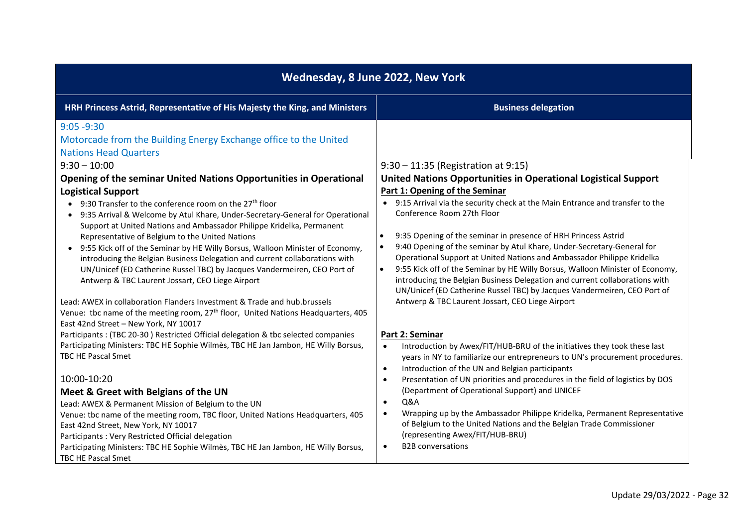| Wednesday, 8 June 2022, New York                                                                                             |                                                                                                                                                                           |
|------------------------------------------------------------------------------------------------------------------------------|---------------------------------------------------------------------------------------------------------------------------------------------------------------------------|
| HRH Princess Astrid, Representative of His Majesty the King, and Ministers                                                   | <b>Business delegation</b>                                                                                                                                                |
| $9:05 - 9:30$                                                                                                                |                                                                                                                                                                           |
| Motorcade from the Building Energy Exchange office to the United                                                             |                                                                                                                                                                           |
| <b>Nations Head Quarters</b>                                                                                                 |                                                                                                                                                                           |
| $9:30 - 10:00$                                                                                                               | $9:30 - 11:35$ (Registration at $9:15$ )                                                                                                                                  |
| Opening of the seminar United Nations Opportunities in Operational                                                           | United Nations Opportunities in Operational Logistical Support                                                                                                            |
| <b>Logistical Support</b>                                                                                                    | Part 1: Opening of the Seminar                                                                                                                                            |
| • 9:30 Transfer to the conference room on the 27 <sup>th</sup> floor                                                         | 9:15 Arrival via the security check at the Main Entrance and transfer to the<br>$\bullet$                                                                                 |
| 9:35 Arrival & Welcome by Atul Khare, Under-Secretary-General for Operational                                                | Conference Room 27th Floor                                                                                                                                                |
| Support at United Nations and Ambassador Philippe Kridelka, Permanent                                                        |                                                                                                                                                                           |
| Representative of Belgium to the United Nations                                                                              | 9:35 Opening of the seminar in presence of HRH Princess Astrid<br>$\bullet$                                                                                               |
| 9:55 Kick off of the Seminar by HE Willy Borsus, Walloon Minister of Economy,                                                | 9:40 Opening of the seminar by Atul Khare, Under-Secretary-General for<br>$\bullet$                                                                                       |
| introducing the Belgian Business Delegation and current collaborations with                                                  | Operational Support at United Nations and Ambassador Philippe Kridelka                                                                                                    |
| UN/Unicef (ED Catherine Russel TBC) by Jacques Vandermeiren, CEO Port of<br>Antwerp & TBC Laurent Jossart, CEO Liege Airport | 9:55 Kick off of the Seminar by HE Willy Borsus, Walloon Minister of Economy,<br>$\bullet$<br>introducing the Belgian Business Delegation and current collaborations with |
|                                                                                                                              | UN/Unicef (ED Catherine Russel TBC) by Jacques Vandermeiren, CEO Port of                                                                                                  |
| Lead: AWEX in collaboration Flanders Investment & Trade and hub.brussels                                                     | Antwerp & TBC Laurent Jossart, CEO Liege Airport                                                                                                                          |
| Venue: tbc name of the meeting room, 27 <sup>th</sup> floor, United Nations Headquarters, 405                                |                                                                                                                                                                           |
| East 42nd Street - New York, NY 10017                                                                                        |                                                                                                                                                                           |
| Participants: (TBC 20-30) Restricted Official delegation & tbc selected companies                                            | Part 2: Seminar                                                                                                                                                           |
| Participating Ministers: TBC HE Sophie Wilmès, TBC HE Jan Jambon, HE Willy Borsus,                                           | Introduction by Awex/FIT/HUB-BRU of the initiatives they took these last<br>$\bullet$                                                                                     |
| <b>TBC HE Pascal Smet</b>                                                                                                    | years in NY to familiarize our entrepreneurs to UN's procurement procedures.                                                                                              |
|                                                                                                                              | Introduction of the UN and Belgian participants<br>$\bullet$                                                                                                              |
| 10:00-10:20                                                                                                                  | Presentation of UN priorities and procedures in the field of logistics by DOS<br>$\bullet$                                                                                |
| Meet & Greet with Belgians of the UN                                                                                         | (Department of Operational Support) and UNICEF<br>Q&A                                                                                                                     |
| Lead: AWEX & Permanent Mission of Belgium to the UN                                                                          | $\bullet$<br>Wrapping up by the Ambassador Philippe Kridelka, Permanent Representative                                                                                    |
| Venue: tbc name of the meeting room, TBC floor, United Nations Headquarters, 405<br>East 42nd Street, New York, NY 10017     | of Belgium to the United Nations and the Belgian Trade Commissioner                                                                                                       |
| Participants: Very Restricted Official delegation                                                                            | (representing Awex/FIT/HUB-BRU)                                                                                                                                           |
| Participating Ministers: TBC HE Sophie Wilmès, TBC HE Jan Jambon, HE Willy Borsus,                                           | <b>B2B</b> conversations<br>$\bullet$                                                                                                                                     |
| TBC HE Pascal Smet                                                                                                           |                                                                                                                                                                           |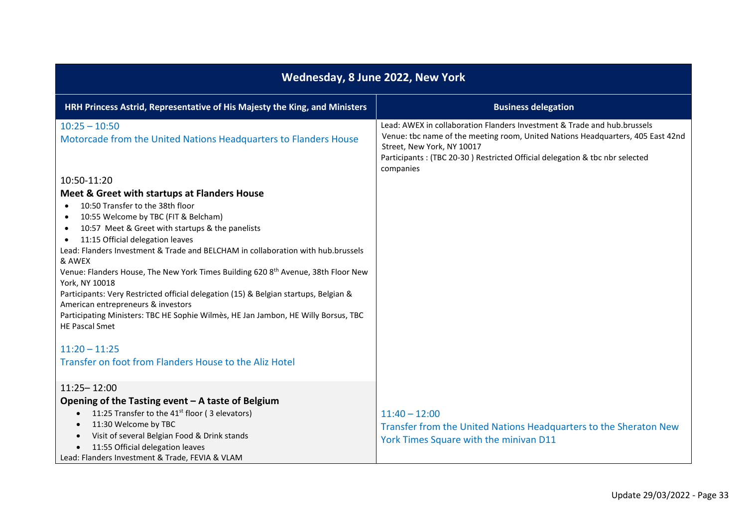| Wednesday, 8 June 2022, New York                                                                                                                                                                                                                                                                                                                                                                                                                                                                                                                                                                                                                                                                          |                                                                                                                                                                                                                                                                                       |
|-----------------------------------------------------------------------------------------------------------------------------------------------------------------------------------------------------------------------------------------------------------------------------------------------------------------------------------------------------------------------------------------------------------------------------------------------------------------------------------------------------------------------------------------------------------------------------------------------------------------------------------------------------------------------------------------------------------|---------------------------------------------------------------------------------------------------------------------------------------------------------------------------------------------------------------------------------------------------------------------------------------|
| HRH Princess Astrid, Representative of His Majesty the King, and Ministers                                                                                                                                                                                                                                                                                                                                                                                                                                                                                                                                                                                                                                | <b>Business delegation</b>                                                                                                                                                                                                                                                            |
| $10:25 - 10:50$<br>Motorcade from the United Nations Headquarters to Flanders House                                                                                                                                                                                                                                                                                                                                                                                                                                                                                                                                                                                                                       | Lead: AWEX in collaboration Flanders Investment & Trade and hub.brussels<br>Venue: tbc name of the meeting room, United Nations Headquarters, 405 East 42nd<br>Street, New York, NY 10017<br>Participants: (TBC 20-30) Restricted Official delegation & tbc nbr selected<br>companies |
| 10:50-11:20                                                                                                                                                                                                                                                                                                                                                                                                                                                                                                                                                                                                                                                                                               |                                                                                                                                                                                                                                                                                       |
| Meet & Greet with startups at Flanders House<br>10:50 Transfer to the 38th floor<br>10:55 Welcome by TBC (FIT & Belcham)<br>$\bullet$<br>10:57 Meet & Greet with startups & the panelists<br>$\bullet$<br>11:15 Official delegation leaves<br>$\bullet$<br>Lead: Flanders Investment & Trade and BELCHAM in collaboration with hub.brussels<br>& AWEX<br>Venue: Flanders House, The New York Times Building 620 8th Avenue, 38th Floor New<br>York, NY 10018<br>Participants: Very Restricted official delegation (15) & Belgian startups, Belgian &<br>American entrepreneurs & investors<br>Participating Ministers: TBC HE Sophie Wilmès, HE Jan Jambon, HE Willy Borsus, TBC<br><b>HE Pascal Smet</b> |                                                                                                                                                                                                                                                                                       |
| $11:20 - 11:25$<br>Transfer on foot from Flanders House to the Aliz Hotel                                                                                                                                                                                                                                                                                                                                                                                                                                                                                                                                                                                                                                 |                                                                                                                                                                                                                                                                                       |
| $11:25 - 12:00$<br>Opening of the Tasting event $-$ A taste of Belgium<br>11:25 Transfer to the 41 <sup>st</sup> floor (3 elevators)<br>$\bullet$<br>11:30 Welcome by TBC<br>$\bullet$<br>Visit of several Belgian Food & Drink stands<br>$\bullet$<br>11:55 Official delegation leaves<br>$\bullet$<br>Lead: Flanders Investment & Trade, FEVIA & VLAM                                                                                                                                                                                                                                                                                                                                                   | $11:40 - 12:00$<br>Transfer from the United Nations Headquarters to the Sheraton New<br>York Times Square with the minivan D11                                                                                                                                                        |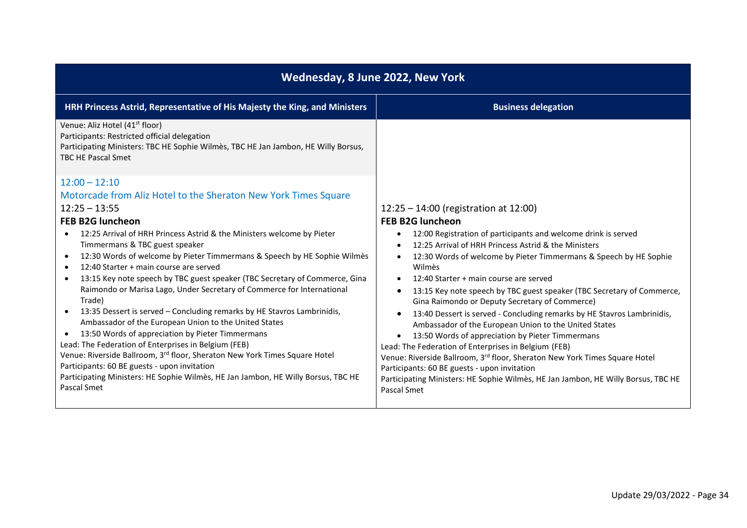| Wednesday, 8 June 2022, New York                                                                                                                                                                              |                                                                                                                                       |
|---------------------------------------------------------------------------------------------------------------------------------------------------------------------------------------------------------------|---------------------------------------------------------------------------------------------------------------------------------------|
| HRH Princess Astrid, Representative of His Majesty the King, and Ministers                                                                                                                                    | <b>Business delegation</b>                                                                                                            |
| Venue: Aliz Hotel (41 <sup>st</sup> floor)<br>Participants: Restricted official delegation<br>Participating Ministers: TBC HE Sophie Wilmès, TBC HE Jan Jambon, HE Willy Borsus,<br><b>TBC HE Pascal Smet</b> |                                                                                                                                       |
| $12:00 - 12:10$                                                                                                                                                                                               |                                                                                                                                       |
| Motorcade from Aliz Hotel to the Sheraton New York Times Square                                                                                                                                               |                                                                                                                                       |
| $12:25 - 13:55$                                                                                                                                                                                               | $12:25 - 14:00$ (registration at 12:00)                                                                                               |
| <b>FEB B2G luncheon</b>                                                                                                                                                                                       | <b>FEB B2G luncheon</b>                                                                                                               |
| 12:25 Arrival of HRH Princess Astrid & the Ministers welcome by Pieter<br>$\bullet$                                                                                                                           | 12:00 Registration of participants and welcome drink is served                                                                        |
| Timmermans & TBC guest speaker                                                                                                                                                                                | 12:25 Arrival of HRH Princess Astrid & the Ministers                                                                                  |
| 12:30 Words of welcome by Pieter Timmermans & Speech by HE Sophie Wilmes<br>$\bullet$                                                                                                                         | 12:30 Words of welcome by Pieter Timmermans & Speech by HE Sophie                                                                     |
| 12:40 Starter + main course are served<br>$\bullet$                                                                                                                                                           | Wilmès                                                                                                                                |
| 13:15 Key note speech by TBC guest speaker (TBC Secretary of Commerce, Gina<br>$\bullet$<br>Raimondo or Marisa Lago, Under Secretary of Commerce for International                                            | 12:40 Starter + main course are served                                                                                                |
| Trade)                                                                                                                                                                                                        | 13:15 Key note speech by TBC guest speaker (TBC Secretary of Commerce,<br>$\bullet$<br>Gina Raimondo or Deputy Secretary of Commerce) |
| 13:35 Dessert is served - Concluding remarks by HE Stavros Lambrinidis,<br>$\bullet$<br>Ambassador of the European Union to the United States                                                                 | 13:40 Dessert is served - Concluding remarks by HE Stavros Lambrinidis,                                                               |
| 13:50 Words of appreciation by Pieter Timmermans<br>$\bullet$                                                                                                                                                 | Ambassador of the European Union to the United States<br>13:50 Words of appreciation by Pieter Timmermans<br>$\bullet$                |
| Lead: The Federation of Enterprises in Belgium (FEB)                                                                                                                                                          | Lead: The Federation of Enterprises in Belgium (FEB)                                                                                  |
| Venue: Riverside Ballroom, 3rd floor, Sheraton New York Times Square Hotel                                                                                                                                    | Venue: Riverside Ballroom, 3 <sup>rd</sup> floor, Sheraton New York Times Square Hotel                                                |
| Participants: 60 BE guests - upon invitation                                                                                                                                                                  | Participants: 60 BE guests - upon invitation                                                                                          |
| Participating Ministers: HE Sophie Wilmès, HE Jan Jambon, HE Willy Borsus, TBC HE                                                                                                                             | Participating Ministers: HE Sophie Wilmès, HE Jan Jambon, HE Willy Borsus, TBC HE                                                     |
| Pascal Smet                                                                                                                                                                                                   | Pascal Smet                                                                                                                           |
|                                                                                                                                                                                                               |                                                                                                                                       |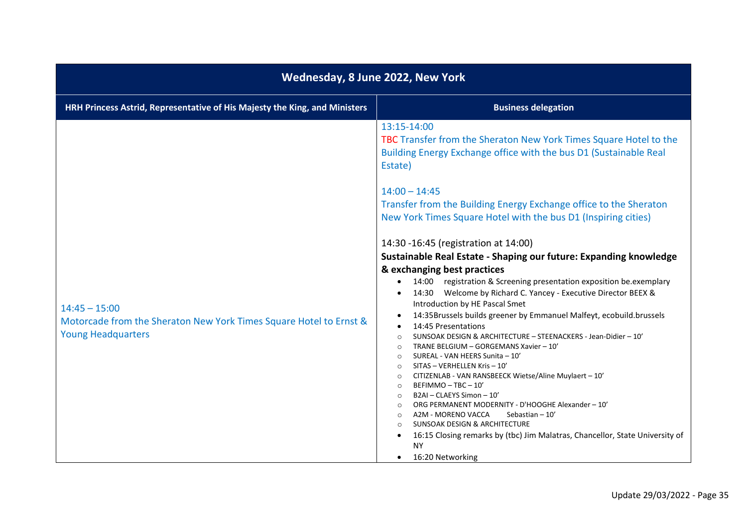| Wednesday, 8 June 2022, New York                                                                                   |                                                                                                                                                                                                                                                                                                                                                                                                                                                                                                                                                                                                                                                                                                                                                                                                                                                                                                                                                                                                                                                                                                                                                                                                                                                                                                                                                                                                                                                 |
|--------------------------------------------------------------------------------------------------------------------|-------------------------------------------------------------------------------------------------------------------------------------------------------------------------------------------------------------------------------------------------------------------------------------------------------------------------------------------------------------------------------------------------------------------------------------------------------------------------------------------------------------------------------------------------------------------------------------------------------------------------------------------------------------------------------------------------------------------------------------------------------------------------------------------------------------------------------------------------------------------------------------------------------------------------------------------------------------------------------------------------------------------------------------------------------------------------------------------------------------------------------------------------------------------------------------------------------------------------------------------------------------------------------------------------------------------------------------------------------------------------------------------------------------------------------------------------|
| HRH Princess Astrid, Representative of His Majesty the King, and Ministers                                         | <b>Business delegation</b>                                                                                                                                                                                                                                                                                                                                                                                                                                                                                                                                                                                                                                                                                                                                                                                                                                                                                                                                                                                                                                                                                                                                                                                                                                                                                                                                                                                                                      |
| $14:45 - 15:00$<br>Motorcade from the Sheraton New York Times Square Hotel to Ernst &<br><b>Young Headquarters</b> | 13:15-14:00<br>TBC Transfer from the Sheraton New York Times Square Hotel to the<br>Building Energy Exchange office with the bus D1 (Sustainable Real<br>Estate)<br>$14:00 - 14:45$<br>Transfer from the Building Energy Exchange office to the Sheraton<br>New York Times Square Hotel with the bus D1 (Inspiring cities)<br>14:30 -16:45 (registration at 14:00)<br>Sustainable Real Estate - Shaping our future: Expanding knowledge<br>& exchanging best practices<br>14:00 registration & Screening presentation exposition be.exemplary<br>$\bullet$<br>14:30 Welcome by Richard C. Yancey - Executive Director BEEX &<br>Introduction by HE Pascal Smet<br>14:35Brussels builds greener by Emmanuel Malfeyt, ecobuild.brussels<br>14:45 Presentations<br>SUNSOAK DESIGN & ARCHITECTURE - STEENACKERS - Jean-Didier - 10'<br>$\circ$<br>TRANE BELGIUM - GORGEMANS Xavier - 10'<br>$\circ$<br>SUREAL - VAN HEERS Sunita - 10'<br>$\circ$<br>SITAS - VERHELLEN Kris - 10'<br>$\circ$<br>CITIZENLAB - VAN RANSBEECK Wietse/Aline Muylaert - 10'<br>$\circ$<br>BEFIMMO-TBC-10'<br>$\circ$<br>B2AI - CLAEYS Simon - 10'<br>$\circ$<br>ORG PERMANENT MODERNITY - D'HOOGHE Alexander - 10'<br>$\circ$<br>A2M - MORENO VACCA<br>Sebastian - 10'<br>$\circ$<br><b>SUNSOAK DESIGN &amp; ARCHITECTURE</b><br>16:15 Closing remarks by (tbc) Jim Malatras, Chancellor, State University of<br>$\bullet$<br><b>NY</b><br>16:20 Networking<br>$\bullet$ |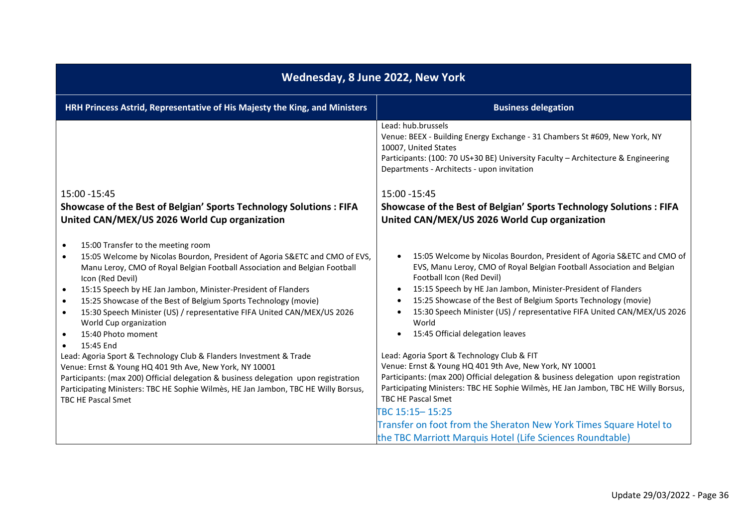| Wednesday, 8 June 2022, New York                                                                                                                                                                                                                                                                                                                                                                                                                                                                                                                    |                                                                                                                                                                                                                                                                                                                                                                                                                                                               |
|-----------------------------------------------------------------------------------------------------------------------------------------------------------------------------------------------------------------------------------------------------------------------------------------------------------------------------------------------------------------------------------------------------------------------------------------------------------------------------------------------------------------------------------------------------|---------------------------------------------------------------------------------------------------------------------------------------------------------------------------------------------------------------------------------------------------------------------------------------------------------------------------------------------------------------------------------------------------------------------------------------------------------------|
| HRH Princess Astrid, Representative of His Majesty the King, and Ministers                                                                                                                                                                                                                                                                                                                                                                                                                                                                          | <b>Business delegation</b>                                                                                                                                                                                                                                                                                                                                                                                                                                    |
| 15:00 - 15:45<br>Showcase of the Best of Belgian' Sports Technology Solutions : FIFA<br>United CAN/MEX/US 2026 World Cup organization                                                                                                                                                                                                                                                                                                                                                                                                               | Lead: hub.brussels<br>Venue: BEEX - Building Energy Exchange - 31 Chambers St #609, New York, NY<br>10007, United States<br>Participants: (100: 70 US+30 BE) University Faculty - Architecture & Engineering<br>Departments - Architects - upon invitation<br>15:00 - 15:45<br>Showcase of the Best of Belgian' Sports Technology Solutions : FIFA<br>United CAN/MEX/US 2026 World Cup organization                                                           |
| 15:00 Transfer to the meeting room<br>$\bullet$<br>15:05 Welcome by Nicolas Bourdon, President of Agoria S&ETC and CMO of EVS,<br>Manu Leroy, CMO of Royal Belgian Football Association and Belgian Football<br>Icon (Red Devil)<br>15:15 Speech by HE Jan Jambon, Minister-President of Flanders<br>$\bullet$<br>15:25 Showcase of the Best of Belgium Sports Technology (movie)<br>$\bullet$<br>15:30 Speech Minister (US) / representative FIFA United CAN/MEX/US 2026<br>$\bullet$<br>World Cup organization<br>15:40 Photo moment<br>$\bullet$ | 15:05 Welcome by Nicolas Bourdon, President of Agoria S&ETC and CMO of<br>EVS, Manu Leroy, CMO of Royal Belgian Football Association and Belgian<br>Football Icon (Red Devil)<br>15:15 Speech by HE Jan Jambon, Minister-President of Flanders<br>15:25 Showcase of the Best of Belgium Sports Technology (movie)<br>$\bullet$<br>15:30 Speech Minister (US) / representative FIFA United CAN/MEX/US 2026<br>World<br>15:45 Official delegation leaves        |
| 15:45 End<br>Lead: Agoria Sport & Technology Club & Flanders Investment & Trade<br>Venue: Ernst & Young HQ 401 9th Ave, New York, NY 10001<br>Participants: (max 200) Official delegation & business delegation upon registration<br>Participating Ministers: TBC HE Sophie Wilmès, HE Jan Jambon, TBC HE Willy Borsus,<br>TBC HE Pascal Smet                                                                                                                                                                                                       | Lead: Agoria Sport & Technology Club & FIT<br>Venue: Ernst & Young HQ 401 9th Ave, New York, NY 10001<br>Participants: (max 200) Official delegation & business delegation upon registration<br>Participating Ministers: TBC HE Sophie Wilmès, HE Jan Jambon, TBC HE Willy Borsus,<br>TBC HE Pascal Smet<br>TBC 15:15-15:25<br>Transfer on foot from the Sheraton New York Times Square Hotel to<br>the TBC Marriott Marquis Hotel (Life Sciences Roundtable) |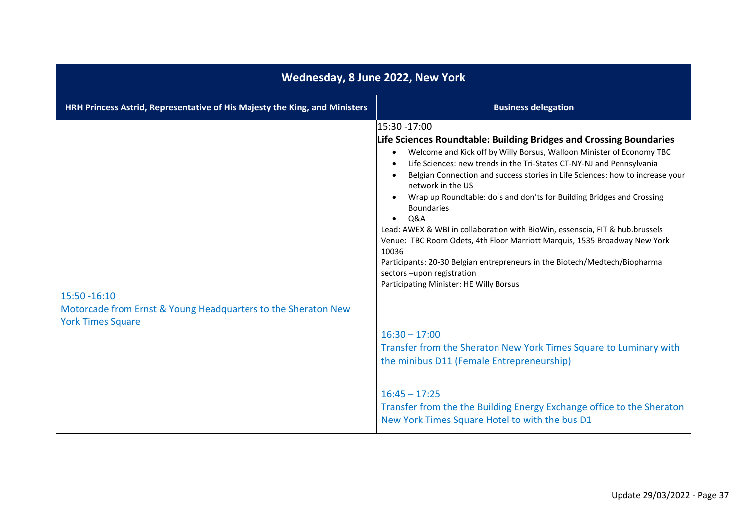| Wednesday, 8 June 2022, New York                                                          |                                                                                                                                                                                                                                                                                                                                                                                                                                                                                                                                                                                                                                                                                                                                                                             |
|-------------------------------------------------------------------------------------------|-----------------------------------------------------------------------------------------------------------------------------------------------------------------------------------------------------------------------------------------------------------------------------------------------------------------------------------------------------------------------------------------------------------------------------------------------------------------------------------------------------------------------------------------------------------------------------------------------------------------------------------------------------------------------------------------------------------------------------------------------------------------------------|
| HRH Princess Astrid, Representative of His Majesty the King, and Ministers                | <b>Business delegation</b>                                                                                                                                                                                                                                                                                                                                                                                                                                                                                                                                                                                                                                                                                                                                                  |
| $15:50 - 16:10$                                                                           | 15:30 -17:00<br>Life Sciences Roundtable: Building Bridges and Crossing Boundaries<br>Welcome and Kick off by Willy Borsus, Walloon Minister of Economy TBC<br>Life Sciences: new trends in the Tri-States CT-NY-NJ and Pennsylvania<br>Belgian Connection and success stories in Life Sciences: how to increase your<br>network in the US<br>Wrap up Roundtable: do's and don'ts for Building Bridges and Crossing<br><b>Boundaries</b><br>Q&A<br>Lead: AWEX & WBI in collaboration with BioWin, essenscia, FIT & hub.brussels<br>Venue: TBC Room Odets, 4th Floor Marriott Marquis, 1535 Broadway New York<br>10036<br>Participants: 20-30 Belgian entrepreneurs in the Biotech/Medtech/Biopharma<br>sectors-upon registration<br>Participating Minister: HE Willy Borsus |
| Motorcade from Ernst & Young Headquarters to the Sheraton New<br><b>York Times Square</b> | $16:30 - 17:00$<br>Transfer from the Sheraton New York Times Square to Luminary with<br>the minibus D11 (Female Entrepreneurship)<br>$16:45 - 17:25$<br>Transfer from the the Building Energy Exchange office to the Sheraton<br>New York Times Square Hotel to with the bus D1                                                                                                                                                                                                                                                                                                                                                                                                                                                                                             |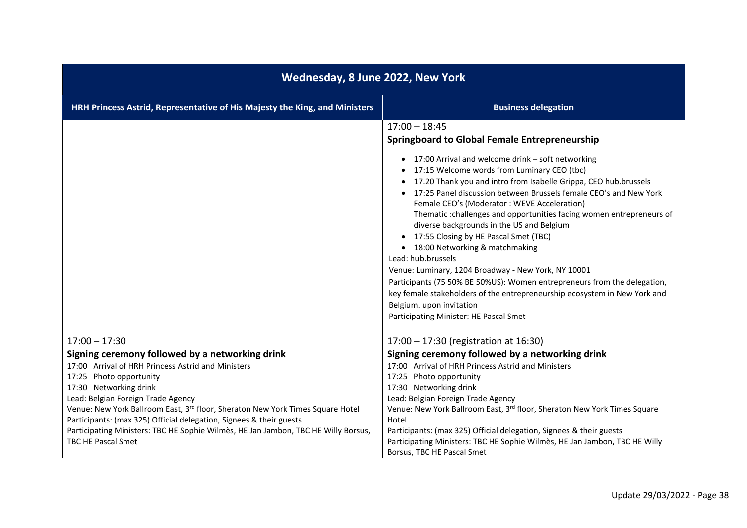| Wednesday, 8 June 2022, New York                                                                                                                                                                                                                                                                                                                                                                                                                |                                                                                                                                                                                                                                                                                                                                                                                                                                                                                                                                                                                                                                                                                                                                                                                                                   |  |
|-------------------------------------------------------------------------------------------------------------------------------------------------------------------------------------------------------------------------------------------------------------------------------------------------------------------------------------------------------------------------------------------------------------------------------------------------|-------------------------------------------------------------------------------------------------------------------------------------------------------------------------------------------------------------------------------------------------------------------------------------------------------------------------------------------------------------------------------------------------------------------------------------------------------------------------------------------------------------------------------------------------------------------------------------------------------------------------------------------------------------------------------------------------------------------------------------------------------------------------------------------------------------------|--|
| HRH Princess Astrid, Representative of His Majesty the King, and Ministers                                                                                                                                                                                                                                                                                                                                                                      | <b>Business delegation</b>                                                                                                                                                                                                                                                                                                                                                                                                                                                                                                                                                                                                                                                                                                                                                                                        |  |
|                                                                                                                                                                                                                                                                                                                                                                                                                                                 | $17:00 - 18:45$<br><b>Springboard to Global Female Entrepreneurship</b>                                                                                                                                                                                                                                                                                                                                                                                                                                                                                                                                                                                                                                                                                                                                           |  |
|                                                                                                                                                                                                                                                                                                                                                                                                                                                 | • 17:00 Arrival and welcome drink - soft networking<br>• 17:15 Welcome words from Luminary CEO (tbc)<br>• 17.20 Thank you and intro from Isabelle Grippa, CEO hub.brussels<br>• 17:25 Panel discussion between Brussels female CEO's and New York<br>Female CEO's (Moderator: WEVE Acceleration)<br>Thematic : challenges and opportunities facing women entrepreneurs of<br>diverse backgrounds in the US and Belgium<br>• 17:55 Closing by HE Pascal Smet (TBC)<br>• 18:00 Networking & matchmaking<br>Lead: hub.brussels<br>Venue: Luminary, 1204 Broadway - New York, NY 10001<br>Participants (75 50% BE 50%US): Women entrepreneurs from the delegation,<br>key female stakeholders of the entrepreneurship ecosystem in New York and<br>Belgium. upon invitation<br>Participating Minister: HE Pascal Smet |  |
| $17:00 - 17:30$                                                                                                                                                                                                                                                                                                                                                                                                                                 | 17:00 - 17:30 (registration at 16:30)                                                                                                                                                                                                                                                                                                                                                                                                                                                                                                                                                                                                                                                                                                                                                                             |  |
| Signing ceremony followed by a networking drink<br>17:00 Arrival of HRH Princess Astrid and Ministers<br>17:25 Photo opportunity<br>17:30 Networking drink<br>Lead: Belgian Foreign Trade Agency<br>Venue: New York Ballroom East, 3rd floor, Sheraton New York Times Square Hotel<br>Participants: (max 325) Official delegation, Signees & their guests<br>Participating Ministers: TBC HE Sophie Wilmès, HE Jan Jambon, TBC HE Willy Borsus, | Signing ceremony followed by a networking drink<br>17:00 Arrival of HRH Princess Astrid and Ministers<br>17:25 Photo opportunity<br>17:30 Networking drink<br>Lead: Belgian Foreign Trade Agency<br>Venue: New York Ballroom East, 3rd floor, Sheraton New York Times Square<br>Hotel<br>Participants: (max 325) Official delegation, Signees & their guests                                                                                                                                                                                                                                                                                                                                                                                                                                                      |  |
| <b>TBC HE Pascal Smet</b>                                                                                                                                                                                                                                                                                                                                                                                                                       | Participating Ministers: TBC HE Sophie Wilmès, HE Jan Jambon, TBC HE Willy<br>Borsus, TBC HE Pascal Smet                                                                                                                                                                                                                                                                                                                                                                                                                                                                                                                                                                                                                                                                                                          |  |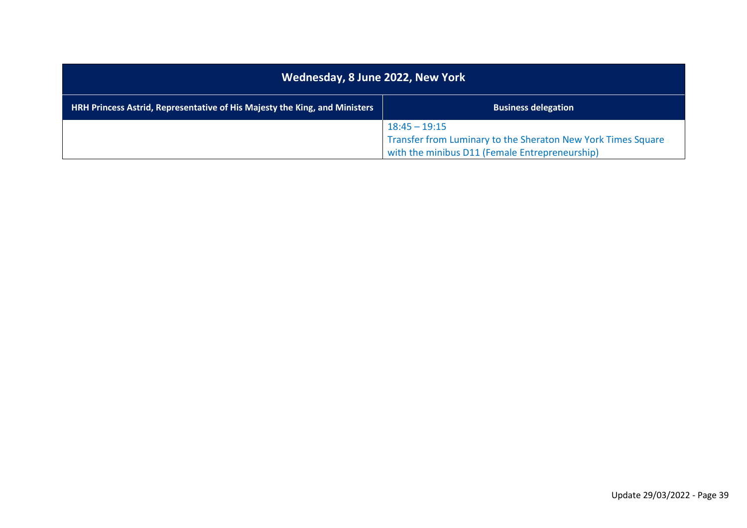| Wednesday, 8 June 2022, New York                                                  |                                                                                                                                   |
|-----------------------------------------------------------------------------------|-----------------------------------------------------------------------------------------------------------------------------------|
| <b>HRH Princess Astrid, Representative of His Majesty the King, and Ministers</b> | <b>Business delegation</b>                                                                                                        |
|                                                                                   | $18:45 - 19:15$<br>Transfer from Luminary to the Sheraton New York Times Square<br>with the minibus D11 (Female Entrepreneurship) |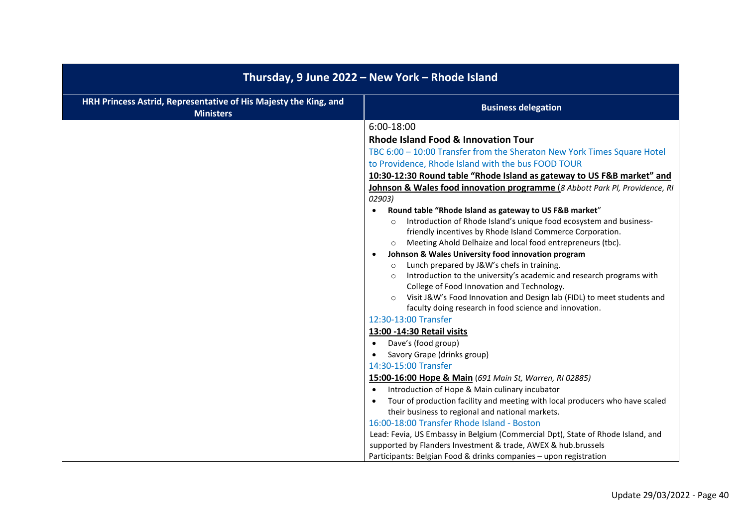| Thursday, 9 June 2022 - New York - Rhode Island                                      |                                                                                                                                            |
|--------------------------------------------------------------------------------------|--------------------------------------------------------------------------------------------------------------------------------------------|
| HRH Princess Astrid, Representative of His Majesty the King, and<br><b>Ministers</b> | <b>Business delegation</b>                                                                                                                 |
|                                                                                      | 6:00-18:00                                                                                                                                 |
|                                                                                      | Rhode Island Food & Innovation Tour                                                                                                        |
|                                                                                      | TBC 6:00 - 10:00 Transfer from the Sheraton New York Times Square Hotel                                                                    |
|                                                                                      | to Providence, Rhode Island with the bus FOOD TOUR                                                                                         |
|                                                                                      | 10:30-12:30 Round table "Rhode Island as gateway to US F&B market" and                                                                     |
|                                                                                      | Johnson & Wales food innovation programme (8 Abbott Park PI, Providence, RI                                                                |
|                                                                                      | 02903)                                                                                                                                     |
|                                                                                      | Round table "Rhode Island as gateway to US F&B market"<br>$\bullet$                                                                        |
|                                                                                      | Introduction of Rhode Island's unique food ecosystem and business-<br>$\circ$<br>friendly incentives by Rhode Island Commerce Corporation. |
|                                                                                      | Meeting Ahold Delhaize and local food entrepreneurs (tbc).<br>$\circ$                                                                      |
|                                                                                      | Johnson & Wales University food innovation program<br>$\bullet$                                                                            |
|                                                                                      | Lunch prepared by J&W's chefs in training.<br>$\circ$                                                                                      |
|                                                                                      | Introduction to the university's academic and research programs with<br>$\circ$                                                            |
|                                                                                      | College of Food Innovation and Technology.                                                                                                 |
|                                                                                      | Visit J&W's Food Innovation and Design lab (FIDL) to meet students and<br>$\circ$                                                          |
|                                                                                      | faculty doing research in food science and innovation.<br>12:30-13:00 Transfer                                                             |
|                                                                                      | 13:00 -14:30 Retail visits                                                                                                                 |
|                                                                                      | Dave's (food group)<br>$\bullet$                                                                                                           |
|                                                                                      | Savory Grape (drinks group)<br>$\bullet$                                                                                                   |
|                                                                                      | 14:30-15:00 Transfer                                                                                                                       |
|                                                                                      | 15:00-16:00 Hope & Main (691 Main St, Warren, RI 02885)                                                                                    |
|                                                                                      | Introduction of Hope & Main culinary incubator<br>$\bullet$                                                                                |
|                                                                                      | Tour of production facility and meeting with local producers who have scaled<br>$\bullet$                                                  |
|                                                                                      | their business to regional and national markets.                                                                                           |
|                                                                                      | 16:00-18:00 Transfer Rhode Island - Boston                                                                                                 |
|                                                                                      | Lead: Fevia, US Embassy in Belgium (Commercial Dpt), State of Rhode Island, and                                                            |
|                                                                                      | supported by Flanders Investment & trade, AWEX & hub.brussels<br>Participants: Belgian Food & drinks companies - upon registration         |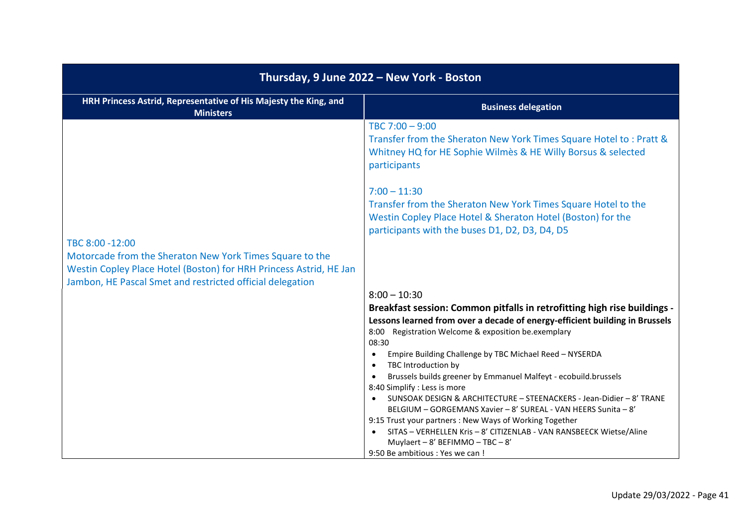| Thursday, 9 June 2022 - New York - Boston                                                                                                                                                                      |                                                                                                                                                                                                                                                                                                                                                                                                                          |
|----------------------------------------------------------------------------------------------------------------------------------------------------------------------------------------------------------------|--------------------------------------------------------------------------------------------------------------------------------------------------------------------------------------------------------------------------------------------------------------------------------------------------------------------------------------------------------------------------------------------------------------------------|
| HRH Princess Astrid, Representative of His Majesty the King, and<br><b>Ministers</b>                                                                                                                           | <b>Business delegation</b>                                                                                                                                                                                                                                                                                                                                                                                               |
|                                                                                                                                                                                                                | TBC $7:00 - 9:00$<br>Transfer from the Sheraton New York Times Square Hotel to: Pratt &<br>Whitney HQ for HE Sophie Wilmes & HE Willy Borsus & selected<br>participants                                                                                                                                                                                                                                                  |
|                                                                                                                                                                                                                | $7:00 - 11:30$<br>Transfer from the Sheraton New York Times Square Hotel to the<br>Westin Copley Place Hotel & Sheraton Hotel (Boston) for the<br>participants with the buses D1, D2, D3, D4, D5                                                                                                                                                                                                                         |
| TBC 8:00 -12:00<br>Motorcade from the Sheraton New York Times Square to the<br>Westin Copley Place Hotel (Boston) for HRH Princess Astrid, HE Jan<br>Jambon, HE Pascal Smet and restricted official delegation |                                                                                                                                                                                                                                                                                                                                                                                                                          |
|                                                                                                                                                                                                                | $8:00 - 10:30$<br>Breakfast session: Common pitfalls in retrofitting high rise buildings -<br>Lessons learned from over a decade of energy-efficient building in Brussels<br>8:00 Registration Welcome & exposition be.exemplary<br>08:30<br>Empire Building Challenge by TBC Michael Reed - NYSERDA<br>$\bullet$<br>TBC Introduction by<br>$\bullet$<br>Brussels builds greener by Emmanuel Malfeyt - ecobuild.brussels |
|                                                                                                                                                                                                                | 8:40 Simplify : Less is more<br>SUNSOAK DESIGN & ARCHITECTURE - STEENACKERS - Jean-Didier - 8' TRANE<br>BELGIUM - GORGEMANS Xavier - 8' SUREAL - VAN HEERS Sunita - 8'<br>9:15 Trust your partners : New Ways of Working Together<br>SITAS - VERHELLEN Kris - 8' CITIZENLAB - VAN RANSBEECK Wietse/Aline<br>$\bullet$<br>Muylaert - 8' BEFIMMO - TBC - 8'<br>9:50 Be ambitious : Yes we can !                            |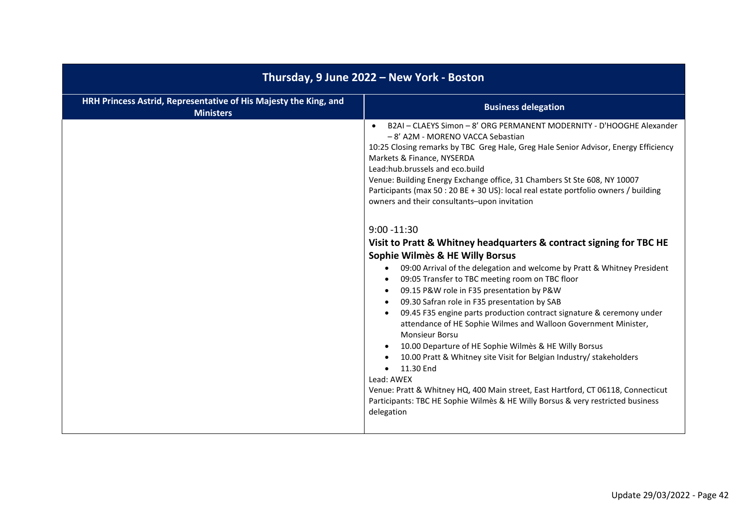| Thursday, 9 June 2022 - New York - Boston                                            |                                                                                                                                                                                                                                                                                                                                                                                                                                                                                                                                                                                                                                                                                                                                                                                                                                                                                                                                                                                                                                                                                                                                                                                                                                                                                                                                                                                                                                      |
|--------------------------------------------------------------------------------------|--------------------------------------------------------------------------------------------------------------------------------------------------------------------------------------------------------------------------------------------------------------------------------------------------------------------------------------------------------------------------------------------------------------------------------------------------------------------------------------------------------------------------------------------------------------------------------------------------------------------------------------------------------------------------------------------------------------------------------------------------------------------------------------------------------------------------------------------------------------------------------------------------------------------------------------------------------------------------------------------------------------------------------------------------------------------------------------------------------------------------------------------------------------------------------------------------------------------------------------------------------------------------------------------------------------------------------------------------------------------------------------------------------------------------------------|
| HRH Princess Astrid, Representative of His Majesty the King, and<br><b>Ministers</b> | <b>Business delegation</b>                                                                                                                                                                                                                                                                                                                                                                                                                                                                                                                                                                                                                                                                                                                                                                                                                                                                                                                                                                                                                                                                                                                                                                                                                                                                                                                                                                                                           |
|                                                                                      | B2AI - CLAEYS Simon - 8' ORG PERMANENT MODERNITY - D'HOOGHE Alexander<br>- 8' A2M - MORENO VACCA Sebastian<br>10:25 Closing remarks by TBC Greg Hale, Greg Hale Senior Advisor, Energy Efficiency<br>Markets & Finance, NYSERDA<br>Lead:hub.brussels and eco.build<br>Venue: Building Energy Exchange office, 31 Chambers St Ste 608, NY 10007<br>Participants (max 50 : 20 BE + 30 US): local real estate portfolio owners / building<br>owners and their consultants-upon invitation<br>$9:00 - 11:30$<br>Visit to Pratt & Whitney headquarters & contract signing for TBC HE<br>Sophie Wilmès & HE Willy Borsus<br>09:00 Arrival of the delegation and welcome by Pratt & Whitney President<br>$\bullet$<br>09:05 Transfer to TBC meeting room on TBC floor<br>$\bullet$<br>09.15 P&W role in F35 presentation by P&W<br>$\bullet$<br>09.30 Safran role in F35 presentation by SAB<br>09.45 F35 engine parts production contract signature & ceremony under<br>$\bullet$<br>attendance of HE Sophie Wilmes and Walloon Government Minister,<br><b>Monsieur Borsu</b><br>10.00 Departure of HE Sophie Wilmès & HE Willy Borsus<br>$\bullet$<br>10.00 Pratt & Whitney site Visit for Belgian Industry/ stakeholders<br>11.30 End<br>Lead: AWEX<br>Venue: Pratt & Whitney HQ, 400 Main street, East Hartford, CT 06118, Connecticut<br>Participants: TBC HE Sophie Wilmès & HE Willy Borsus & very restricted business<br>delegation |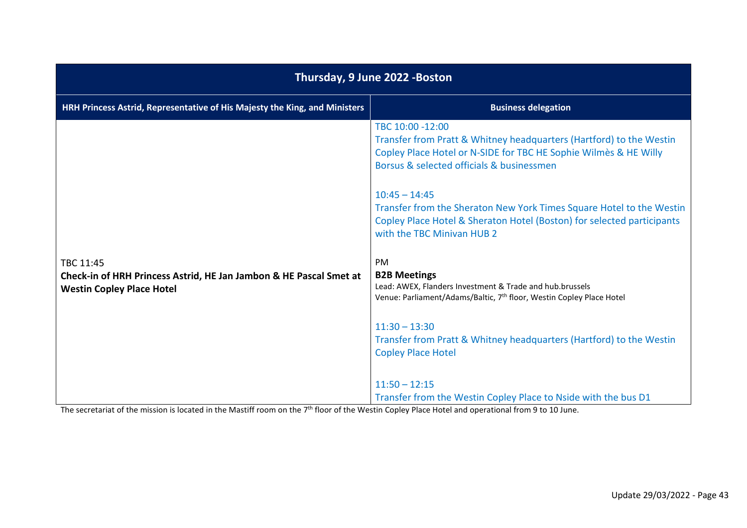| Thursday, 9 June 2022 - Boston                                                                                      |                                                                                                                                                                                                          |
|---------------------------------------------------------------------------------------------------------------------|----------------------------------------------------------------------------------------------------------------------------------------------------------------------------------------------------------|
| HRH Princess Astrid, Representative of His Majesty the King, and Ministers                                          | <b>Business delegation</b>                                                                                                                                                                               |
|                                                                                                                     | TBC 10:00 -12:00<br>Transfer from Pratt & Whitney headquarters (Hartford) to the Westin<br>Copley Place Hotel or N-SIDE for TBC HE Sophie Wilmes & HE Willy<br>Borsus & selected officials & businessmen |
|                                                                                                                     | $10:45 - 14:45$<br>Transfer from the Sheraton New York Times Square Hotel to the Westin<br>Copley Place Hotel & Sheraton Hotel (Boston) for selected participants<br>with the TBC Minivan HUB 2          |
| TBC 11:45<br>Check-in of HRH Princess Astrid, HE Jan Jambon & HE Pascal Smet at<br><b>Westin Copley Place Hotel</b> | PM<br><b>B2B Meetings</b><br>Lead: AWEX, Flanders Investment & Trade and hub.brussels<br>Venue: Parliament/Adams/Baltic, 7 <sup>th</sup> floor, Westin Copley Place Hotel                                |
|                                                                                                                     | $11:30 - 13:30$<br>Transfer from Pratt & Whitney headquarters (Hartford) to the Westin<br><b>Copley Place Hotel</b>                                                                                      |
|                                                                                                                     | $11:50 - 12:15$<br>Transfer from the Westin Copley Place to Nside with the bus D1                                                                                                                        |

The secretariat of the mission is located in the Mastiff room on the 7<sup>th</sup> floor of the Westin Copley Place Hotel and operational from 9 to 10 June.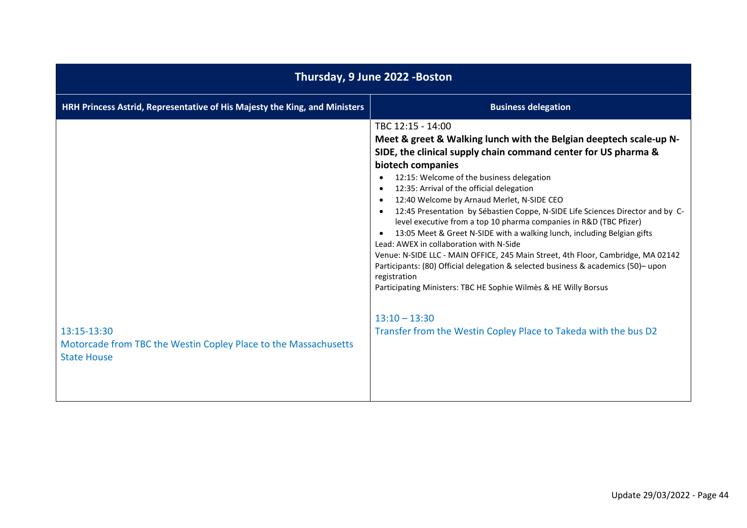| Thursday, 9 June 2022 - Boston                                                                       |                                                                                                                                                                                                                                                                                                                                                                                                                                                                                                                                                                                                                                                                                                                                                                                                                                                                                                                                                                                                           |  |
|------------------------------------------------------------------------------------------------------|-----------------------------------------------------------------------------------------------------------------------------------------------------------------------------------------------------------------------------------------------------------------------------------------------------------------------------------------------------------------------------------------------------------------------------------------------------------------------------------------------------------------------------------------------------------------------------------------------------------------------------------------------------------------------------------------------------------------------------------------------------------------------------------------------------------------------------------------------------------------------------------------------------------------------------------------------------------------------------------------------------------|--|
| HRH Princess Astrid, Representative of His Majesty the King, and Ministers                           | <b>Business delegation</b>                                                                                                                                                                                                                                                                                                                                                                                                                                                                                                                                                                                                                                                                                                                                                                                                                                                                                                                                                                                |  |
| 13:15-13:30<br>Motorcade from TBC the Westin Copley Place to the Massachusetts<br><b>State House</b> | TBC 12:15 - 14:00<br>Meet & greet & Walking lunch with the Belgian deeptech scale-up N-<br>SIDE, the clinical supply chain command center for US pharma &<br>biotech companies<br>12:15: Welcome of the business delegation<br>12:35: Arrival of the official delegation<br>$\bullet$<br>12:40 Welcome by Arnaud Merlet, N-SIDE CEO<br>$\bullet$<br>12:45 Presentation by Sébastien Coppe, N-SIDE Life Sciences Director and by C-<br>$\bullet$<br>level executive from a top 10 pharma companies in R&D (TBC Pfizer)<br>13:05 Meet & Greet N-SIDE with a walking lunch, including Belgian gifts<br>$\bullet$<br>Lead: AWEX in collaboration with N-Side<br>Venue: N-SIDE LLC - MAIN OFFICE, 245 Main Street, 4th Floor, Cambridge, MA 02142<br>Participants: (80) Official delegation & selected business & academics (50)-upon<br>registration<br>Participating Ministers: TBC HE Sophie Wilmès & HE Willy Borsus<br>$13:10 - 13:30$<br>Transfer from the Westin Copley Place to Takeda with the bus D2 |  |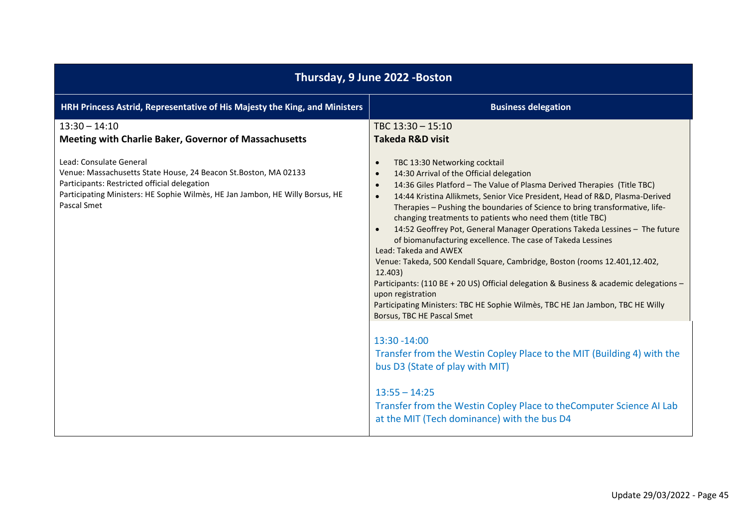| Thursday, 9 June 2022 - Boston                                                                                                                                                                                                              |                                                                                                                                                                                                                                                                                                                                                                                                                                                                                                                                                                                                                                                                                                                                                                                                                                                                                                                                       |  |
|---------------------------------------------------------------------------------------------------------------------------------------------------------------------------------------------------------------------------------------------|---------------------------------------------------------------------------------------------------------------------------------------------------------------------------------------------------------------------------------------------------------------------------------------------------------------------------------------------------------------------------------------------------------------------------------------------------------------------------------------------------------------------------------------------------------------------------------------------------------------------------------------------------------------------------------------------------------------------------------------------------------------------------------------------------------------------------------------------------------------------------------------------------------------------------------------|--|
| HRH Princess Astrid, Representative of His Majesty the King, and Ministers                                                                                                                                                                  | <b>Business delegation</b>                                                                                                                                                                                                                                                                                                                                                                                                                                                                                                                                                                                                                                                                                                                                                                                                                                                                                                            |  |
| $13:30 - 14:10$<br>Meeting with Charlie Baker, Governor of Massachusetts                                                                                                                                                                    | TBC 13:30 - 15:10<br><b>Takeda R&amp;D visit</b>                                                                                                                                                                                                                                                                                                                                                                                                                                                                                                                                                                                                                                                                                                                                                                                                                                                                                      |  |
| Lead: Consulate General<br>Venue: Massachusetts State House, 24 Beacon St. Boston, MA 02133<br>Participants: Restricted official delegation<br>Participating Ministers: HE Sophie Wilmès, HE Jan Jambon, HE Willy Borsus, HE<br>Pascal Smet | TBC 13:30 Networking cocktail<br>$\bullet$<br>14:30 Arrival of the Official delegation<br>$\bullet$<br>14:36 Giles Platford - The Value of Plasma Derived Therapies (Title TBC)<br>$\bullet$<br>14:44 Kristina Allikmets, Senior Vice President, Head of R&D, Plasma-Derived<br>$\bullet$<br>Therapies - Pushing the boundaries of Science to bring transformative, life-<br>changing treatments to patients who need them (title TBC)<br>14:52 Geoffrey Pot, General Manager Operations Takeda Lessines - The future<br>of biomanufacturing excellence. The case of Takeda Lessines<br>Lead: Takeda and AWEX<br>Venue: Takeda, 500 Kendall Square, Cambridge, Boston (rooms 12.401,12.402,<br>12.403)<br>Participants: (110 BE + 20 US) Official delegation & Business & academic delegations -<br>upon registration<br>Participating Ministers: TBC HE Sophie Wilmès, TBC HE Jan Jambon, TBC HE Willy<br>Borsus, TBC HE Pascal Smet |  |
|                                                                                                                                                                                                                                             | 13:30 - 14:00<br>Transfer from the Westin Copley Place to the MIT (Building 4) with the<br>bus D3 (State of play with MIT)<br>$13:55 - 14:25$<br>Transfer from the Westin Copley Place to the Computer Science AI Lab<br>at the MIT (Tech dominance) with the bus D4                                                                                                                                                                                                                                                                                                                                                                                                                                                                                                                                                                                                                                                                  |  |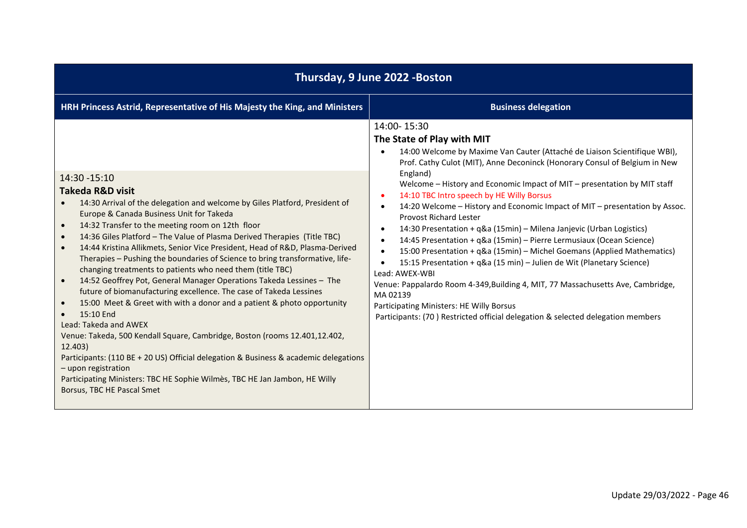| Thursday, 9 June 2022 - Boston                                                                                                                                                                                                                                                                                                                                                                                                                                                                                                                                                                                                                                                                                                                                                                                                                                                                                                                                                                                                                                                                                                        |                                                                                                                                                                                                                                                                                                                                                                                                                                                                                                                                                                                                                                                                                                                                                                                                                                                                                                                                                                                                                                                                                             |
|---------------------------------------------------------------------------------------------------------------------------------------------------------------------------------------------------------------------------------------------------------------------------------------------------------------------------------------------------------------------------------------------------------------------------------------------------------------------------------------------------------------------------------------------------------------------------------------------------------------------------------------------------------------------------------------------------------------------------------------------------------------------------------------------------------------------------------------------------------------------------------------------------------------------------------------------------------------------------------------------------------------------------------------------------------------------------------------------------------------------------------------|---------------------------------------------------------------------------------------------------------------------------------------------------------------------------------------------------------------------------------------------------------------------------------------------------------------------------------------------------------------------------------------------------------------------------------------------------------------------------------------------------------------------------------------------------------------------------------------------------------------------------------------------------------------------------------------------------------------------------------------------------------------------------------------------------------------------------------------------------------------------------------------------------------------------------------------------------------------------------------------------------------------------------------------------------------------------------------------------|
| HRH Princess Astrid, Representative of His Majesty the King, and Ministers                                                                                                                                                                                                                                                                                                                                                                                                                                                                                                                                                                                                                                                                                                                                                                                                                                                                                                                                                                                                                                                            | <b>Business delegation</b>                                                                                                                                                                                                                                                                                                                                                                                                                                                                                                                                                                                                                                                                                                                                                                                                                                                                                                                                                                                                                                                                  |
| 14:30 - 15:10<br>Takeda R&D visit<br>14:30 Arrival of the delegation and welcome by Giles Platford, President of<br>Europe & Canada Business Unit for Takeda<br>14:32 Transfer to the meeting room on 12th floor<br>14:36 Giles Platford - The Value of Plasma Derived Therapies (Title TBC)<br>$\bullet$<br>14:44 Kristina Allikmets, Senior Vice President, Head of R&D, Plasma-Derived<br>$\bullet$<br>Therapies - Pushing the boundaries of Science to bring transformative, life-<br>changing treatments to patients who need them (title TBC)<br>14:52 Geoffrey Pot, General Manager Operations Takeda Lessines - The<br>future of biomanufacturing excellence. The case of Takeda Lessines<br>15:00 Meet & Greet with with a donor and a patient & photo opportunity<br>15:10 End<br>Lead: Takeda and AWEX<br>Venue: Takeda, 500 Kendall Square, Cambridge, Boston (rooms 12.401,12.402,<br>12.403)<br>Participants: (110 BE + 20 US) Official delegation & Business & academic delegations<br>- upon registration<br>Participating Ministers: TBC HE Sophie Wilmès, TBC HE Jan Jambon, HE Willy<br>Borsus, TBC HE Pascal Smet | 14:00-15:30<br>The State of Play with MIT<br>14:00 Welcome by Maxime Van Cauter (Attaché de Liaison Scientifique WBI),<br>Prof. Cathy Culot (MIT), Anne Deconinck (Honorary Consul of Belgium in New<br>England)<br>Welcome - History and Economic Impact of MIT - presentation by MIT staff<br>14:10 TBC Intro speech by HE Willy Borsus<br>$\bullet$<br>14:20 Welcome - History and Economic Impact of MIT - presentation by Assoc.<br>$\bullet$<br><b>Provost Richard Lester</b><br>14:30 Presentation + q&a (15min) - Milena Janjevic (Urban Logistics)<br>$\bullet$<br>14:45 Presentation + q&a (15min) - Pierre Lermusiaux (Ocean Science)<br>$\bullet$<br>15:00 Presentation + q&a (15min) - Michel Goemans (Applied Mathematics)<br>$\bullet$<br>15:15 Presentation + q&a (15 min) - Julien de Wit (Planetary Science)<br>$\bullet$<br>Lead: AWEX-WBI<br>Venue: Pappalardo Room 4-349, Building 4, MIT, 77 Massachusetts Ave, Cambridge,<br>MA 02139<br>Participating Ministers: HE Willy Borsus<br>Participants: (70) Restricted official delegation & selected delegation members |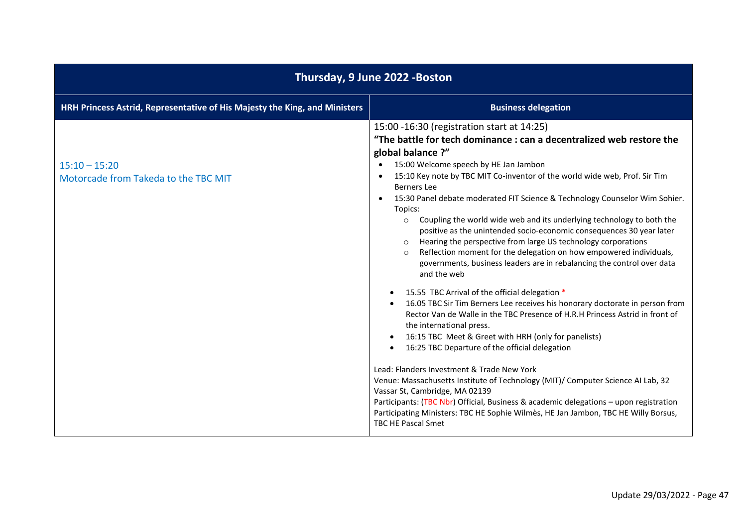| Thursday, 9 June 2022 - Boston                                             |                                                                                                                                                                                                                                                                                                                                                                                                                                                                                                                                                                                                                                                                                                                                                                                                                                                                                                                                                                                                                                                                                                                                                                                                                                                                                                                                                                                                                                                                                                                                                                     |
|----------------------------------------------------------------------------|---------------------------------------------------------------------------------------------------------------------------------------------------------------------------------------------------------------------------------------------------------------------------------------------------------------------------------------------------------------------------------------------------------------------------------------------------------------------------------------------------------------------------------------------------------------------------------------------------------------------------------------------------------------------------------------------------------------------------------------------------------------------------------------------------------------------------------------------------------------------------------------------------------------------------------------------------------------------------------------------------------------------------------------------------------------------------------------------------------------------------------------------------------------------------------------------------------------------------------------------------------------------------------------------------------------------------------------------------------------------------------------------------------------------------------------------------------------------------------------------------------------------------------------------------------------------|
| HRH Princess Astrid, Representative of His Majesty the King, and Ministers | <b>Business delegation</b>                                                                                                                                                                                                                                                                                                                                                                                                                                                                                                                                                                                                                                                                                                                                                                                                                                                                                                                                                                                                                                                                                                                                                                                                                                                                                                                                                                                                                                                                                                                                          |
| $15:10 - 15:20$<br>Motorcade from Takeda to the TBC MIT                    | 15:00 -16:30 (registration start at 14:25)<br>"The battle for tech dominance : can a decentralized web restore the<br>global balance ?"<br>15:00 Welcome speech by HE Jan Jambon<br>15:10 Key note by TBC MIT Co-inventor of the world wide web, Prof. Sir Tim<br>$\bullet$<br><b>Berners</b> Lee<br>15:30 Panel debate moderated FIT Science & Technology Counselor Wim Sohier.<br>Topics:<br>Coupling the world wide web and its underlying technology to both the<br>$\circ$<br>positive as the unintended socio-economic consequences 30 year later<br>Hearing the perspective from large US technology corporations<br>Reflection moment for the delegation on how empowered individuals,<br>$\circ$<br>governments, business leaders are in rebalancing the control over data<br>and the web<br>15.55 TBC Arrival of the official delegation *<br>$\bullet$<br>16.05 TBC Sir Tim Berners Lee receives his honorary doctorate in person from<br>$\bullet$<br>Rector Van de Walle in the TBC Presence of H.R.H Princess Astrid in front of<br>the international press.<br>16:15 TBC Meet & Greet with HRH (only for panelists)<br>16:25 TBC Departure of the official delegation<br>Lead: Flanders Investment & Trade New York<br>Venue: Massachusetts Institute of Technology (MIT)/ Computer Science AI Lab, 32<br>Vassar St, Cambridge, MA 02139<br>Participants: (TBC Nbr) Official, Business & academic delegations - upon registration<br>Participating Ministers: TBC HE Sophie Wilmès, HE Jan Jambon, TBC HE Willy Borsus,<br><b>TBC HE Pascal Smet</b> |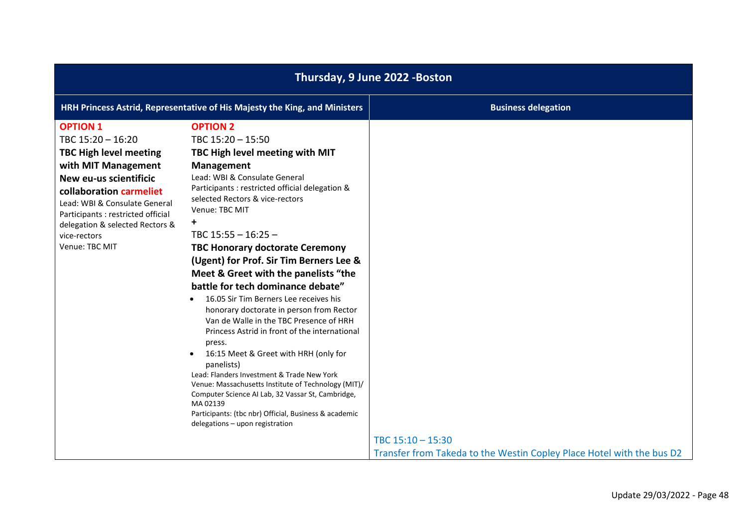| Thursday, 9 June 2022 - Boston                                                                                                                                                                                                                                                                |                                                                                                                                                                                                                                                                                                                                                                                                                                                                                                                                                                                                                                                                                                                                                                                                                                                                                                                                                           |                                                                       |
|-----------------------------------------------------------------------------------------------------------------------------------------------------------------------------------------------------------------------------------------------------------------------------------------------|-----------------------------------------------------------------------------------------------------------------------------------------------------------------------------------------------------------------------------------------------------------------------------------------------------------------------------------------------------------------------------------------------------------------------------------------------------------------------------------------------------------------------------------------------------------------------------------------------------------------------------------------------------------------------------------------------------------------------------------------------------------------------------------------------------------------------------------------------------------------------------------------------------------------------------------------------------------|-----------------------------------------------------------------------|
|                                                                                                                                                                                                                                                                                               | HRH Princess Astrid, Representative of His Majesty the King, and Ministers                                                                                                                                                                                                                                                                                                                                                                                                                                                                                                                                                                                                                                                                                                                                                                                                                                                                                | <b>Business delegation</b>                                            |
| <b>OPTION 1</b><br>TBC 15:20 - 16:20<br><b>TBC High level meeting</b><br>with MIT Management<br>New eu-us scientificic<br>collaboration carmeliet<br>Lead: WBI & Consulate General<br>Participants : restricted official<br>delegation & selected Rectors &<br>vice-rectors<br>Venue: TBC MIT | <b>OPTION 2</b><br>TBC 15:20 - 15:50<br>TBC High level meeting with MIT<br><b>Management</b><br>Lead: WBI & Consulate General<br>Participants : restricted official delegation &<br>selected Rectors & vice-rectors<br>Venue: TBC MIT<br>+<br>TBC $15:55 - 16:25 -$<br><b>TBC Honorary doctorate Ceremony</b><br>(Ugent) for Prof. Sir Tim Berners Lee &<br>Meet & Greet with the panelists "the<br>battle for tech dominance debate"<br>16.05 Sir Tim Berners Lee receives his<br>honorary doctorate in person from Rector<br>Van de Walle in the TBC Presence of HRH<br>Princess Astrid in front of the international<br>press.<br>16:15 Meet & Greet with HRH (only for<br>panelists)<br>Lead: Flanders Investment & Trade New York<br>Venue: Massachusetts Institute of Technology (MIT)/<br>Computer Science AI Lab, 32 Vassar St, Cambridge,<br>MA02139<br>Participants: (tbc nbr) Official, Business & academic<br>delegations - upon registration | TBC 15:10 - 15:30                                                     |
|                                                                                                                                                                                                                                                                                               |                                                                                                                                                                                                                                                                                                                                                                                                                                                                                                                                                                                                                                                                                                                                                                                                                                                                                                                                                           | Transfer from Takeda to the Westin Copley Place Hotel with the bus D2 |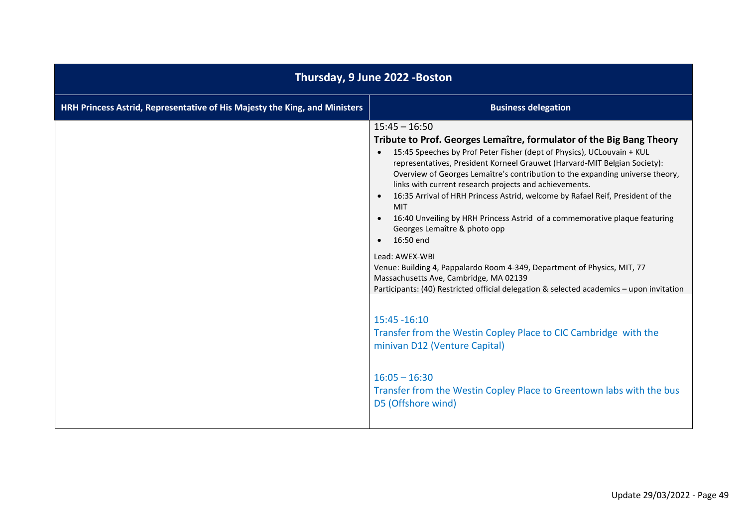| Thursday, 9 June 2022 - Boston                                             |                                                                                                                                                                                                                                                                                                                                                                                                                                                                                                                                                                                                                                                                                                                                                                                                                                                                                    |
|----------------------------------------------------------------------------|------------------------------------------------------------------------------------------------------------------------------------------------------------------------------------------------------------------------------------------------------------------------------------------------------------------------------------------------------------------------------------------------------------------------------------------------------------------------------------------------------------------------------------------------------------------------------------------------------------------------------------------------------------------------------------------------------------------------------------------------------------------------------------------------------------------------------------------------------------------------------------|
| HRH Princess Astrid, Representative of His Majesty the King, and Ministers | <b>Business delegation</b>                                                                                                                                                                                                                                                                                                                                                                                                                                                                                                                                                                                                                                                                                                                                                                                                                                                         |
|                                                                            | $15:45 - 16:50$<br>Tribute to Prof. Georges Lemaître, formulator of the Big Bang Theory<br>15:45 Speeches by Prof Peter Fisher (dept of Physics), UCLouvain + KUL<br>$\bullet$<br>representatives, President Korneel Grauwet (Harvard-MIT Belgian Society):<br>Overview of Georges Lemaître's contribution to the expanding universe theory,<br>links with current research projects and achievements.<br>16:35 Arrival of HRH Princess Astrid, welcome by Rafael Reif, President of the<br><b>MIT</b><br>16:40 Unveiling by HRH Princess Astrid of a commemorative plaque featuring<br>Georges Lemaître & photo opp<br>16:50 end<br>$\bullet$<br>Lead: AWEX-WBI<br>Venue: Building 4, Pappalardo Room 4-349, Department of Physics, MIT, 77<br>Massachusetts Ave, Cambridge, MA 02139<br>Participants: (40) Restricted official delegation & selected academics - upon invitation |
|                                                                            | 15:45 - 16:10<br>Transfer from the Westin Copley Place to CIC Cambridge with the<br>minivan D12 (Venture Capital)<br>$16:05 - 16:30$<br>Transfer from the Westin Copley Place to Greentown labs with the bus<br>D5 (Offshore wind)                                                                                                                                                                                                                                                                                                                                                                                                                                                                                                                                                                                                                                                 |
|                                                                            |                                                                                                                                                                                                                                                                                                                                                                                                                                                                                                                                                                                                                                                                                                                                                                                                                                                                                    |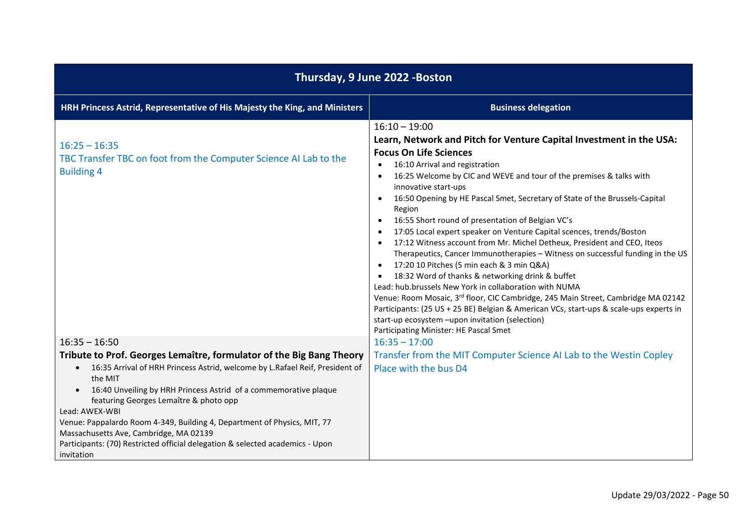| Thursday, 9 June 2022 - Boston                                                                                                                                                                                                                                                                                                                                                                                                                                                                                                                 |                                                                                                                                                                                                                                                                                                                                                                                                                                                                                                                                                                                                                                                                                                                                                                                                                                                                                                                                                                                                                                                                                                                                                                  |
|------------------------------------------------------------------------------------------------------------------------------------------------------------------------------------------------------------------------------------------------------------------------------------------------------------------------------------------------------------------------------------------------------------------------------------------------------------------------------------------------------------------------------------------------|------------------------------------------------------------------------------------------------------------------------------------------------------------------------------------------------------------------------------------------------------------------------------------------------------------------------------------------------------------------------------------------------------------------------------------------------------------------------------------------------------------------------------------------------------------------------------------------------------------------------------------------------------------------------------------------------------------------------------------------------------------------------------------------------------------------------------------------------------------------------------------------------------------------------------------------------------------------------------------------------------------------------------------------------------------------------------------------------------------------------------------------------------------------|
| HRH Princess Astrid, Representative of His Majesty the King, and Ministers                                                                                                                                                                                                                                                                                                                                                                                                                                                                     | <b>Business delegation</b>                                                                                                                                                                                                                                                                                                                                                                                                                                                                                                                                                                                                                                                                                                                                                                                                                                                                                                                                                                                                                                                                                                                                       |
| $16:25 - 16:35$<br>TBC Transfer TBC on foot from the Computer Science AI Lab to the<br><b>Building 4</b>                                                                                                                                                                                                                                                                                                                                                                                                                                       | $16:10 - 19:00$<br>Learn, Network and Pitch for Venture Capital Investment in the USA:<br><b>Focus On Life Sciences</b><br>16:10 Arrival and registration<br>$\bullet$<br>16:25 Welcome by CIC and WEVE and tour of the premises & talks with<br>$\bullet$<br>innovative start-ups<br>16:50 Opening by HE Pascal Smet, Secretary of State of the Brussels-Capital<br>$\bullet$<br>Region<br>16:55 Short round of presentation of Belgian VC's<br>$\bullet$<br>17:05 Local expert speaker on Venture Capital scences, trends/Boston<br>17:12 Witness account from Mr. Michel Detheux, President and CEO, Iteos<br>$\bullet$<br>Therapeutics, Cancer Immunotherapies - Witness on successful funding in the US<br>17:20 10 Pitches (5 min each & 3 min Q&A)<br>$\bullet$<br>18:32 Word of thanks & networking drink & buffet<br>Lead: hub.brussels New York in collaboration with NUMA<br>Venue: Room Mosaic, 3rd floor, CIC Cambridge, 245 Main Street, Cambridge MA 02142<br>Participants: (25 US + 25 BE) Belgian & American VCs, start-ups & scale-ups experts in<br>start-up ecosystem -upon invitation (selection)<br>Participating Minister: HE Pascal Smet |
| $16:35 - 16:50$                                                                                                                                                                                                                                                                                                                                                                                                                                                                                                                                | $16:35 - 17:00$                                                                                                                                                                                                                                                                                                                                                                                                                                                                                                                                                                                                                                                                                                                                                                                                                                                                                                                                                                                                                                                                                                                                                  |
| Tribute to Prof. Georges Lemaître, formulator of the Big Bang Theory<br>16:35 Arrival of HRH Princess Astrid, welcome by L.Rafael Reif, President of<br>$\bullet$<br>the MIT<br>16:40 Unveiling by HRH Princess Astrid of a commemorative plaque<br>$\bullet$<br>featuring Georges Lemaître & photo opp<br>Lead: AWEX-WBI<br>Venue: Pappalardo Room 4-349, Building 4, Department of Physics, MIT, 77<br>Massachusetts Ave, Cambridge, MA 02139<br>Participants: (70) Restricted official delegation & selected academics - Upon<br>invitation | Transfer from the MIT Computer Science AI Lab to the Westin Copley<br>Place with the bus D4                                                                                                                                                                                                                                                                                                                                                                                                                                                                                                                                                                                                                                                                                                                                                                                                                                                                                                                                                                                                                                                                      |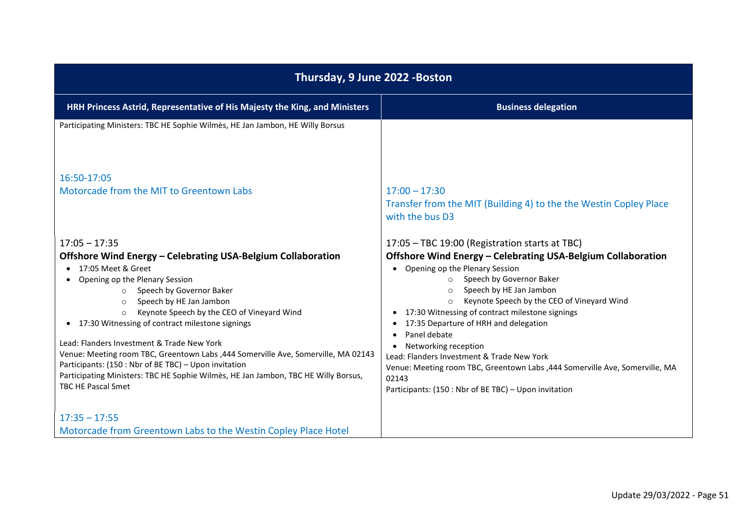| Thursday, 9 June 2022 - Boston                                                                                                                                                                                                                                                                                                                                                                                                                                                                                                                                                                                                                   |                                                                                                                                                                                                                                                                                                                                                                                                                                                                                                                                                                                                                      |
|--------------------------------------------------------------------------------------------------------------------------------------------------------------------------------------------------------------------------------------------------------------------------------------------------------------------------------------------------------------------------------------------------------------------------------------------------------------------------------------------------------------------------------------------------------------------------------------------------------------------------------------------------|----------------------------------------------------------------------------------------------------------------------------------------------------------------------------------------------------------------------------------------------------------------------------------------------------------------------------------------------------------------------------------------------------------------------------------------------------------------------------------------------------------------------------------------------------------------------------------------------------------------------|
| HRH Princess Astrid, Representative of His Majesty the King, and Ministers                                                                                                                                                                                                                                                                                                                                                                                                                                                                                                                                                                       | <b>Business delegation</b>                                                                                                                                                                                                                                                                                                                                                                                                                                                                                                                                                                                           |
| Participating Ministers: TBC HE Sophie Wilmès, HE Jan Jambon, HE Willy Borsus                                                                                                                                                                                                                                                                                                                                                                                                                                                                                                                                                                    |                                                                                                                                                                                                                                                                                                                                                                                                                                                                                                                                                                                                                      |
| 16:50-17:05                                                                                                                                                                                                                                                                                                                                                                                                                                                                                                                                                                                                                                      |                                                                                                                                                                                                                                                                                                                                                                                                                                                                                                                                                                                                                      |
| Motorcade from the MIT to Greentown Labs                                                                                                                                                                                                                                                                                                                                                                                                                                                                                                                                                                                                         | $17:00 - 17:30$<br>Transfer from the MIT (Building 4) to the the Westin Copley Place<br>with the bus D3                                                                                                                                                                                                                                                                                                                                                                                                                                                                                                              |
| $17:05 - 17:35$<br>Offshore Wind Energy - Celebrating USA-Belgium Collaboration<br>17:05 Meet & Greet<br>Opening op the Plenary Session<br>Speech by Governor Baker<br>$\circ$<br>Speech by HE Jan Jambon<br>$\circ$<br>Keynote Speech by the CEO of Vineyard Wind<br>$\circ$<br>17:30 Witnessing of contract milestone signings<br>Lead: Flanders Investment & Trade New York<br>Venue: Meeting room TBC, Greentown Labs , 444 Somerville Ave, Somerville, MA 02143<br>Participants: (150 : Nbr of BE TBC) - Upon invitation<br>Participating Ministers: TBC HE Sophie Wilmès, HE Jan Jambon, TBC HE Willy Borsus,<br><b>TBC HE Pascal Smet</b> | 17:05 - TBC 19:00 (Registration starts at TBC)<br>Offshore Wind Energy - Celebrating USA-Belgium Collaboration<br>• Opening op the Plenary Session<br>Speech by Governor Baker<br>$\Omega$<br>Speech by HE Jan Jambon<br>Keynote Speech by the CEO of Vineyard Wind<br>$\circ$<br>• 17:30 Witnessing of contract milestone signings<br>17:35 Departure of HRH and delegation<br>Panel debate<br>Networking reception<br>Lead: Flanders Investment & Trade New York<br>Venue: Meeting room TBC, Greentown Labs , 444 Somerville Ave, Somerville, MA<br>02143<br>Participants: (150 : Nbr of BE TBC) - Upon invitation |
| $17:35 - 17:55$<br>Motorcade from Greentown Labs to the Westin Copley Place Hotel                                                                                                                                                                                                                                                                                                                                                                                                                                                                                                                                                                |                                                                                                                                                                                                                                                                                                                                                                                                                                                                                                                                                                                                                      |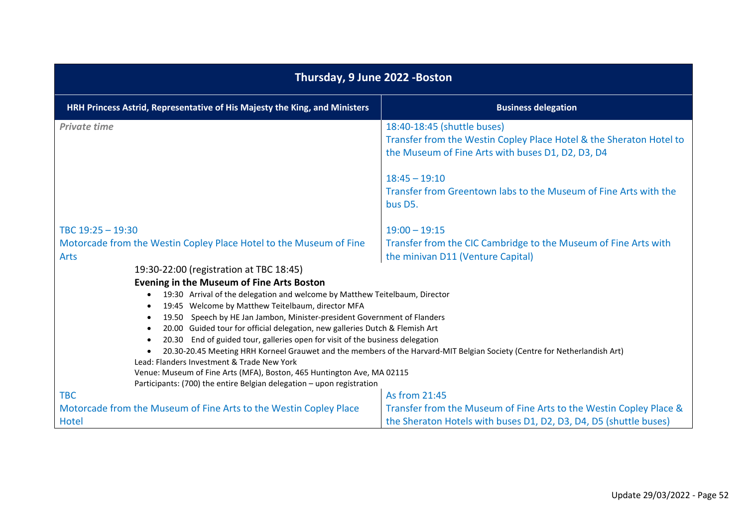| Thursday, 9 June 2022 - Boston                                                                                                |                                                                                                                                                         |
|-------------------------------------------------------------------------------------------------------------------------------|---------------------------------------------------------------------------------------------------------------------------------------------------------|
| HRH Princess Astrid, Representative of His Majesty the King, and Ministers                                                    | <b>Business delegation</b>                                                                                                                              |
| <b>Private time</b>                                                                                                           | 18:40-18:45 (shuttle buses)<br>Transfer from the Westin Copley Place Hotel & the Sheraton Hotel to<br>the Museum of Fine Arts with buses D1, D2, D3, D4 |
|                                                                                                                               | $18:45 - 19:10$<br>Transfer from Greentown labs to the Museum of Fine Arts with the<br>bus D5.                                                          |
| TBC 19:25 - 19:30                                                                                                             | $19:00 - 19:15$                                                                                                                                         |
| Motorcade from the Westin Copley Place Hotel to the Museum of Fine<br><b>Arts</b>                                             | Transfer from the CIC Cambridge to the Museum of Fine Arts with<br>the minivan D11 (Venture Capital)                                                    |
| 19:30-22:00 (registration at TBC 18:45)                                                                                       |                                                                                                                                                         |
| <b>Evening in the Museum of Fine Arts Boston</b>                                                                              |                                                                                                                                                         |
| 19:30 Arrival of the delegation and welcome by Matthew Teitelbaum, Director                                                   |                                                                                                                                                         |
| 19:45 Welcome by Matthew Teitelbaum, director MFA<br>19.50 Speech by HE Jan Jambon, Minister-president Government of Flanders |                                                                                                                                                         |
| 20.00 Guided tour for official delegation, new galleries Dutch & Flemish Art                                                  |                                                                                                                                                         |
| 20.30 End of guided tour, galleries open for visit of the business delegation                                                 |                                                                                                                                                         |
| Lead: Flanders Investment & Trade New York                                                                                    | 20.30-20.45 Meeting HRH Korneel Grauwet and the members of the Harvard-MIT Belgian Society (Centre for Netherlandish Art)                               |
| Venue: Museum of Fine Arts (MFA), Boston, 465 Huntington Ave, MA 02115                                                        |                                                                                                                                                         |
| Participants: (700) the entire Belgian delegation - upon registration                                                         |                                                                                                                                                         |
| <b>TBC</b>                                                                                                                    | As from 21:45                                                                                                                                           |
| Motorcade from the Museum of Fine Arts to the Westin Copley Place                                                             | Transfer from the Museum of Fine Arts to the Westin Copley Place &                                                                                      |
| Hotel                                                                                                                         | the Sheraton Hotels with buses D1, D2, D3, D4, D5 (shuttle buses)                                                                                       |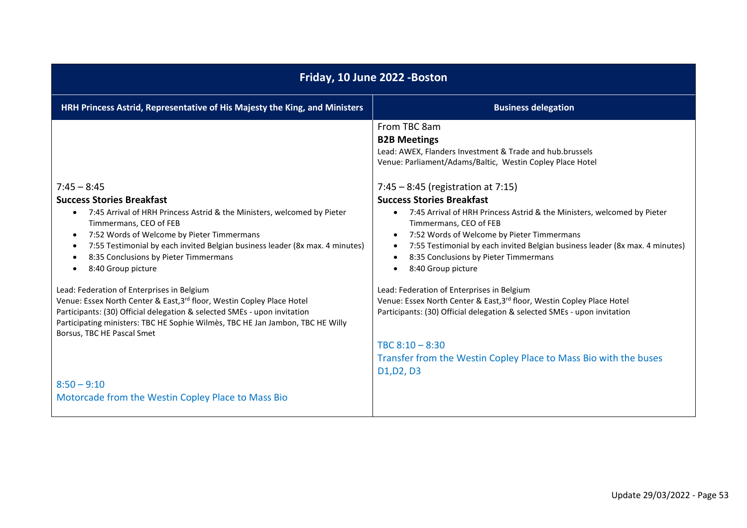| Friday, 10 June 2022 - Boston                                                                                                                                                                                                                                                                                    |                                                                                                                                                                                                                                                                                                                                               |
|------------------------------------------------------------------------------------------------------------------------------------------------------------------------------------------------------------------------------------------------------------------------------------------------------------------|-----------------------------------------------------------------------------------------------------------------------------------------------------------------------------------------------------------------------------------------------------------------------------------------------------------------------------------------------|
| HRH Princess Astrid, Representative of His Majesty the King, and Ministers                                                                                                                                                                                                                                       | <b>Business delegation</b>                                                                                                                                                                                                                                                                                                                    |
| $7:45 - 8:45$<br><b>Success Stories Breakfast</b><br>7:45 Arrival of HRH Princess Astrid & the Ministers, welcomed by Pieter<br>$\bullet$                                                                                                                                                                        | From TBC 8am<br><b>B2B Meetings</b><br>Lead: AWEX, Flanders Investment & Trade and hub.brussels<br>Venue: Parliament/Adams/Baltic, Westin Copley Place Hotel<br>$7:45 - 8:45$ (registration at 7:15)<br><b>Success Stories Breakfast</b><br>7:45 Arrival of HRH Princess Astrid & the Ministers, welcomed by Pieter<br>$\bullet$              |
| Timmermans, CEO of FEB<br>7:52 Words of Welcome by Pieter Timmermans<br>$\bullet$<br>7:55 Testimonial by each invited Belgian business leader (8x max. 4 minutes)<br>$\bullet$<br>8:35 Conclusions by Pieter Timmermans<br>8:40 Group picture                                                                    | Timmermans, CEO of FEB<br>7:52 Words of Welcome by Pieter Timmermans<br>$\bullet$<br>7:55 Testimonial by each invited Belgian business leader (8x max. 4 minutes)<br>8:35 Conclusions by Pieter Timmermans<br>8:40 Group picture                                                                                                              |
| Lead: Federation of Enterprises in Belgium<br>Venue: Essex North Center & East, 3rd floor, Westin Copley Place Hotel<br>Participants: (30) Official delegation & selected SMEs - upon invitation<br>Participating ministers: TBC HE Sophie Wilmes, TBC HE Jan Jambon, TBC HE Willy<br>Borsus, TBC HE Pascal Smet | Lead: Federation of Enterprises in Belgium<br>Venue: Essex North Center & East, 3rd floor, Westin Copley Place Hotel<br>Participants: (30) Official delegation & selected SMEs - upon invitation<br>TBC $8:10 - 8:30$<br>Transfer from the Westin Copley Place to Mass Bio with the buses<br>D <sub>1</sub> , D <sub>2</sub> , D <sub>3</sub> |
| $8:50 - 9:10$<br>Motorcade from the Westin Copley Place to Mass Bio                                                                                                                                                                                                                                              |                                                                                                                                                                                                                                                                                                                                               |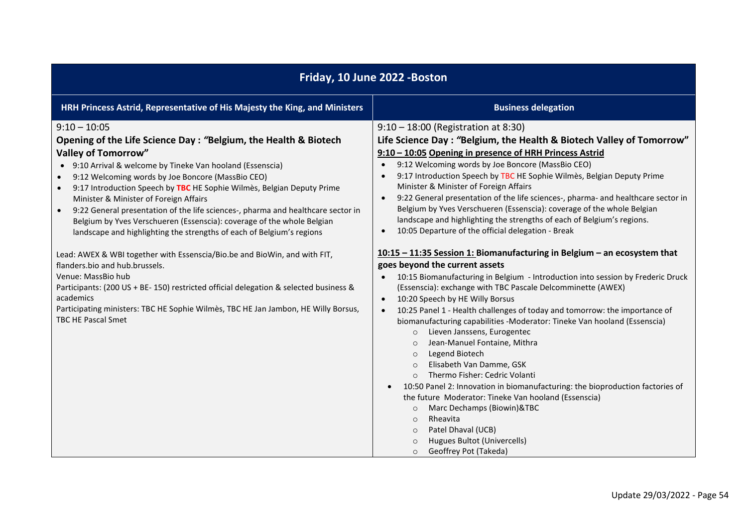| Friday, 10 June 2022 - Boston                                                                                                                                                                                                                                                                                                                                                                                                                                                                                                                                                                                                                                                                                                                                                                                                                                                                                                                               |                                                                                                                                                                                                                                                                                                                                                                                                                                                                                                                                                                                                                                                                                                                                                                                                                                                                                                                                                                                                                                                                                                                                                                                                                                                                                                                                                                                                                                                                                                                                                                                                                                                                                                              |
|-------------------------------------------------------------------------------------------------------------------------------------------------------------------------------------------------------------------------------------------------------------------------------------------------------------------------------------------------------------------------------------------------------------------------------------------------------------------------------------------------------------------------------------------------------------------------------------------------------------------------------------------------------------------------------------------------------------------------------------------------------------------------------------------------------------------------------------------------------------------------------------------------------------------------------------------------------------|--------------------------------------------------------------------------------------------------------------------------------------------------------------------------------------------------------------------------------------------------------------------------------------------------------------------------------------------------------------------------------------------------------------------------------------------------------------------------------------------------------------------------------------------------------------------------------------------------------------------------------------------------------------------------------------------------------------------------------------------------------------------------------------------------------------------------------------------------------------------------------------------------------------------------------------------------------------------------------------------------------------------------------------------------------------------------------------------------------------------------------------------------------------------------------------------------------------------------------------------------------------------------------------------------------------------------------------------------------------------------------------------------------------------------------------------------------------------------------------------------------------------------------------------------------------------------------------------------------------------------------------------------------------------------------------------------------------|
| HRH Princess Astrid, Representative of His Majesty the King, and Ministers                                                                                                                                                                                                                                                                                                                                                                                                                                                                                                                                                                                                                                                                                                                                                                                                                                                                                  | <b>Business delegation</b>                                                                                                                                                                                                                                                                                                                                                                                                                                                                                                                                                                                                                                                                                                                                                                                                                                                                                                                                                                                                                                                                                                                                                                                                                                                                                                                                                                                                                                                                                                                                                                                                                                                                                   |
| $9:10 - 10:05$<br>Opening of the Life Science Day: "Belgium, the Health & Biotech<br><b>Valley of Tomorrow"</b><br>• 9:10 Arrival & welcome by Tineke Van hooland (Essenscia)<br>9:12 Welcoming words by Joe Boncore (MassBio CEO)<br>9:17 Introduction Speech by TBC HE Sophie Wilmès, Belgian Deputy Prime<br>Minister & Minister of Foreign Affairs<br>9:22 General presentation of the life sciences-, pharma and healthcare sector in<br>Belgium by Yves Verschueren (Essenscia): coverage of the whole Belgian<br>landscape and highlighting the strengths of each of Belgium's regions<br>Lead: AWEX & WBI together with Essenscia/Bio.be and BioWin, and with FIT,<br>flanders.bio and hub.brussels.<br>Venue: MassBio hub<br>Participants: (200 US + BE- 150) restricted official delegation & selected business &<br>academics<br>Participating ministers: TBC HE Sophie Wilmès, TBC HE Jan Jambon, HE Willy Borsus,<br><b>TBC HE Pascal Smet</b> | 9:10 - 18:00 (Registration at 8:30)<br>Life Science Day: "Belgium, the Health & Biotech Valley of Tomorrow"<br>9:10 - 10:05 Opening in presence of HRH Princess Astrid<br>9:12 Welcoming words by Joe Boncore (MassBio CEO)<br>$\bullet$<br>9:17 Introduction Speech by TBC HE Sophie Wilmès, Belgian Deputy Prime<br>$\bullet$<br>Minister & Minister of Foreign Affairs<br>9:22 General presentation of the life sciences-, pharma- and healthcare sector in<br>$\bullet$<br>Belgium by Yves Verschueren (Essenscia): coverage of the whole Belgian<br>landscape and highlighting the strengths of each of Belgium's regions.<br>10:05 Departure of the official delegation - Break<br>$\bullet$<br>10:15 - 11:35 Session 1: Biomanufacturing in Belgium - an ecosystem that<br>goes beyond the current assets<br>10:15 Biomanufacturing in Belgium - Introduction into session by Frederic Druck<br>(Essenscia): exchange with TBC Pascale Delcomminette (AWEX)<br>10:20 Speech by HE Willy Borsus<br>$\bullet$<br>10:25 Panel 1 - Health challenges of today and tomorrow: the importance of<br>$\bullet$<br>biomanufacturing capabilities -Moderator: Tineke Van hooland (Essenscia)<br>Lieven Janssens, Eurogentec<br>$\circ$<br>Jean-Manuel Fontaine, Mithra<br>$\circ$<br>Legend Biotech<br>$\circ$<br>Elisabeth Van Damme, GSK<br>$\Omega$<br>Thermo Fisher: Cedric Volanti<br>10:50 Panel 2: Innovation in biomanufacturing: the bioproduction factories of<br>the future Moderator: Tineke Van hooland (Essenscia)<br>Marc Dechamps (Biowin)&TBC<br>$\circ$<br>Rheavita<br>$\circ$<br>Patel Dhaval (UCB)<br>$\circ$<br>Hugues Bultot (Univercells)<br>$\circ$<br>Geoffrey Pot (Takeda)<br>$\circ$ |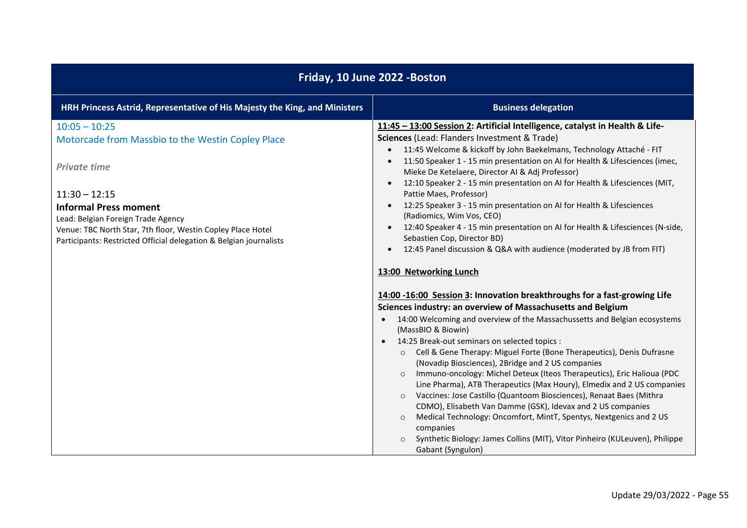| Friday, 10 June 2022 - Boston                                                                                                                                                                                                                                                                                             |                                                                                                                                                                                                                                                                                                                                                                                                                                                                                                                                                                                                                                                                                                                                                                                                                                                                                                                                                                                                           |
|---------------------------------------------------------------------------------------------------------------------------------------------------------------------------------------------------------------------------------------------------------------------------------------------------------------------------|-----------------------------------------------------------------------------------------------------------------------------------------------------------------------------------------------------------------------------------------------------------------------------------------------------------------------------------------------------------------------------------------------------------------------------------------------------------------------------------------------------------------------------------------------------------------------------------------------------------------------------------------------------------------------------------------------------------------------------------------------------------------------------------------------------------------------------------------------------------------------------------------------------------------------------------------------------------------------------------------------------------|
| HRH Princess Astrid, Representative of His Majesty the King, and Ministers                                                                                                                                                                                                                                                | <b>Business delegation</b>                                                                                                                                                                                                                                                                                                                                                                                                                                                                                                                                                                                                                                                                                                                                                                                                                                                                                                                                                                                |
| $10:05 - 10:25$<br>Motorcade from Massbio to the Westin Copley Place<br><b>Private time</b><br>$11:30 - 12:15$<br><b>Informal Press moment</b><br>Lead: Belgian Foreign Trade Agency<br>Venue: TBC North Star, 7th floor, Westin Copley Place Hotel<br>Participants: Restricted Official delegation & Belgian journalists | 11:45 - 13:00 Session 2: Artificial Intelligence, catalyst in Health & Life-<br>Sciences (Lead: Flanders Investment & Trade)<br>11:45 Welcome & kickoff by John Baekelmans, Technology Attaché - FIT<br>11:50 Speaker 1 - 15 min presentation on AI for Health & Lifesciences (imec,<br>$\bullet$<br>Mieke De Ketelaere, Director AI & Adj Professor)<br>12:10 Speaker 2 - 15 min presentation on AI for Health & Lifesciences (MIT,<br>Pattie Maes, Professor)<br>12:25 Speaker 3 - 15 min presentation on AI for Health & Lifesciences<br>$\bullet$<br>(Radiomics, Wim Vos, CEO)<br>12:40 Speaker 4 - 15 min presentation on AI for Health & Lifesciences (N-side,<br>$\bullet$<br>Sebastien Cop, Director BD)<br>12:45 Panel discussion & Q&A with audience (moderated by JB from FIT)<br>$\bullet$                                                                                                                                                                                                    |
|                                                                                                                                                                                                                                                                                                                           | 13:00 Networking Lunch<br>14:00 -16:00 Session 3: Innovation breakthroughs for a fast-growing Life<br>Sciences industry: an overview of Massachusetts and Belgium<br>14:00 Welcoming and overview of the Massachussetts and Belgian ecosystems<br>(MassBIO & Biowin)<br>14:25 Break-out seminars on selected topics :<br>$\bullet$<br>Cell & Gene Therapy: Miguel Forte (Bone Therapeutics), Denis Dufrasne<br>$\circ$<br>(Novadip Biosciences), 2Bridge and 2 US companies<br>Immuno-oncology: Michel Deteux (Iteos Therapeutics), Eric Halioua (PDC<br>$\Omega$<br>Line Pharma), ATB Therapeutics (Max Houry), Elmedix and 2 US companies<br>Vaccines: Jose Castillo (Quantoom Biosciences), Renaat Baes (Mithra<br>$\circ$<br>CDMO), Elisabeth Van Damme (GSK), Idevax and 2 US companies<br>Medical Technology: Oncomfort, MintT, Spentys, Nextgenics and 2 US<br>$\circ$<br>companies<br>Synthetic Biology: James Collins (MIT), Vitor Pinheiro (KULeuven), Philippe<br>$\circ$<br>Gabant (Syngulon) |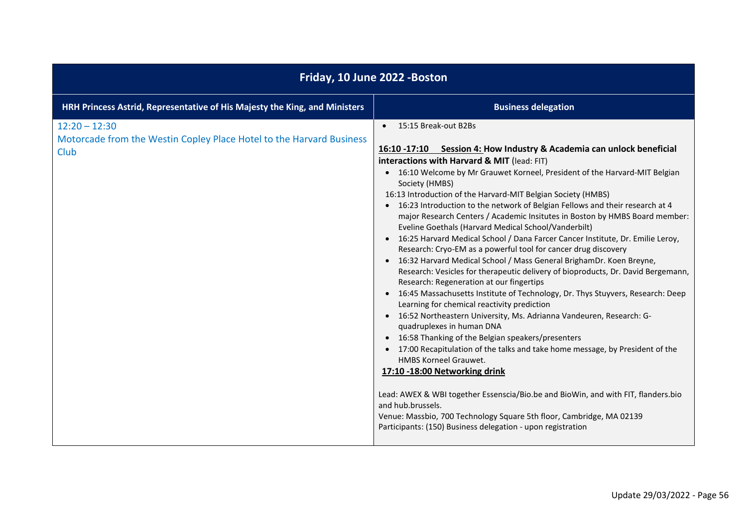| Friday, 10 June 2022 - Boston                                                                   |                                                                                                                                                                                                                                                                                                                                                                                                                                                                                                                                                                                                                                                                                                                                                                                                                                                                                                                                                                                                                                                                                                                                                                                                                                                                                                                                                                                                                                                                                                                                                                                                           |
|-------------------------------------------------------------------------------------------------|-----------------------------------------------------------------------------------------------------------------------------------------------------------------------------------------------------------------------------------------------------------------------------------------------------------------------------------------------------------------------------------------------------------------------------------------------------------------------------------------------------------------------------------------------------------------------------------------------------------------------------------------------------------------------------------------------------------------------------------------------------------------------------------------------------------------------------------------------------------------------------------------------------------------------------------------------------------------------------------------------------------------------------------------------------------------------------------------------------------------------------------------------------------------------------------------------------------------------------------------------------------------------------------------------------------------------------------------------------------------------------------------------------------------------------------------------------------------------------------------------------------------------------------------------------------------------------------------------------------|
| HRH Princess Astrid, Representative of His Majesty the King, and Ministers                      | <b>Business delegation</b>                                                                                                                                                                                                                                                                                                                                                                                                                                                                                                                                                                                                                                                                                                                                                                                                                                                                                                                                                                                                                                                                                                                                                                                                                                                                                                                                                                                                                                                                                                                                                                                |
| $12:20 - 12:30$<br>Motorcade from the Westin Copley Place Hotel to the Harvard Business<br>Club | 15:15 Break-out B2Bs<br>16:10 -17:10 Session 4: How Industry & Academia can unlock beneficial<br>interactions with Harvard & MIT (lead: FIT)<br>• 16:10 Welcome by Mr Grauwet Korneel, President of the Harvard-MIT Belgian<br>Society (HMBS)<br>16:13 Introduction of the Harvard-MIT Belgian Society (HMBS)<br>• 16:23 Introduction to the network of Belgian Fellows and their research at 4<br>major Research Centers / Academic Insitutes in Boston by HMBS Board member:<br>Eveline Goethals (Harvard Medical School/Vanderbilt)<br>• 16:25 Harvard Medical School / Dana Farcer Cancer Institute, Dr. Emilie Leroy,<br>Research: Cryo-EM as a powerful tool for cancer drug discovery<br>• 16:32 Harvard Medical School / Mass General BrighamDr. Koen Breyne,<br>Research: Vesicles for therapeutic delivery of bioproducts, Dr. David Bergemann,<br>Research: Regeneration at our fingertips<br>• 16:45 Massachusetts Institute of Technology, Dr. Thys Stuyvers, Research: Deep<br>Learning for chemical reactivity prediction<br>• 16:52 Northeastern University, Ms. Adrianna Vandeuren, Research: G-<br>quadruplexes in human DNA<br>• 16:58 Thanking of the Belgian speakers/presenters<br>• 17:00 Recapitulation of the talks and take home message, by President of the<br><b>HMBS Korneel Grauwet.</b><br>17:10 -18:00 Networking drink<br>Lead: AWEX & WBI together Essenscia/Bio.be and BioWin, and with FIT, flanders.bio<br>and hub.brussels.<br>Venue: Massbio, 700 Technology Square 5th floor, Cambridge, MA 02139<br>Participants: (150) Business delegation - upon registration |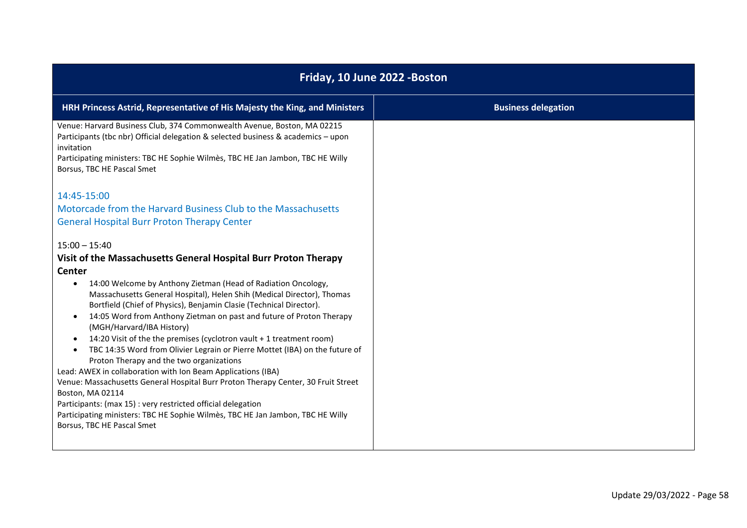| Friday, 10 June 2022 - Boston                                                                                                                                                                                                                                                                                                                                                                                                                                                                                                                                                                                                                                                                                                                                                                                                                                                                                                                                                                                                                                                                                                                                                                                                                                                                                                                                                                                                                                                  |                            |
|--------------------------------------------------------------------------------------------------------------------------------------------------------------------------------------------------------------------------------------------------------------------------------------------------------------------------------------------------------------------------------------------------------------------------------------------------------------------------------------------------------------------------------------------------------------------------------------------------------------------------------------------------------------------------------------------------------------------------------------------------------------------------------------------------------------------------------------------------------------------------------------------------------------------------------------------------------------------------------------------------------------------------------------------------------------------------------------------------------------------------------------------------------------------------------------------------------------------------------------------------------------------------------------------------------------------------------------------------------------------------------------------------------------------------------------------------------------------------------|----------------------------|
| HRH Princess Astrid, Representative of His Majesty the King, and Ministers                                                                                                                                                                                                                                                                                                                                                                                                                                                                                                                                                                                                                                                                                                                                                                                                                                                                                                                                                                                                                                                                                                                                                                                                                                                                                                                                                                                                     | <b>Business delegation</b> |
| Venue: Harvard Business Club, 374 Commonwealth Avenue, Boston, MA 02215<br>Participants (tbc nbr) Official delegation & selected business & academics - upon<br>invitation<br>Participating ministers: TBC HE Sophie Wilmes, TBC HE Jan Jambon, TBC HE Willy<br>Borsus, TBC HE Pascal Smet<br>14:45-15:00<br>Motorcade from the Harvard Business Club to the Massachusetts<br><b>General Hospital Burr Proton Therapy Center</b><br>$15:00 - 15:40$<br>Visit of the Massachusetts General Hospital Burr Proton Therapy<br><b>Center</b><br>14:00 Welcome by Anthony Zietman (Head of Radiation Oncology,<br>$\bullet$<br>Massachusetts General Hospital), Helen Shih (Medical Director), Thomas<br>Bortfield (Chief of Physics), Benjamin Clasie (Technical Director).<br>14:05 Word from Anthony Zietman on past and future of Proton Therapy<br>$\bullet$<br>(MGH/Harvard/IBA History)<br>14:20 Visit of the the premises (cyclotron vault + 1 treatment room)<br>$\bullet$<br>TBC 14:35 Word from Olivier Legrain or Pierre Mottet (IBA) on the future of<br>$\bullet$<br>Proton Therapy and the two organizations<br>Lead: AWEX in collaboration with Ion Beam Applications (IBA)<br>Venue: Massachusetts General Hospital Burr Proton Therapy Center, 30 Fruit Street<br>Boston, MA 02114<br>Participants: (max 15) : very restricted official delegation<br>Participating ministers: TBC HE Sophie Wilmès, TBC HE Jan Jambon, TBC HE Willy<br>Borsus, TBC HE Pascal Smet |                            |
|                                                                                                                                                                                                                                                                                                                                                                                                                                                                                                                                                                                                                                                                                                                                                                                                                                                                                                                                                                                                                                                                                                                                                                                                                                                                                                                                                                                                                                                                                |                            |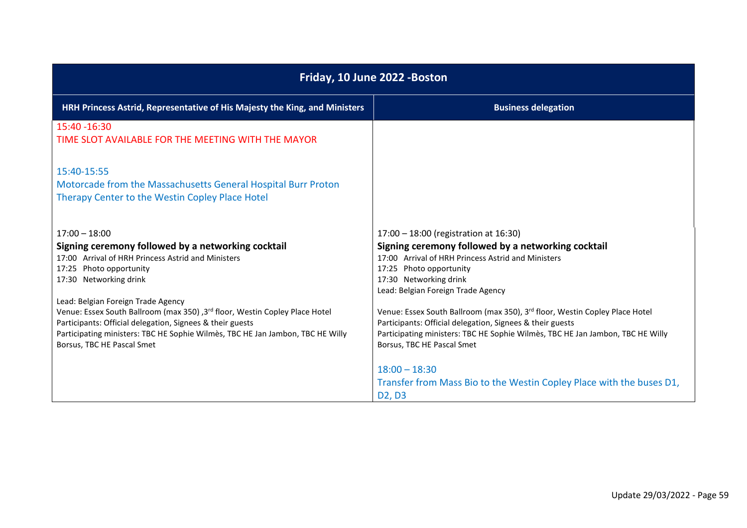| Friday, 10 June 2022 - Boston                                                                                                                                                                                                                                                                                                                                                                                                                                                      |                                                                                                                                                                                                                                                                                                                                                                                                                                                                                                                             |
|------------------------------------------------------------------------------------------------------------------------------------------------------------------------------------------------------------------------------------------------------------------------------------------------------------------------------------------------------------------------------------------------------------------------------------------------------------------------------------|-----------------------------------------------------------------------------------------------------------------------------------------------------------------------------------------------------------------------------------------------------------------------------------------------------------------------------------------------------------------------------------------------------------------------------------------------------------------------------------------------------------------------------|
| HRH Princess Astrid, Representative of His Majesty the King, and Ministers                                                                                                                                                                                                                                                                                                                                                                                                         | <b>Business delegation</b>                                                                                                                                                                                                                                                                                                                                                                                                                                                                                                  |
| 15:40 -16:30<br>TIME SLOT AVAILABLE FOR THE MEETING WITH THE MAYOR                                                                                                                                                                                                                                                                                                                                                                                                                 |                                                                                                                                                                                                                                                                                                                                                                                                                                                                                                                             |
| 15:40-15:55<br>Motorcade from the Massachusetts General Hospital Burr Proton<br>Therapy Center to the Westin Copley Place Hotel                                                                                                                                                                                                                                                                                                                                                    |                                                                                                                                                                                                                                                                                                                                                                                                                                                                                                                             |
| $17:00 - 18:00$<br>Signing ceremony followed by a networking cocktail<br>17:00 Arrival of HRH Princess Astrid and Ministers<br>17:25 Photo opportunity<br>17:30 Networking drink<br>Lead: Belgian Foreign Trade Agency<br>Venue: Essex South Ballroom (max 350), 3rd floor, Westin Copley Place Hotel<br>Participants: Official delegation, Signees & their guests<br>Participating ministers: TBC HE Sophie Wilmès, TBC HE Jan Jambon, TBC HE Willy<br>Borsus, TBC HE Pascal Smet | 17:00 - 18:00 (registration at 16:30)<br>Signing ceremony followed by a networking cocktail<br>17:00 Arrival of HRH Princess Astrid and Ministers<br>17:25 Photo opportunity<br>17:30 Networking drink<br>Lead: Belgian Foreign Trade Agency<br>Venue: Essex South Ballroom (max 350), 3rd floor, Westin Copley Place Hotel<br>Participants: Official delegation, Signees & their guests<br>Participating ministers: TBC HE Sophie Wilmes, TBC HE Jan Jambon, TBC HE Willy<br>Borsus, TBC HE Pascal Smet<br>$18:00 - 18:30$ |
|                                                                                                                                                                                                                                                                                                                                                                                                                                                                                    | Transfer from Mass Bio to the Westin Copley Place with the buses D1,<br>D <sub>2</sub> , D <sub>3</sub>                                                                                                                                                                                                                                                                                                                                                                                                                     |